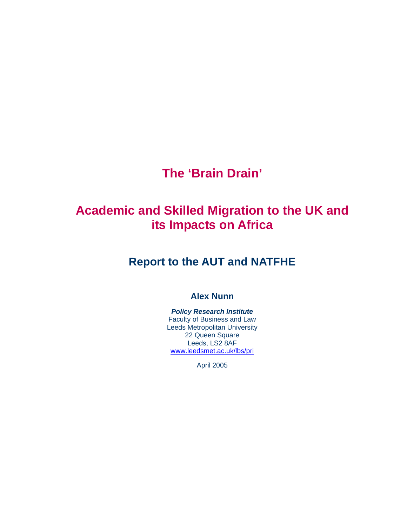# **The 'Brain Drain'**

# **Academic and Skilled Migration to the UK and its Impacts on Africa**

# **Report to the AUT and NATFHE**

# **Alex Nunn**

#### *Policy Research Institute* Faculty of Business and Law Leeds Metropolitan University 22 Queen Square Leeds, LS2 8AF www.leedsmet.ac.uk/lbs/pri

April 2005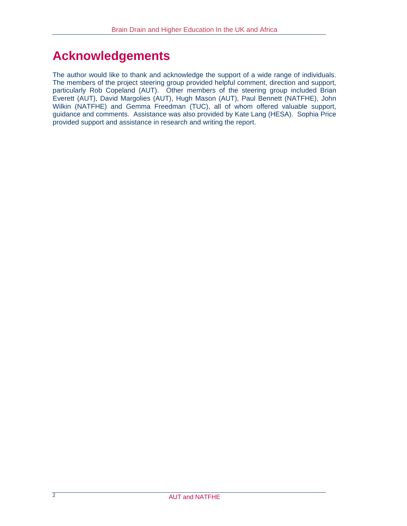# **Acknowledgements**

The author would like to thank and acknowledge the support of a wide range of individuals. The members of the project steering group provided helpful comment, direction and support, particularly Rob Copeland (AUT). Other members of the steering group included Brian Everett (AUT), David Margolies (AUT), Hugh Mason (AUT), Paul Bennett (NATFHE), John Wilkin (NATFHE) and Gemma Freedman (TUC), all of whom offered valuable support, guidance and comments. Assistance was also provided by Kate Lang (HESA). Sophia Price provided support and assistance in research and writing the report.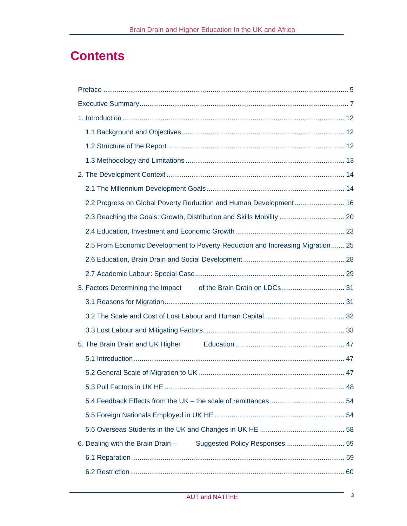# **Contents**

| 2.2 Progress on Global Poverty Reduction and Human Development 16              |  |
|--------------------------------------------------------------------------------|--|
| 2.3 Reaching the Goals: Growth, Distribution and Skills Mobility  20           |  |
|                                                                                |  |
| 2.5 From Economic Development to Poverty Reduction and Increasing Migration 25 |  |
|                                                                                |  |
|                                                                                |  |
|                                                                                |  |
|                                                                                |  |
|                                                                                |  |
|                                                                                |  |
|                                                                                |  |
|                                                                                |  |
|                                                                                |  |
|                                                                                |  |
|                                                                                |  |
|                                                                                |  |
|                                                                                |  |
| 6. Dealing with the Brain Drain -                                              |  |
|                                                                                |  |
|                                                                                |  |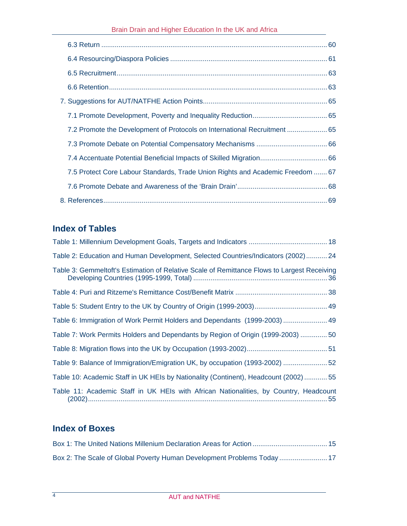| 7.2 Promote the Development of Protocols on International Recruitment  65      |  |
|--------------------------------------------------------------------------------|--|
|                                                                                |  |
|                                                                                |  |
| 7.5 Protect Core Labour Standards, Trade Union Rights and Academic Freedom  67 |  |
|                                                                                |  |
|                                                                                |  |

# **Index of Tables**

| Table 2: Education and Human Development, Selected Countries/Indicators (2002) 24           |
|---------------------------------------------------------------------------------------------|
| Table 3: Gemmeltoft's Estimation of Relative Scale of Remittance Flows to Largest Receiving |
|                                                                                             |
|                                                                                             |
| Table 6: Immigration of Work Permit Holders and Dependants (1999-2003)  49                  |
| Table 7: Work Permits Holders and Dependants by Region of Origin (1999-2003) 50             |
|                                                                                             |
| Table 9: Balance of Immigration/Emigration UK, by occupation (1993-2002) 52                 |
| Table 10: Academic Staff in UK HEIs by Nationality (Continent), Headcount (2002)  55        |
| Table 11: Academic Staff in UK HEIs with African Nationalities, by Country, Headcount       |

# **Index of Boxes**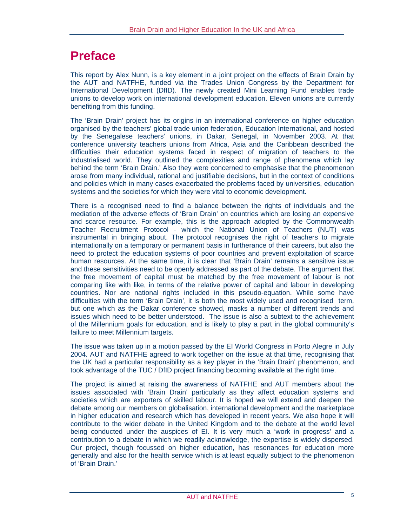# **Preface**

This report by Alex Nunn, is a key element in a joint project on the effects of Brain Drain by the AUT and NATFHE, funded via the Trades Union Congress by the Department for International Development (DfID). The newly created Mini Learning Fund enables trade unions to develop work on international development education. Eleven unions are currently benefiting from this funding.

The 'Brain Drain' project has its origins in an international conference on higher education organised by the teachers' global trade union federation, Education International, and hosted by the Senegalese teachers' unions, in Dakar, Senegal, in November 2003. At that conference university teachers unions from Africa, Asia and the Caribbean described the difficulties their education systems faced in respect of migration of teachers to the industrialised world. They outlined the complexities and range of phenomena which lay behind the term 'Brain Drain.' Also they were concerned to emphasise that the phenomenon arose from many individual, rational and justifiable decisions, but in the context of conditions and policies which in many cases exacerbated the problems faced by universities, education systems and the societies for which they were vital to economic development.

There is a recognised need to find a balance between the rights of individuals and the mediation of the adverse effects of 'Brain Drain' on countries which are losing an expensive and scarce resource. For example, this is the approach adopted by the Commonwealth Teacher Recruitment Protocol - which the National Union of Teachers (NUT) was instrumental in bringing about. The protocol recognises the right of teachers to migrate internationally on a temporary or permanent basis in furtherance of their careers, but also the need to protect the education systems of poor countries and prevent exploitation of scarce human resources. At the same time, it is clear that 'Brain Drain' remains a sensitive issue and these sensitivities need to be openly addressed as part of the debate. The argument that the free movement of capital must be matched by the free movement of labour is not comparing like with like, in terms of the relative power of capital and labour in developing countries. Nor are national rights included in this pseudo-equation. While some have difficulties with the term 'Brain Drain', it is both the most widely used and recognised term, but one which as the Dakar conference showed, masks a number of different trends and issues which need to be better understood. The issue is also a subtext to the achievement of the Millennium goals for education, and is likely to play a part in the global community's failure to meet Millennium targets.

The issue was taken up in a motion passed by the EI World Congress in Porto Alegre in July 2004. AUT and NATFHE agreed to work together on the issue at that time, recognising that the UK had a particular responsibility as a key player in the 'Brain Drain' phenomenon, and took advantage of the TUC / DfID project financing becoming available at the right time.

The project is aimed at raising the awareness of NATFHE and AUT members about the issues associated with 'Brain Drain' particularly as they affect education systems and societies which are exporters of skilled labour. It is hoped we will extend and deepen the debate among our members on globalisation, international development and the marketplace in higher education and research which has developed in recent years. We also hope it will contribute to the wider debate in the United Kingdom and to the debate at the world level being conducted under the auspices of EI. It is very much a 'work in progress' and a contribution to a debate in which we readily acknowledge, the expertise is widely dispersed. Our project, though focussed on higher education, has resonances for education more generally and also for the health service which is at least equally subject to the phenomenon of 'Brain Drain.'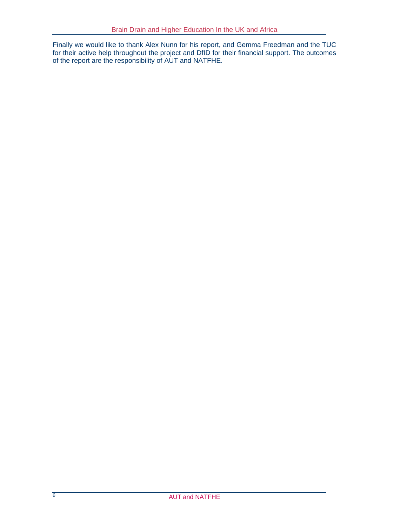Finally we would like to thank Alex Nunn for his report, and Gemma Freedman and the TUC for their active help throughout the project and DfID for their financial support. The outcomes of the report are the responsibility of AUT and NATFHE.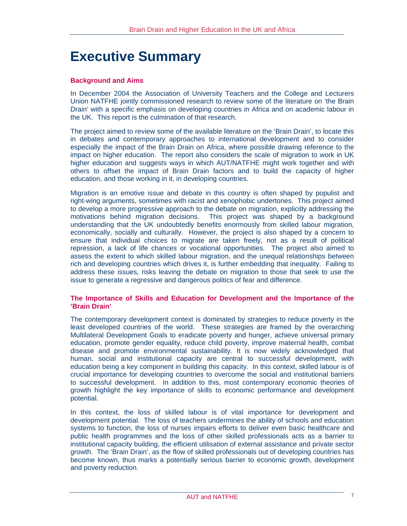# **Executive Summary**

#### **Background and Aims**

In December 2004 the Association of University Teachers and the College and Lecturers Union NATFHE jointly commissioned research to review some of the literature on 'the Brain Drain' with a specific emphasis on developing countries in Africa and on academic labour in the UK. This report is the culmination of that research.

The project aimed to review some of the available literature on the 'Brain Drain', to locate this in debates and contemporary approaches to international development and to consider especially the impact of the Brain Drain on Africa, where possible drawing reference to the impact on higher education. The report also considers the scale of migration to work in UK higher education and suggests ways in which AUT/NATFHE might work together and with others to offset the impact of Brain Drain factors and to build the capacity of higher education, and those working in it, in developing countries.

Migration is an emotive issue and debate in this country is often shaped by populist and right-wing arguments, sometimes with racist and xenophobic undertones. This project aimed to develop a more progressive approach to the debate on migration, explicitly addressing the motivations behind migration decisions. This project was shaped by a background understanding that the UK undoubtedly benefits enormously from skilled labour migration, economically, socially and culturally. However, the project is also shaped by a concern to ensure that individual choices to migrate are taken freely, not as a result of political repression, a lack of life chances or vocational opportunities. The project also aimed to assess the extent to which skilled labour migration, and the unequal relationships between rich and developing countries which drives it, is further embedding that inequality. Failing to address these issues, risks leaving the debate on migration to those that seek to use the issue to generate a regressive and dangerous politics of fear and difference.

#### **The Importance of Skills and Education for Development and the Importance of the 'Brain Drain'**

The contemporary development context is dominated by strategies to reduce poverty in the least developed countries of the world. These strategies are framed by the overarching Multilateral Development Goals to eradicate poverty and hunger, achieve universal primary education, promote gender equality, reduce child poverty, improve maternal health, combat disease and promote environmental sustainability. It is now widely acknowledged that human, social and institutional capacity are central to successful development, with education being a key component in building this capacity. In this context, skilled labour is of crucial importance for developing countries to overcome the social and institutional barriers to successful development. In addition to this, most contemporary economic theories of growth highlight the key importance of skills to economic performance and development potential.

In this context, the loss of skilled labour is of vital importance for development and development potential. The loss of teachers undermines the ability of schools and education systems to function, the loss of nurses impairs efforts to deliver even basic healthcare and public health programmes and the loss of other skilled professionals acts as a barrier to institutional capacity building, the efficient utilisation of external assistance and private sector growth. The 'Brain Drain', as the flow of skilled professionals out of developing countries has become known, thus marks a potentially serious barrier to economic growth, development and poverty reduction.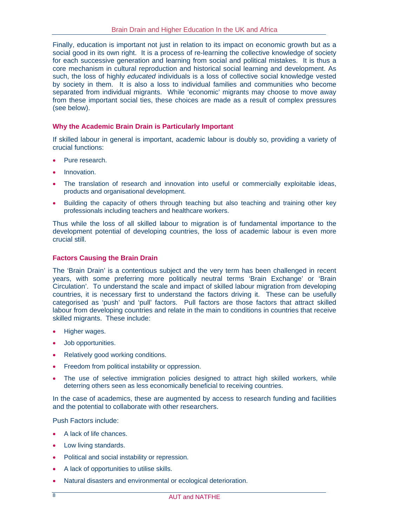Finally, education is important not just in relation to its impact on economic growth but as a social good in its own right. It is a process of re-learning the collective knowledge of society for each successive generation and learning from social and political mistakes. It is thus a core mechanism in cultural reproduction and historical social learning and development. As such, the loss of highly *educated* individuals is a loss of collective social knowledge vested by society in them. It is also a loss to individual families and communities who become separated from individual migrants. While 'economic' migrants may choose to move away from these important social ties, these choices are made as a result of complex pressures (see below).

#### **Why the Academic Brain Drain is Particularly Important**

If skilled labour in general is important, academic labour is doubly so, providing a variety of crucial functions:

- Pure research.
- Innovation.
- The translation of research and innovation into useful or commercially exploitable ideas, products and organisational development.
- Building the capacity of others through teaching but also teaching and training other key professionals including teachers and healthcare workers.

Thus while the loss of all skilled labour to migration is of fundamental importance to the development potential of developing countries, the loss of academic labour is even more crucial still.

#### **Factors Causing the Brain Drain**

The 'Brain Drain' is a contentious subject and the very term has been challenged in recent years, with some preferring more politically neutral terms 'Brain Exchange' or 'Brain Circulation'. To understand the scale and impact of skilled labour migration from developing countries, it is necessary first to understand the factors driving it. These can be usefully categorised as 'push' and 'pull' factors. Pull factors are those factors that attract skilled labour from developing countries and relate in the main to conditions in countries that receive skilled migrants. These include:

- Higher wages.
- Job opportunities.
- Relatively good working conditions.
- Freedom from political instability or oppression.
- The use of selective immigration policies designed to attract high skilled workers, while deterring others seen as less economically beneficial to receiving countries.

In the case of academics, these are augmented by access to research funding and facilities and the potential to collaborate with other researchers.

Push Factors include:

- A lack of life chances.
- Low living standards.
- Political and social instability or repression.
- A lack of opportunities to utilise skills.
- Natural disasters and environmental or ecological deterioration.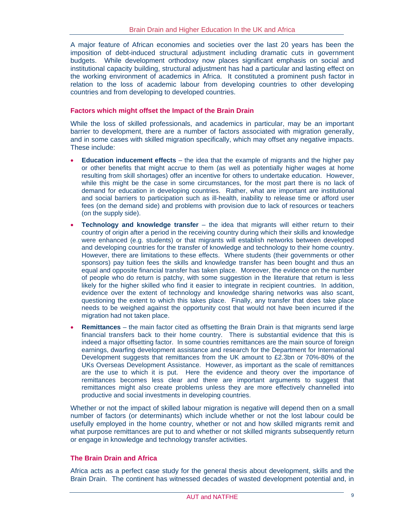A major feature of African economies and societies over the last 20 years has been the imposition of debt-induced structural adjustment including dramatic cuts in government budgets. While development orthodoxy now places significant emphasis on social and institutional capacity building, structural adjustment has had a particular and lasting effect on the working environment of academics in Africa. It constituted a prominent push factor in relation to the loss of academic labour from developing countries to other developing countries and from developing to developed countries.

#### **Factors which might offset the Impact of the Brain Drain**

While the loss of skilled professionals, and academics in particular, may be an important barrier to development, there are a number of factors associated with migration generally, and in some cases with skilled migration specifically, which may offset any negative impacts. These include:

- **Education inducement effects** the idea that the example of migrants and the higher pay or other benefits that might accrue to them (as well as potentially higher wages at home resulting from skill shortages) offer an incentive for others to undertake education. However, while this might be the case in some circumstances, for the most part there is no lack of demand for education in developing countries. Rather, what are important are institutional and social barriers to participation such as ill-health, inability to release time or afford user fees (on the demand side) and problems with provision due to lack of resources or teachers (on the supply side).
- **Technology and knowledge transfer** the idea that migrants will either return to their country of origin after a period in the receiving country during which their skills and knowledge were enhanced (e.g. students) or that migrants will establish networks between developed and developing countries for the transfer of knowledge and technology to their home country. However, there are limitations to these effects. Where students (their governments or other sponsors) pay tuition fees the skills and knowledge transfer has been bought and thus an equal and opposite financial transfer has taken place. Moreover, the evidence on the number of people who do return is patchy, with some suggestion in the literature that return is less likely for the higher skilled who find it easier to integrate in recipient countries. In addition, evidence over the extent of technology and knowledge sharing networks was also scant, questioning the extent to which this takes place. Finally, any transfer that does take place needs to be weighed against the opportunity cost that would not have been incurred if the migration had not taken place.
- **Remittances**  the main factor cited as offsetting the Brain Drain is that migrants send large financial transfers back to their home country. There is substantial evidence that this is indeed a major offsetting factor. In some countries remittances are the main source of foreign earnings, dwarfing development assistance and research for the Department for International Development suggests that remittances from the UK amount to £2.3bn or 70%-80% of the UKs Overseas Development Assistance. However, as important as the scale of remittances are the use to which it is put. Here the evidence and theory over the importance of remittances becomes less clear and there are important arguments to suggest that remittances might also create problems unless they are more effectively channelled into productive and social investments in developing countries.

Whether or not the impact of skilled labour migration is negative will depend then on a small number of factors (or determinants) which include whether or not the lost labour could be usefully employed in the home country, whether or not and how skilled migrants remit and what purpose remittances are put to and whether or not skilled migrants subsequently return or engage in knowledge and technology transfer activities.

#### **The Brain Drain and Africa**

Africa acts as a perfect case study for the general thesis about development, skills and the Brain Drain. The continent has witnessed decades of wasted development potential and, in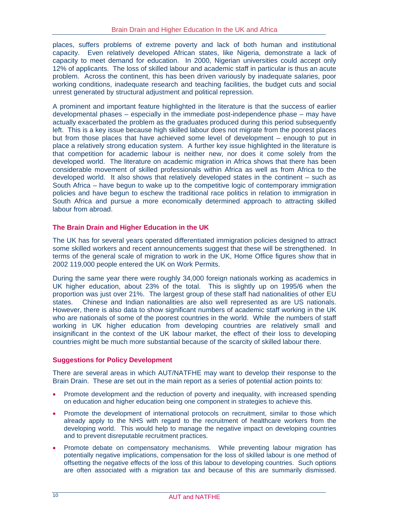places, suffers problems of extreme poverty and lack of both human and institutional capacity. Even relatively developed African states, like Nigeria, demonstrate a lack of capacity to meet demand for education. In 2000, Nigerian universities could accept only 12% of applicants. The loss of skilled labour and academic staff in particular is thus an acute problem. Across the continent, this has been driven variously by inadequate salaries, poor working conditions, inadequate research and teaching facilities, the budget cuts and social unrest generated by structural adjustment and political repression.

A prominent and important feature highlighted in the literature is that the success of earlier developmental phases – especially in the immediate post-independence phase – may have actually exacerbated the problem as the graduates produced during this period subsequently left. This is a key issue because high skilled labour does not migrate from the poorest places but from those places that have achieved some level of development – enough to put in place a relatively strong education system. A further key issue highlighted in the literature is that competition for academic labour is neither new, nor does it come solely from the developed world. The literature on academic migration in Africa shows that there has been considerable movement of skilled professionals within Africa as well as from Africa to the developed world. It also shows that relatively developed states in the continent – such as South Africa – have begun to wake up to the competitive logic of contemporary immigration policies and have begun to eschew the traditional race politics in relation to immigration in South Africa and pursue a more economically determined approach to attracting skilled labour from abroad.

#### **The Brain Drain and Higher Education in the UK**

The UK has for several years operated differentiated immigration policies designed to attract some skilled workers and recent announcements suggest that these will be strengthened. In terms of the general scale of migration to work in the UK, Home Office figures show that in 2002 119,000 people entered the UK on Work Permits.

During the same year there were roughly 34,000 foreign nationals working as academics in UK higher education, about 23% of the total. This is slightly up on 1995/6 when the proportion was just over 21%. The largest group of these staff had nationalities of other EU states. Chinese and Indian nationalities are also well represented as are US nationals. However, there is also data to show significant numbers of academic staff working in the UK who are nationals of some of the poorest countries in the world. While the numbers of staff working in UK higher education from developing countries are relatively small and insignificant in the context of the UK labour market, the effect of their loss to developing countries might be much more substantial because of the scarcity of skilled labour there.

#### **Suggestions for Policy Development**

There are several areas in which AUT/NATFHE may want to develop their response to the Brain Drain. These are set out in the main report as a series of potential action points to:

- Promote development and the reduction of poverty and inequality, with increased spending on education and higher education being one component in strategies to achieve this.
- Promote the development of international protocols on recruitment, similar to those which already apply to the NHS with regard to the recruitment of healthcare workers from the developing world. This would help to manage the negative impact on developing countries and to prevent disreputable recruitment practices.
- Promote debate on compensatory mechanisms. While preventing labour migration has potentially negative implications, compensation for the loss of skilled labour is one method of offsetting the negative effects of the loss of this labour to developing countries. Such options are often associated with a migration tax and because of this are summarily dismissed.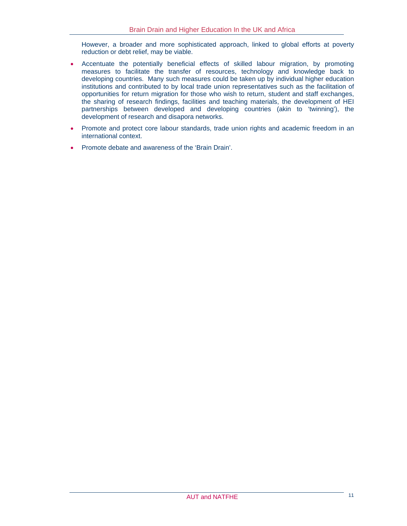However, a broader and more sophisticated approach, linked to global efforts at poverty reduction or debt relief, may be viable.

- Accentuate the potentially beneficial effects of skilled labour migration, by promoting measures to facilitate the transfer of resources, technology and knowledge back to developing countries. Many such measures could be taken up by individual higher education institutions and contributed to by local trade union representatives such as the facilitation of opportunities for return migration for those who wish to return, student and staff exchanges, the sharing of research findings, facilities and teaching materials, the development of HEI partnerships between developed and developing countries (akin to 'twinning'), the development of research and disapora networks.
- Promote and protect core labour standards, trade union rights and academic freedom in an international context.
- Promote debate and awareness of the 'Brain Drain'.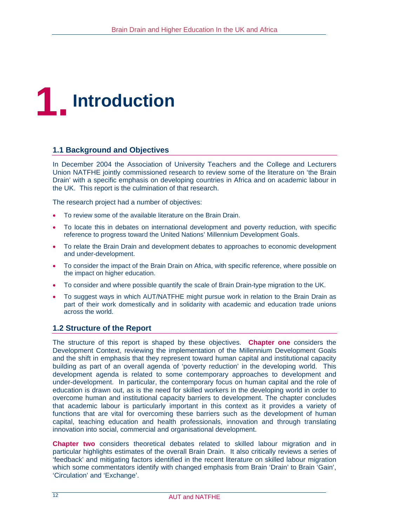

## **1.1 Background and Objectives**

In December 2004 the Association of University Teachers and the College and Lecturers Union NATFHE jointly commissioned research to review some of the literature on 'the Brain Drain' with a specific emphasis on developing countries in Africa and on academic labour in the UK. This report is the culmination of that research.

The research project had a number of objectives:

- To review some of the available literature on the Brain Drain.
- To locate this in debates on international development and poverty reduction, with specific reference to progress toward the United Nations' Millennium Development Goals.
- To relate the Brain Drain and development debates to approaches to economic development and under-development.
- To consider the impact of the Brain Drain on Africa, with specific reference, where possible on the impact on higher education.
- To consider and where possible quantify the scale of Brain Drain-type migration to the UK.
- To suggest ways in which AUT/NATFHE might pursue work in relation to the Brain Drain as part of their work domestically and in solidarity with academic and education trade unions across the world.

#### **1.2 Structure of the Report**

The structure of this report is shaped by these objectives. **Chapter one** considers the Development Context, reviewing the implementation of the Millennium Development Goals and the shift in emphasis that they represent toward human capital and institutional capacity building as part of an overall agenda of 'poverty reduction' in the developing world. This development agenda is related to some contemporary approaches to development and under-development. In particular, the contemporary focus on human capital and the role of education is drawn out, as is the need for skilled workers in the developing world in order to overcome human and institutional capacity barriers to development. The chapter concludes that academic labour is particularly important in this context as it provides a variety of functions that are vital for overcoming these barriers such as the development of human capital, teaching education and health professionals, innovation and through translating innovation into social, commercial and organisational development.

**Chapter two** considers theoretical debates related to skilled labour migration and in particular highlights estimates of the overall Brain Drain. It also critically reviews a series of 'feedback' and mitigating factors identified in the recent literature on skilled labour migration which some commentators identify with changed emphasis from Brain 'Drain' to Brain 'Gain', 'Circulation' and 'Exchange'.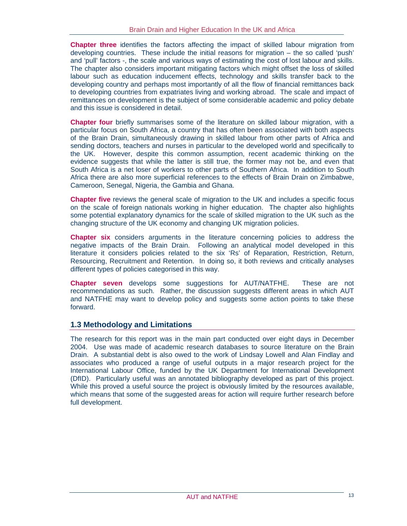**Chapter three** identifies the factors affecting the impact of skilled labour migration from developing countries. These include the initial reasons for migration – the so called 'push' and 'pull' factors -, the scale and various ways of estimating the cost of lost labour and skills. The chapter also considers important mitigating factors which might offset the loss of skilled labour such as education inducement effects, technology and skills transfer back to the developing country and perhaps most importantly of all the flow of financial remittances back to developing countries from expatriates living and working abroad. The scale and impact of remittances on development is the subject of some considerable academic and policy debate and this issue is considered in detail.

**Chapter four** briefly summarises some of the literature on skilled labour migration, with a particular focus on South Africa, a country that has often been associated with both aspects of the Brain Drain, simultaneously drawing in skilled labour from other parts of Africa and sending doctors, teachers and nurses in particular to the developed world and specifically to the UK. However, despite this common assumption, recent academic thinking on the evidence suggests that while the latter is still true, the former may not be, and even that South Africa is a net loser of workers to other parts of Southern Africa. In addition to South Africa there are also more superficial references to the effects of Brain Drain on Zimbabwe, Cameroon, Senegal, Nigeria, the Gambia and Ghana.

**Chapter five** reviews the general scale of migration to the UK and includes a specific focus on the scale of foreign nationals working in higher education. The chapter also highlights some potential explanatory dynamics for the scale of skilled migration to the UK such as the changing structure of the UK economy and changing UK migration policies.

**Chapter six** considers arguments in the literature concerning policies to address the negative impacts of the Brain Drain. Following an analytical model developed in this literature it considers policies related to the six 'Rs' of Reparation, Restriction, Return, Resourcing, Recruitment and Retention. In doing so, it both reviews and critically analyses different types of policies categorised in this way.

**Chapter seven** develops some suggestions for AUT/NATFHE. These are not recommendations as such. Rather, the discussion suggests different areas in which AUT and NATFHE may want to develop policy and suggests some action points to take these forward.

## **1.3 Methodology and Limitations**

The research for this report was in the main part conducted over eight days in December 2004. Use was made of academic research databases to source literature on the Brain Drain. A substantial debt is also owed to the work of Lindsay Lowell and Alan Findlay and associates who produced a range of useful outputs in a major research project for the International Labour Office, funded by the UK Department for International Development (DfID). Particularly useful was an annotated bibliography developed as part of this project. While this proved a useful source the project is obviously limited by the resources available, which means that some of the suggested areas for action will require further research before full development.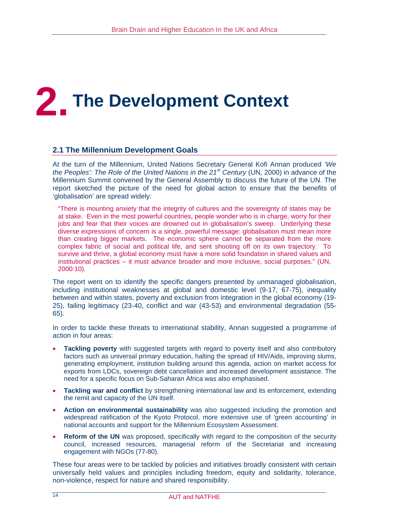# **2. The Development Context**

## **2.1 The Millennium Development Goals**

At the turn of the Millennium, United Nations Secretary General Kofi Annan produced *'We the Peoples': The Role of the United Nations in the 21st Century* (UN, 2000) in advance of the Millennium Summit convened by the General Assembly to discuss the future of the UN. The report sketched the picture of the need for global action to ensure that the benefits of 'globalisation' are spread widely:

"There is mounting anxiety that the integrity of cultures and the sovereignty of states may be at stake. Even in the most powerful countries, people wonder who is in charge, worry for their jobs and fear that their voices are drowned out in globalisation's sweep. Underlying these diverse expressions of concern is a single, powerful message: globalisation must mean more than creating bigger markets. The economic sphere cannot be separated from the more complex fabric of social and political life, and sent shooting off on its own trajectory. To survive and thrive, a global economy must have a more solid foundation in shared values and institutional practices – it must advance broader and more inclusive, social purposes." (UN, 2000:10).

The report went on to identify the specific dangers presented by unmanaged globalisation, including institutional weaknesses at global and domestic level (9-17, 67-75), inequality between and within states, poverty and exclusion from integration in the global economy (19- 25), failing legitimacy (23-40, conflict and war (43-53) and environmental degradation (55- 65).

In order to tackle these threats to international stability, Annan suggested a programme of action in four areas:

- **Tackling poverty** with suggested targets with regard to poverty itself and also contributory factors such as universal primary education, halting the spread of HIV/Aids, improving slums, generating employment, institution building around this agenda, action on market access for exports from LDCs, sovereign debt cancellation and increased development assistance. The need for a specific focus on Sub-Saharan Africa was also emphasised.
- **Tackling war and conflict** by strengthening international law and its enforcement, extending the remit and capacity of the UN itself.
- **Action on environmental sustainability** was also suggested including the promotion and widespread ratification of the Kyoto Protocol, more extensive use of 'green accounting' in national accounts and support for the Millennium Ecosystem Assessment.
- **Reform of the UN** was proposed, specifically with regard to the composition of the security council, increased resources, managerial reform of the Secretariat and increasing engagement with NGOs (77-80).

These four areas were to be tackled by policies and initiatives broadly consistent with certain universally held values and principles including freedom, equity and solidarity, tolerance, non-violence, respect for nature and shared responsibility.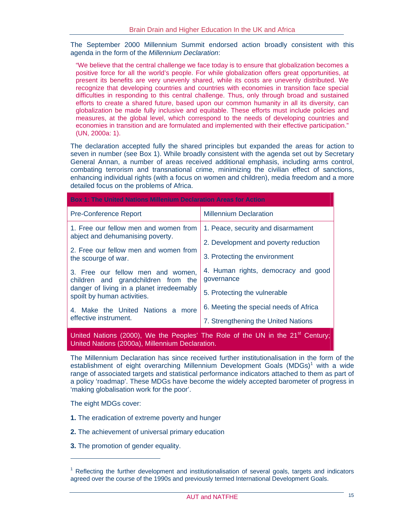The September 2000 Millennium Summit endorsed action broadly consistent with this agenda in the form of the *Millennium Declaration*:

"We believe that the central challenge we face today is to ensure that globalization becomes a positive force for all the world's people. For while globalization offers great opportunities, at present its benefits are very unevenly shared, while its costs are unevenly distributed. We recognize that developing countries and countries with economies in transition face special difficulties in responding to this central challenge. Thus, only through broad and sustained efforts to create a shared future, based upon our common humanity in all its diversity, can globalization be made fully inclusive and equitable. These efforts must include policies and measures, at the global level, which correspond to the needs of developing countries and economies in transition and are formulated and implemented with their effective participation." (UN, 2000a: 1).

The declaration accepted fully the shared principles but expanded the areas for action to seven in number (see Box 1). While broadly consistent with the agenda set out by Secretary General Annan, a number of areas received additional emphasis, including arms control, combating terrorism and transnational crime, minimizing the civilian effect of sanctions, enhancing individual rights (with a focus on women and children), media freedom and a more detailed focus on the problems of Africa.

| Box 1: The United Nations Millenium Declaration Areas for Action                           |                                                   |  |  |  |  |  |
|--------------------------------------------------------------------------------------------|---------------------------------------------------|--|--|--|--|--|
| <b>Pre-Conference Report</b>                                                               | <b>Millennium Declaration</b>                     |  |  |  |  |  |
| 1. Free our fellow men and women from                                                      | 1. Peace, security and disarmament                |  |  |  |  |  |
| abject and dehumanising poverty.                                                           | 2. Development and poverty reduction              |  |  |  |  |  |
| 2. Free our fellow men and women from<br>the scourge of war.                               | 3. Protecting the environment                     |  |  |  |  |  |
| 3. Free our fellow men and women,<br>children and grandchildren from the                   | 4. Human rights, democracy and good<br>governance |  |  |  |  |  |
| danger of living in a planet irredeemably<br>spoilt by human activities.                   | 5. Protecting the vulnerable                      |  |  |  |  |  |
| 4. Make the United Nations a more                                                          | 6. Meeting the special needs of Africa            |  |  |  |  |  |
| effective instrument.                                                                      | 7. Strengthening the United Nations               |  |  |  |  |  |
| United Nations (2000), We the Peoples' The Role of the UN in the 21 <sup>st</sup> Century; |                                                   |  |  |  |  |  |

United Nations (2000a), Millennium Declaration.

The Millennium Declaration has since received further institutionalisation in the form of the establishment of eight overarching Millennium Development Goals (MDGs)<sup>1</sup> with a wide range of associated targets and statistical performance indicators attached to them as part of a policy 'roadmap'. These MDGs have become the widely accepted barometer of progress in 'making globalisation work for the poor'.

The eight MDGs cover:

 $\overline{a}$ 

- **1.** The eradication of extreme poverty and hunger
- **2.** The achievement of universal primary education
- **3.** The promotion of gender equality.

<sup>&</sup>lt;sup>1</sup> Reflecting the further development and institutionalisation of several goals, targets and indicators agreed over the course of the 1990s and previously termed International Development Goals.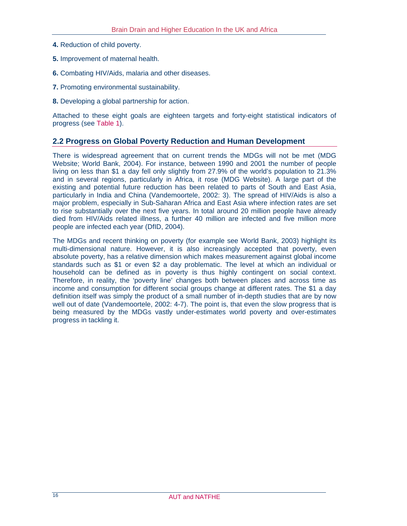- **4.** Reduction of child poverty.
- **5.** Improvement of maternal health.
- **6.** Combating HIV/Aids, malaria and other diseases.
- **7.** Promoting environmental sustainability.
- **8.** Developing a global partnership for action.

Attached to these eight goals are eighteen targets and forty-eight statistical indicators of progress (see Table 1).

#### **2.2 Progress on Global Poverty Reduction and Human Development**

There is widespread agreement that on current trends the MDGs will not be met (MDG Website; World Bank, 2004). For instance, between 1990 and 2001 the number of people living on less than \$1 a day fell only slightly from 27.9% of the world's population to 21.3% and in several regions, particularly in Africa, it rose (MDG Website). A large part of the existing and potential future reduction has been related to parts of South and East Asia, particularly in India and China (Vandemoortele, 2002: 3). The spread of HIV/Aids is also a major problem, especially in Sub-Saharan Africa and East Asia where infection rates are set to rise substantially over the next five years. In total around 20 million people have already died from HIV/Aids related illness, a further 40 million are infected and five million more people are infected each year (DfID, 2004).

The MDGs and recent thinking on poverty (for example see World Bank, 2003) highlight its multi-dimensional nature. However, it is also increasingly accepted that poverty, even absolute poverty, has a relative dimension which makes measurement against global income standards such as \$1 or even \$2 a day problematic. The level at which an individual or household can be defined as in poverty is thus highly contingent on social context. Therefore, in reality, the 'poverty line' changes both between places and across time as income and consumption for different social groups change at different rates. The \$1 a day definition itself was simply the product of a small number of in-depth studies that are by now well out of date (Vandemoortele, 2002: 4-7). The point is, that even the slow progress that is being measured by the MDGs vastly under-estimates world poverty and over-estimates progress in tackling it.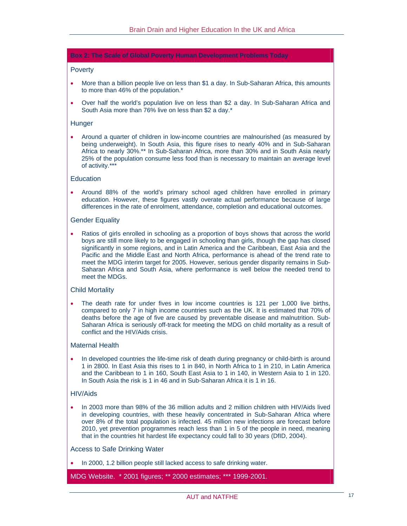#### **Box 2: The Scale of Global Poverty Human Development Problems Today**

#### **Poverty**

- More than a billion people live on less than \$1 a day. In Sub-Saharan Africa, this amounts to more than 46% of the population.\*
- Over half the world's population live on less than \$2 a day. In Sub-Saharan Africa and South Asia more than 76% live on less than \$2 a day.\*

#### **Hunger**

• Around a quarter of children in low-income countries are malnourished (as measured by being underweight). In South Asia, this figure rises to nearly 40% and in Sub-Saharan Africa to nearly 30%.\*\* In Sub-Saharan Africa, more than 30% and in South Asia nearly 25% of the population consume less food than is necessary to maintain an average level of activity.\*\*\*

#### **Education**

• Around 88% of the world's primary school aged children have enrolled in primary education. However, these figures vastly overate actual performance because of large differences in the rate of enrolment, attendance, completion and educational outcomes.

#### Gender Equality

• Ratios of girls enrolled in schooling as a proportion of boys shows that across the world boys are still more likely to be engaged in schooling than girls, though the gap has closed significantly in some regions, and in Latin America and the Caribbean, East Asia and the Pacific and the Middle East and North Africa, performance is ahead of the trend rate to meet the MDG interim target for 2005. However, serious gender disparity remains in Sub-Saharan Africa and South Asia, where performance is well below the needed trend to meet the MDGs.

#### Child Mortality

The death rate for under fives in low income countries is 121 per 1,000 live births, compared to only 7 in high income countries such as the UK. It is estimated that 70% of deaths before the age of five are caused by preventable disease and malnutrition. Sub-Saharan Africa is seriously off-track for meeting the MDG on child mortality as a result of conflict and the HIV/Aids crisis.

#### Maternal Health

• In developed countries the life-time risk of death during pregnancy or child-birth is around 1 in 2800. In East Asia this rises to 1 in 840, in North Africa to 1 in 210, in Latin America and the Caribbean to 1 in 160, South East Asia to 1 in 140, in Western Asia to 1 in 120. In South Asia the risk is 1 in 46 and in Sub-Saharan Africa it is 1 in 16.

#### HIV/Aids

• In 2003 more than 98% of the 36 million adults and 2 million children with HIV/Aids lived in developing countries, with these heavily concentrated in Sub-Saharan Africa where over 8% of the total population is infected. 45 million new infections are forecast before 2010, yet prevention programmes reach less than 1 in 5 of the people in need, meaning that in the countries hit hardest life expectancy could fall to 30 years (DfID, 2004).

#### Access to Safe Drinking Water

• In 2000, 1.2 billion people still lacked access to safe drinking water.

MDG Website. \* 2001 figures; \*\* 2000 estimates; \*\*\* 1999-2001.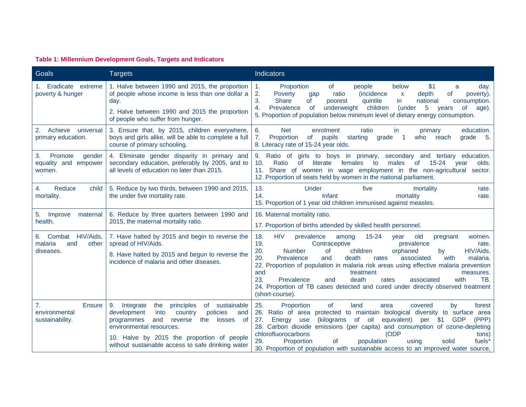#### **Table 1: Millennium Development Goals, Targets and Indicators**

| Goals                                                               | <b>Targets</b>                                                                                                                                                                                                                                                                                    | <b>Indicators</b>                                                                                                                                                                                                                                                                                                                                                                                                                                                                                                                                                                                                    |  |  |  |  |
|---------------------------------------------------------------------|---------------------------------------------------------------------------------------------------------------------------------------------------------------------------------------------------------------------------------------------------------------------------------------------------|----------------------------------------------------------------------------------------------------------------------------------------------------------------------------------------------------------------------------------------------------------------------------------------------------------------------------------------------------------------------------------------------------------------------------------------------------------------------------------------------------------------------------------------------------------------------------------------------------------------------|--|--|--|--|
| 1. Eradicate extreme<br>poverty & hunger                            | 1. Halve between 1990 and 2015, the proportion<br>of people whose income is less than one dollar a<br>day.                                                                                                                                                                                        | \$1<br>Proportion<br><b>of</b><br>people<br>below<br>$\mathbf{1}$ .<br>day.<br>a<br>2.<br><i>(incidence)</i><br>Poverty<br>ratio<br>depth<br>poverty).<br>gap<br>X<br>0t<br>3.<br>Share<br>quintile<br>in<br>national<br>consumption.<br><b>of</b><br>poorest                                                                                                                                                                                                                                                                                                                                                        |  |  |  |  |
|                                                                     | 2. Halve between 1990 and 2015 the proportion<br>of people who suffer from hunger.                                                                                                                                                                                                                | underweight<br>children<br>4.<br>Prevalence<br><sub>of</sub><br>5<br>(under<br>of<br>age).<br>years<br>5. Proportion of population below minimum level of dietary energy consumption.                                                                                                                                                                                                                                                                                                                                                                                                                                |  |  |  |  |
| Achieve<br>universal<br>2.<br>primary education.                    | 3. Ensure that, by 2015, children everywhere,<br>boys and girls alike, will be able to complete a full<br>course of primary schooling.                                                                                                                                                            | enrolment<br>education.<br>6.<br><b>Net</b><br>ratio<br>in.<br>primary<br>7.<br>Proportion<br>of<br>pupils<br>starting<br>grade<br>who<br>reach<br>grade<br>5.<br>8. Literacy rate of 15-24 year olds.                                                                                                                                                                                                                                                                                                                                                                                                               |  |  |  |  |
| 3.<br>Promote<br>gender<br>equality and empower<br>women.           | 4. Eliminate gender disparity in primary and<br>secondary education, preferably by 2005, and to<br>all levels of education no later than 2015.                                                                                                                                                    | 9. Ratio of<br>girls to boys in primary,<br>secondary and tertiary education.<br>10.<br>of<br>literate<br>Ratio<br>females<br>to<br>males<br>of .<br>15-24<br>vear<br>olds.<br>11. Share of women in wage employment in the non-agricultural<br>sector.<br>12. Proportion of seats held by women in the national parliament.                                                                                                                                                                                                                                                                                         |  |  |  |  |
| Reduce<br>child<br>4.<br>mortality.                                 | 5. Reduce by two thirds, between 1990 and 2015,<br>the under five mortality rate.                                                                                                                                                                                                                 | 13.<br>Under<br>five<br>mortality<br>rate.<br>14.<br>Infant<br>mortality<br>rate.<br>15. Proportion of 1 year old children immunised against measles.                                                                                                                                                                                                                                                                                                                                                                                                                                                                |  |  |  |  |
| 5. Improve<br>maternal<br>health.                                   | 6. Reduce by three quarters between 1990 and<br>2015, the maternal mortality ratio.                                                                                                                                                                                                               | 16. Maternal mortality ratio.<br>17. Proportion of births attended by skilled health personnel.                                                                                                                                                                                                                                                                                                                                                                                                                                                                                                                      |  |  |  |  |
| 6. Combat HIV/Aids,<br>malaria<br>other<br>and<br>diseases.         | 7. Have halted by 2015 and begin to reverse the<br>spread of HIV/Aids.<br>8. Have halted by 2015 and begun to reverse the<br>incidence of malaria and other diseases.                                                                                                                             | <b>HIV</b><br>$15 - 24$<br>18.<br>prevalence<br>old<br>among<br>women.<br>year<br>pregnant<br>19.<br>Contraceptive<br>prevalence<br>rate.<br>20.<br><b>Number</b><br>children<br>HIV/Aids.<br><b>of</b><br>orphaned<br>by<br>20.<br>Prevalence<br>death<br>with<br>and<br>rates<br>associated<br>malaria.<br>22. Proportion of population in malaria risk areas using effective malaria prevention<br>and<br>treatment<br>measures.<br>23.<br>Prevalence<br>death<br>and<br>rates<br>associated<br>with<br>TB.<br>24. Proportion of TB cases detected and cured under directly observed treatment<br>(short-course). |  |  |  |  |
| 7 <sub>1</sub><br><b>Ensure</b><br>environmental<br>sustainability. | 9.<br>the<br>principles<br>of sustainable<br>Integrate<br>development<br>policies<br>into<br>country<br>and<br>and<br>programmes<br>reverse<br>the<br>of<br>losses<br>environmental resources.<br>10. Halve by 2015 the proportion of people<br>without sustainable access to safe drinking water | 25.<br>Proportion<br>of<br>land<br>covered<br>by<br>forest<br>area<br>26. Ratio of area<br>protected to maintain biological diversity to surface area<br>equivalent)<br>27.<br>Energy<br>(kilograms<br>of oil<br>per<br>\$1<br><b>GDP</b><br>(PPP)<br>use<br>28. Carbon dioxide emissions (per capita) and consumption of ozone-depleting<br>chlorofluorocarbons<br>(ODP<br>tons)<br>29.<br><b>of</b><br>solid<br>fuels <sup>*</sup><br>Proportion<br>population<br>using<br>30. Proportion of population with sustainable access to an improved water source,                                                       |  |  |  |  |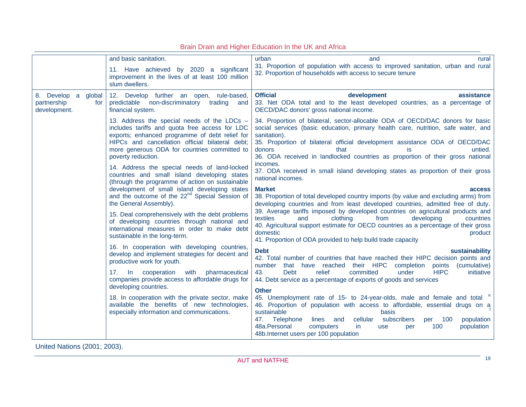|                                                              | and basic sanitation.                                                                                                                                                                                                                                                                    | urban<br>and<br>rural                                                                                                                                                                                                                                                                                                                                                                    |  |  |  |
|--------------------------------------------------------------|------------------------------------------------------------------------------------------------------------------------------------------------------------------------------------------------------------------------------------------------------------------------------------------|------------------------------------------------------------------------------------------------------------------------------------------------------------------------------------------------------------------------------------------------------------------------------------------------------------------------------------------------------------------------------------------|--|--|--|
|                                                              | 11. Have achieved by 2020 a significant<br>improvement in the lives of at least 100 million<br>slum dwellers.                                                                                                                                                                            | 31. Proportion of population with access to improved sanitation, urban and rural<br>32. Proportion of households with access to secure tenure                                                                                                                                                                                                                                            |  |  |  |
| 8. Develop a<br>global<br>partnership<br>for<br>development. | 12. Develop further an open, rule-based,<br>predictable non-discriminatory trading and<br>financial system.                                                                                                                                                                              | <b>Official</b><br>development<br>assistance<br>33. Net ODA total and to the least developed countries, as a percentage of<br>OECD/DAC donors' gross national income.                                                                                                                                                                                                                    |  |  |  |
|                                                              | 13. Address the special needs of the LDCs -<br>includes tariffs and quota free access for LDC<br>exports; enhanced programme of debt relief for<br>HIPCs and cancellation official bilateral debt;<br>more generous ODA for countries committed to<br>poverty reduction.                 | 34. Proportion of bilateral, sector-allocable ODA of OECD/DAC donors for basic<br>social services (basic education, primary health care, nutrition, safe water, and<br>sanitation).<br>35. Proportion of bilateral official development assistance ODA of OECD/DAC<br>donors<br>that<br>untied.<br>is.<br>36. ODA received in landlocked countries as proportion of their gross national |  |  |  |
|                                                              | 14. Address the special needs of land-locked<br>countries and small island developing states<br>(through the programme of action on sustainable<br>development of small island developing states<br>and the outcome of the 22 <sup>nd</sup> Special Session of<br>the General Assembly). | incomes.<br>37. ODA received in small island developing states as proportion of their gross<br>national incomes.                                                                                                                                                                                                                                                                         |  |  |  |
|                                                              |                                                                                                                                                                                                                                                                                          | <b>Market</b><br>access<br>38. Proportion of total developed country imports (by value and excluding arms) from<br>developing countries and from least developed countries, admitted free of duty.                                                                                                                                                                                       |  |  |  |
|                                                              | 15. Deal comprehensively with the debt problems<br>of developing countries through national and<br>international measures in order to make debt<br>sustainable in the long-term.                                                                                                         | 39. Average tariffs imposed by developed countries on agricultural products and<br>clothing<br>developing<br>textiles<br>and<br>from<br>countries<br>40. Agricultural support estimate for OECD countries as a percentage of their gross<br>domestic<br>product<br>41. Proportion of ODA provided to help build trade capacity                                                           |  |  |  |
|                                                              | 16. In cooperation with developing countries,<br>develop and implement strategies for decent and<br>productive work for youth.<br>17. In<br>cooperation<br>with<br>pharmaceutical<br>companies provide access to affordable drugs for<br>developing countries.                           | <b>Debt</b><br>sustainability<br>42. Total number of countries that have reached their HIPC decision points and<br>that have reached their HIPC completion points<br>number<br>(cumulative)                                                                                                                                                                                              |  |  |  |
|                                                              |                                                                                                                                                                                                                                                                                          | relief<br><b>HIPC</b><br>43.<br><b>Debt</b><br>committed<br>under<br>initiative<br>44. Debt service as a percentage of exports of goods and services<br><b>Other</b>                                                                                                                                                                                                                     |  |  |  |
|                                                              | 18. In cooperation with the private sector, make<br>available the benefits of new technologies,<br>especially information and communications.                                                                                                                                            | 45. Unemployment rate of 15- to 24-year-olds, male and female and total<br>46. Proportion of population with access to affordable, essential drugs on a<br>sustainable<br>basis                                                                                                                                                                                                          |  |  |  |
|                                                              |                                                                                                                                                                                                                                                                                          | subscribers<br>47. Telephone<br>lines and<br>cellular<br>100<br>population<br>per<br>48a.Personal<br>100<br>computers<br>population<br>in.<br><b>use</b><br>per<br>48b. Internet users per 100 population                                                                                                                                                                                |  |  |  |

Brain Drain and Higher Education In the UK and Africa

United Nations (2001; 2003).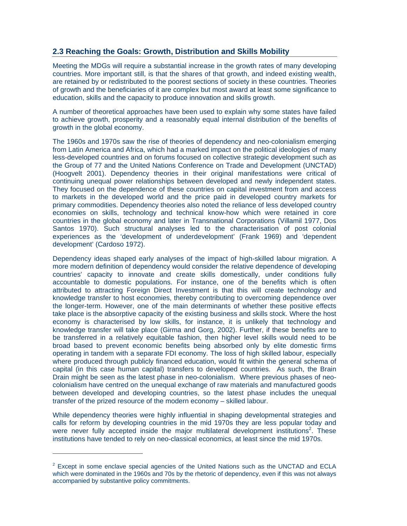### **2.3 Reaching the Goals: Growth, Distribution and Skills Mobility**

Meeting the MDGs will require a substantial increase in the growth rates of many developing countries. More important still, is that the shares of that growth, and indeed existing wealth, are retained by or redistributed to the poorest sections of society in these countries. Theories of growth and the beneficiaries of it are complex but most award at least some significance to education, skills and the capacity to produce innovation and skills growth.

A number of theoretical approaches have been used to explain why some states have failed to achieve growth, prosperity and a reasonably equal internal distribution of the benefits of growth in the global economy.

The 1960s and 1970s saw the rise of theories of dependency and neo-colonialism emerging from Latin America and Africa, which had a marked impact on the political ideologies of many less-developed countries and on forums focused on collective strategic development such as the Group of 77 and the United Nations Conference on Trade and Development (UNCTAD) (Hoogvelt 2001). Dependency theories in their original manifestations were critical of continuing unequal power relationships between developed and newly independent states. They focused on the dependence of these countries on capital investment from and access to markets in the developed world and the price paid in developed country markets for primary commodities. Dependency theories also noted the reliance of less developed country economies on skills, technology and technical know-how which were retained in core countries in the global economy and later in Transnational Corporations (Villamil 1977, Dos Santos 1970). Such structural analyses led to the characterisation of post colonial experiences as the 'development of underdevelopment' (Frank 1969) and 'dependent development' (Cardoso 1972).

Dependency ideas shaped early analyses of the impact of high-skilled labour migration. A more modern definition of dependency would consider the relative dependence of developing countries' capacity to innovate and create skills domestically, under conditions fully accountable to domestic populations. For instance, one of the benefits which is often attributed to attracting Foreign Direct Investment is that this will create technology and knowledge transfer to host economies, thereby contributing to overcoming dependence over the longer-term. However, one of the main determinants of whether these positive effects take place is the absorptive capacity of the existing business and skills stock. Where the host economy is characterised by low skills, for instance, it is unlikely that technology and knowledge transfer will take place (Girma and Gorg, 2002). Further, if these benefits are to be transferred in a relatively equitable fashion, then higher level skills would need to be broad based to prevent economic benefits being absorbed only by elite domestic firms operating in tandem with a separate FDI economy. The loss of high skilled labour, especially where produced through publicly financed education, would fit within the general schema of capital (in this case human capital) transfers to developed countries. As such, the Brain Drain might be seen as the latest phase in neo-colonialism. Where previous phases of neocolonialism have centred on the unequal exchange of raw materials and manufactured goods between developed and developing countries, so the latest phase includes the unequal transfer of the prized resource of the modern economy – skilled labour.

While dependency theories were highly influential in shaping developmental strategies and calls for reform by developing countries in the mid 1970s they are less popular today and were never fully accepted inside the major multilateral development institutions<sup>2</sup>. These institutions have tended to rely on neo-classical economics, at least since the mid 1970s.

 $\overline{a}$ 

 $2$  Except in some enclave special agencies of the United Nations such as the UNCTAD and ECLA which were dominated in the 1960s and 70s by the rhetoric of dependency, even if this was not always accompanied by substantive policy commitments.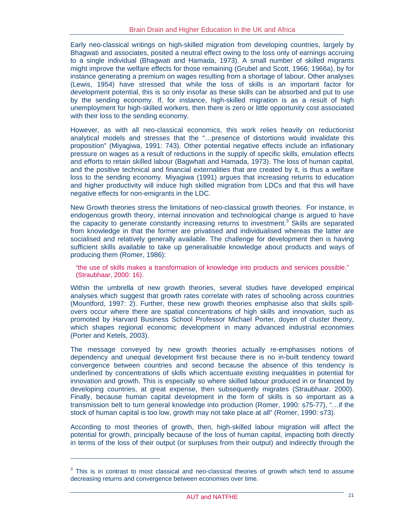Early neo-classical writings on high-skilled migration from developing countries, largely by Bhagwati and associates, posited a neutral effect owing to the loss only of earnings accruing to a single individual (Bhagwati and Hamada, 1973). A small number of skilled migrants might improve the welfare effects for those remaining (Grubel and Scott, 1966; 1966a), by for instance generating a premium on wages resulting from a shortage of labour. Other analyses (Lewis, 1954) have stressed that while the loss of skills is an important factor for development potential, this is so only insofar as these skills can be absorbed and put to use by the sending economy. If, for instance, high-skilled migration is as a result of high unemployment for high-skilled workers, then there is zero or little opportunity cost associated with their loss to the sending economy.

However, as with all neo-classical economics, this work relies heavily on reductionist analytical models and stresses that the "…presence of distortions would invalidate this proposition" (Miyagiwa, 1991: 743). Other potential negative effects include an inflationary pressure on wages as a result of reductions in the supply of specific skills, emulation effects and efforts to retain skilled labour (Bagwhati and Hamada, 1973). The loss of human capital, and the positive technical and financial externalities that are created by it, is thus a welfare loss to the sending economy. Miyagiwa (1991) argues that increasing returns to education and higher productivity will induce high skilled migration from LDCs and that this will have negative effects for non-emigrants in the LDC.

New Growth theories stress the limitations of neo-classical growth theories. For instance, in endogenous growth theory, internal innovation and technological change is argued to have the capacity to generate constantly increasing returns to investment.<sup>3</sup> Skills are separated from knowledge in that the former are privatised and individualised whereas the latter are socialised and relatively generally available. The challenge for development then is having sufficient skills available to take up generalisable knowledge about products and ways of producing them (Romer, 1986):

"the use of skills makes a transformation of knowledge into products and services possible." (Straubhaar, 2000: 16).

Within the umbrella of new growth theories, several studies have developed empirical analyses which suggest that growth rates correlate with rates of schooling across countries (Mountford, 1997: 2). Further, these new growth theories emphasise also that skills spillovers occur where there are spatial concentrations of high skills and innovation, such as promoted by Harvard Business School Professor Michael Porter, doyen of cluster theory, which shapes regional economic development in many advanced industrial economies (Porter and Ketels, 2003).

The message conveyed by new growth theories actually re-emphasises notions of dependency and unequal development first because there is no in-built tendency toward convergence between countries and second because the absence of this tendency is underlined by concentrations of skills which accentuate existing inequalities in potential for innovation and growth. This is especially so where skilled labour produced in or financed by developing countries, at great expense, then subsequently migrates (Straubhaar. 2000). Finally, because human capital development in the form of skills is so important as a transmission belt to turn general knowledge into production (Romer, 1990: s75-77), "…if the stock of human capital is too low, growth may not take place at all" (Romer, 1990: s73).

According to most theories of growth, then, high-skilled labour migration will affect the potential for growth, principally because of the loss of human capital, impacting both directly in terms of the loss of their output (or surpluses from their output) and indirectly through the

 $\overline{a}$ 

 $3$  This is in contrast to most classical and neo-classical theories of growth which tend to assume decreasing returns and convergence between economies over time.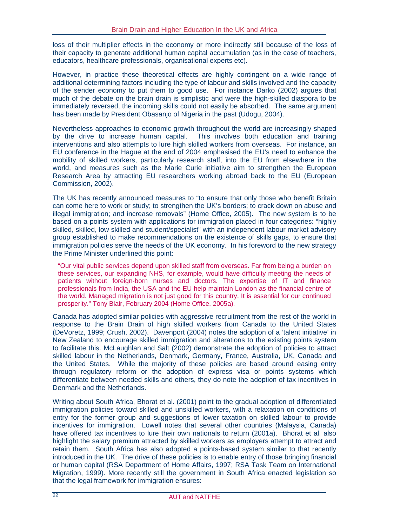loss of their multiplier effects in the economy or more indirectly still because of the loss of their capacity to generate additional human capital accumulation (as in the case of teachers, educators, healthcare professionals, organisational experts etc).

However, in practice these theoretical effects are highly contingent on a wide range of additional determining factors including the type of labour and skills involved and the capacity of the sender economy to put them to good use. For instance Darko (2002) argues that much of the debate on the brain drain is simplistic and were the high-skilled diaspora to be immediately reversed, the incoming skills could not easily be absorbed. The same argument has been made by President Obasanio of Nigeria in the past (Udogu, 2004).

Nevertheless approaches to economic growth throughout the world are increasingly shaped by the drive to increase human capital. This involves both education and training interventions and also attempts to lure high skilled workers from overseas. For instance, an EU conference in the Hague at the end of 2004 emphasised the EU's need to enhance the mobility of skilled workers, particularly research staff, into the EU from elsewhere in the world, and measures such as the Marie Curie initiative aim to strengthen the European Research Area by attracting EU researchers working abroad back to the EU (European Commission, 2002).

The UK has recently announced measures to "to ensure that only those who benefit Britain can come here to work or study; to strengthen the UK's borders; to crack down on abuse and illegal immigration; and increase removals" (Home Office, 2005). The new system is to be based on a points system with applications for immigration placed in four categories: "highly skilled, skilled, low skilled and student/specialist" with an independent labour market advisory group established to make recommendations on the existence of skills gaps, to ensure that immigration policies serve the needs of the UK economy. In his foreword to the new strategy the Prime Minister underlined this point:

"Our vital public services depend upon skilled staff from overseas. Far from being a burden on these services, our expanding NHS, for example, would have difficulty meeting the needs of patients without foreign-born nurses and doctors. The expertise of IT and finance professionals from India, the USA and the EU help maintain London as the financial centre of the world. Managed migration is not just good for this country. It is essential for our continued prosperity." Tony Blair, February 2004 (Home Office, 2005a).

Canada has adopted similar policies with aggressive recruitment from the rest of the world in response to the Brain Drain of high skilled workers from Canada to the United States (DeVoretz, 1999; Crush, 2002). Davenport (2004) notes the adoption of a 'talent initiative' in New Zealand to encourage skilled immigration and alterations to the existing points system to facilitate this. McLaughlan and Salt (2002) demonstrate the adoption of policies to attract skilled labour in the Netherlands, Denmark, Germany, France, Australia, UK, Canada and the United States. While the majority of these policies are based around easing entry through regulatory reform or the adoption of express visa or points systems which differentiate between needed skills and others, they do note the adoption of tax incentives in Denmark and the Netherlands.

Writing about South Africa, Bhorat et al. (2001) point to the gradual adoption of differentiated immigration policies toward skilled and unskilled workers, with a relaxation on conditions of entry for the former group and suggestions of lower taxation on skilled labour to provide incentives for immigration. Lowell notes that several other countries (Malaysia, Canada) have offered tax incentives to lure their own nationals to return (2001a). Bhorat et al. also highlight the salary premium attracted by skilled workers as employers attempt to attract and retain them. South Africa has also adopted a points-based system similar to that recently introduced in the UK. The drive of these policies is to enable entry of those bringing financial or human capital (RSA Department of Home Affairs, 1997; RSA Task Team on International Migration, 1999). More recently still the government in South Africa enacted legislation so that the legal framework for immigration ensures: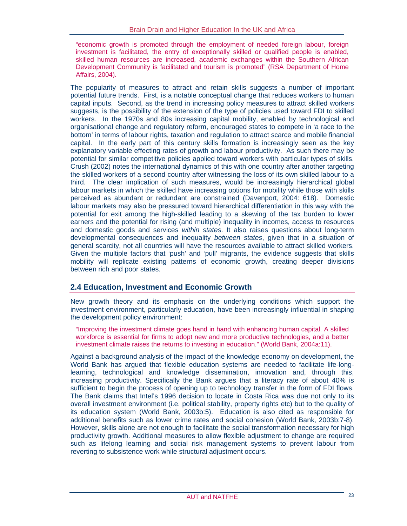"economic growth is promoted through the employment of needed foreign labour, foreign investment is facilitated, the entry of exceptionally skilled or qualified people is enabled, skilled human resources are increased, academic exchanges within the Southern African Development Community is facilitated and tourism is promoted" (RSA Department of Home Affairs, 2004).

The popularity of measures to attract and retain skills suggests a number of important potential future trends. First, is a notable conceptual change that reduces workers to human capital inputs. Second, as the trend in increasing policy measures to attract skilled workers suggests, is the possibility of the extension of the type of policies used toward FDI to skilled workers. In the 1970s and 80s increasing capital mobility, enabled by technological and organisational change and regulatory reform, encouraged states to compete in 'a race to the bottom' in terms of labour rights, taxation and regulation to attract scarce and mobile financial capital. In the early part of this century skills formation is increasingly seen as the key explanatory variable effecting rates of growth and labour productivity. As such there may be potential for similar competitive policies applied toward workers with particular types of skills. Crush (2002) notes the international dynamics of this with one country after another targeting the skilled workers of a second country after witnessing the loss of its own skilled labour to a third. The clear implication of such measures, would be increasingly hierarchical global labour markets in which the skilled have increasing options for mobility while those with skills perceived as abundant or redundant are constrained (Davenport, 2004: 618). Domestic labour markets may also be pressured toward hierarchical differentiation in this way with the potential for exit among the high-skilled leading to a skewing of the tax burden to lower earners and the potential for rising (and multiple) inequality in incomes, access to resources and domestic goods and services *within states*. It also raises questions about long-term developmental consequences and inequality *between states*, given that in a situation of general scarcity, not all countries will have the resources available to attract skilled workers. Given the multiple factors that 'push' and 'pull' migrants, the evidence suggests that skills mobility will replicate existing patterns of economic growth, creating deeper divisions between rich and poor states.

## **2.4 Education, Investment and Economic Growth**

New growth theory and its emphasis on the underlying conditions which support the investment environment, particularly education, have been increasingly influential in shaping the development policy environment:

"Improving the investment climate goes hand in hand with enhancing human capital. A skilled workforce is essential for firms to adopt new and more productive technologies, and a better investment climate raises the returns to investing in education." (World Bank, 2004a:11).

Against a background analysis of the impact of the knowledge economy on development, the World Bank has argued that flexible education systems are needed to facilitate life-longlearning, technological and knowledge dissemination, innovation and, through this, increasing productivity. Specifically the Bank argues that a literacy rate of about 40% is sufficient to begin the process of opening up to technology transfer in the form of FDI flows. The Bank claims that Intel's 1996 decision to locate in Costa Rica was due not only to its overall investment environment (i.e. political stability, property rights etc) but to the quality of its education system (World Bank, 2003b:5). Education is also cited as responsible for additional benefits such as lower crime rates and social cohesion (World Bank, 2003b:7-8). However, skills alone are not enough to facilitate the social transformation necessary for high productivity growth. Additional measures to allow flexible adjustment to change are required such as lifelong learning and social risk management systems to prevent labour from reverting to subsistence work while structural adjustment occurs.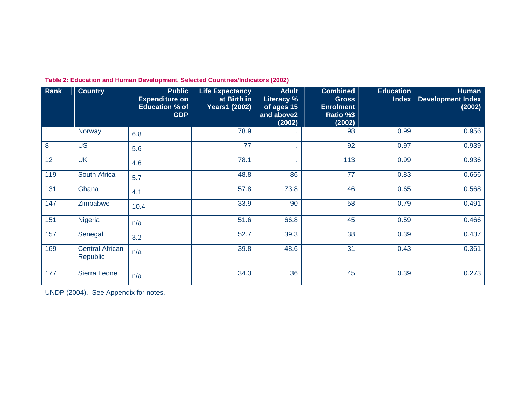| Rank              | <b>Country</b>                     | <b>Public</b><br><b>Expenditure on</b><br><b>Education % of</b><br><b>GDP</b> | <b>Life Expectancy</b><br>at Birth in<br><b>Years1 (2002)</b> | <b>Adult</b><br><b>Literacy %</b><br>of ages 15<br>and above2<br>(2002) | <b>Combined</b><br><b>Gross</b><br><b>Enrolment</b><br>Ratio %3<br>(2002) | <b>Education</b><br><b>Index</b> | <b>Human</b><br><b>Development Index</b><br>(2002) |
|-------------------|------------------------------------|-------------------------------------------------------------------------------|---------------------------------------------------------------|-------------------------------------------------------------------------|---------------------------------------------------------------------------|----------------------------------|----------------------------------------------------|
| $\overline{1}$    | Norway                             | 6.8                                                                           | 78.9                                                          | 44.                                                                     | 98                                                                        | 0.99                             | 0.956                                              |
| 8                 | <b>US</b>                          | 5.6                                                                           | 77                                                            | 44.                                                                     | 92                                                                        | 0.97                             | 0.939                                              |
| 12                | <b>UK</b>                          | 4.6                                                                           | 78.1                                                          | o a                                                                     | 113                                                                       | 0.99                             | 0.936                                              |
| 119               | South Africa                       | 5.7                                                                           | 48.8                                                          | 86                                                                      | 77                                                                        | 0.83                             | 0.666                                              |
| 131               | Ghana                              | 4.1                                                                           | 57.8                                                          | 73.8                                                                    | 46                                                                        | 0.65                             | 0.568                                              |
| $\frac{147}{147}$ | Zimbabwe                           | 10.4                                                                          | 33.9                                                          | 90                                                                      | 58                                                                        | 0.79                             | 0.491                                              |
| 151               | Nigeria                            | n/a                                                                           | 51.6                                                          | 66.8                                                                    | 45                                                                        | 0.59                             | 0.466                                              |
| 157               | Senegal                            | 3.2                                                                           | 52.7                                                          | 39.3                                                                    | 38                                                                        | 0.39                             | 0.437                                              |
| 169               | <b>Central African</b><br>Republic | n/a                                                                           | 39.8                                                          | 48.6                                                                    | 31                                                                        | 0.43                             | 0.361                                              |
| 177               | Sierra Leone                       | n/a                                                                           | 34.3                                                          | 36                                                                      | 45                                                                        | 0.39                             | 0.273                                              |

**Table 2: Education and Human Development, Selected Countries/Indicators (2002)** 

UNDP (2004). See Appendix for notes.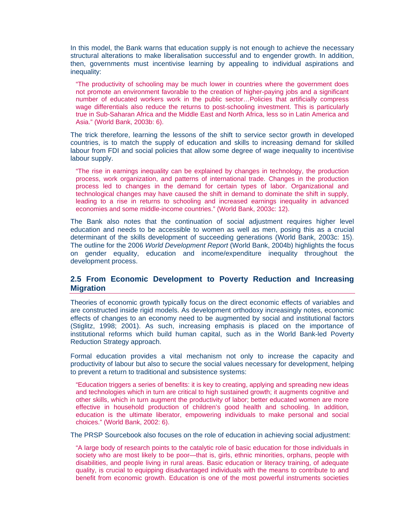In this model, the Bank warns that education supply is not enough to achieve the necessary structural alterations to make liberalisation successful and to engender growth. In addition, then, governments must incentivise learning by appealing to individual aspirations and inequality:

"The productivity of schooling may be much lower in countries where the government does not promote an environment favorable to the creation of higher-paying jobs and a significant number of educated workers work in the public sector…Policies that artificially compress wage differentials also reduce the returns to post-schooling investment. This is particularly true in Sub-Saharan Africa and the Middle East and North Africa, less so in Latin America and Asia." (World Bank, 2003b: 6).

The trick therefore, learning the lessons of the shift to service sector growth in developed countries, is to match the supply of education and skills to increasing demand for skilled labour from FDI and social policies that allow some degree of wage inequality to incentivise labour supply.

"The rise in earnings inequality can be explained by changes in technology, the production process, work organization, and patterns of international trade. Changes in the production process led to changes in the demand for certain types of labor. Organizational and technological changes may have caused the shift in demand to dominate the shift in supply, leading to a rise in returns to schooling and increased earnings inequality in advanced economies and some middle-income countries." (World Bank, 2003c: 12).

The Bank also notes that the continuation of social adjustment requires higher level education and needs to be accessible to women as well as men, posing this as a crucial determinant of the skills development of succeeding generations (World Bank, 2003c: 15). The outline for the 2006 *World Development Report* (World Bank, 2004b) highlights the focus on gender equality, education and income/expenditure inequality throughout the development process.

#### **2.5 From Economic Development to Poverty Reduction and Increasing Migration**

Theories of economic growth typically focus on the direct economic effects of variables and are constructed inside rigid models. As development orthodoxy increasingly notes, economic effects of changes to an economy need to be augmented by social and institutional factors (Stiglitz, 1998; 2001). As such, increasing emphasis is placed on the importance of institutional reforms which build human capital, such as in the World Bank-led Poverty Reduction Strategy approach.

Formal education provides a vital mechanism not only to increase the capacity and productivity of labour but also to secure the social values necessary for development, helping to prevent a return to traditional and subsistence systems:

"Education triggers a series of benefits: it is key to creating, applying and spreading new ideas and technologies which in turn are critical to high sustained growth; it augments cognitive and other skills, which in turn augment the productivity of labor; better educated women are more effective in household production of children's good health and schooling. In addition, education is the ultimate liberator, empowering individuals to make personal and social choices." (World Bank, 2002: 6).

The PRSP Sourcebook also focuses on the role of education in achieving social adjustment:

"A large body of research points to the catalytic role of basic education for those individuals in society who are most likely to be poor—that is, girls, ethnic minorities, orphans, people with disabilities, and people living in rural areas. Basic education or literacy training, of adequate quality, is crucial to equipping disadvantaged individuals with the means to contribute to and benefit from economic growth. Education is one of the most powerful instruments societies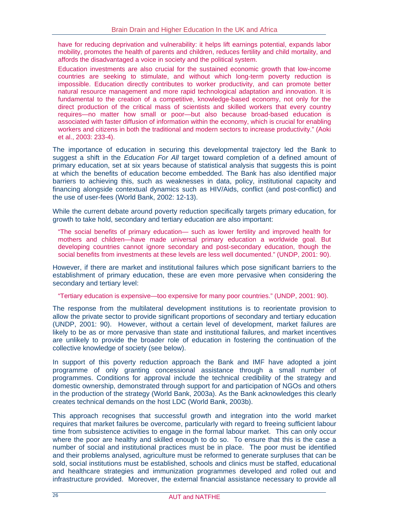have for reducing deprivation and vulnerability: it helps lift earnings potential, expands labor mobility, promotes the health of parents and children, reduces fertility and child mortality, and affords the disadvantaged a voice in society and the political system.

Education investments are also crucial for the sustained economic growth that low-income countries are seeking to stimulate, and without which long-term poverty reduction is impossible. Education directly contributes to worker productivity, and can promote better natural resource management and more rapid technological adaptation and innovation. It is fundamental to the creation of a competitive, knowledge-based economy, not only for the direct production of the critical mass of scientists and skilled workers that every country requires—no matter how small or poor—but also because broad-based education is associated with faster diffusion of information within the economy, which is crucial for enabling workers and citizens in both the traditional and modern sectors to increase productivity." (Aoki et al., 2003: 233-4).

The importance of education in securing this developmental trajectory led the Bank to suggest a shift in the *Education For All* target toward completion of a defined amount of primary education, set at six years because of statistical analysis that suggests this is point at which the benefits of education become embedded. The Bank has also identified major barriers to achieving this, such as weaknesses in data, policy, institutional capacity and financing alongside contextual dynamics such as HIV/Aids, conflict (and post-conflict) and the use of user-fees (World Bank, 2002: 12-13).

While the current debate around poverty reduction specifically targets primary education, for growth to take hold, secondary and tertiary education are also important:

"The social benefits of primary education— such as lower fertility and improved health for mothers and children—have made universal primary education a worldwide goal. But developing countries cannot ignore secondary and post-secondary education, though the social benefits from investments at these levels are less well documented." (UNDP, 2001: 90).

However, if there are market and institutional failures which pose significant barriers to the establishment of primary education, these are even more pervasive when considering the secondary and tertiary level:

"Tertiary education is expensive—too expensive for many poor countries." (UNDP, 2001: 90).

The response from the multilateral development institutions is to reorientate provision to allow the private sector to provide significant proportions of secondary and tertiary education (UNDP, 2001: 90). However, without a certain level of development, market failures are likely to be as or more pervasive than state and institutional failures, and market incentives are unlikely to provide the broader role of education in fostering the continuation of the collective knowledge of society (see below).

In support of this poverty reduction approach the Bank and IMF have adopted a joint programme of only granting concessional assistance through a small number of programmes. Conditions for approval include the technical credibility of the strategy and domestic ownership, demonstrated through support for and participation of NGOs and others in the production of the strategy (World Bank, 2003a). As the Bank acknowledges this clearly creates technical demands on the host LDC (World Bank, 2003b).

This approach recognises that successful growth and integration into the world market requires that market failures be overcome, particularly with regard to freeing sufficient labour time from subsistence activities to engage in the formal labour market. This can only occur where the poor are healthy and skilled enough to do so. To ensure that this is the case a number of social and institutional practices must be in place. The poor must be identified and their problems analysed, agriculture must be reformed to generate surpluses that can be sold, social institutions must be established, schools and clinics must be staffed, educational and healthcare strategies and immunization programmes developed and rolled out and infrastructure provided. Moreover, the external financial assistance necessary to provide all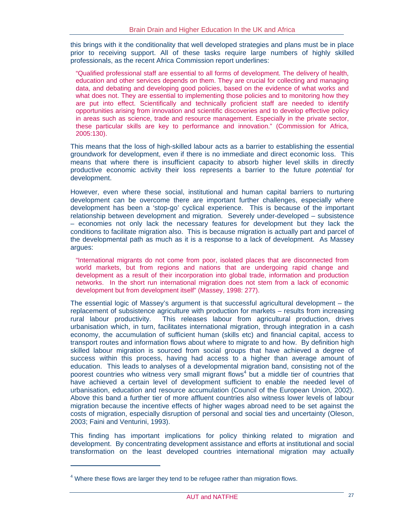this brings with it the conditionality that well developed strategies and plans must be in place prior to receiving support. All of these tasks require large numbers of highly skilled professionals, as the recent Africa Commission report underlines:

"Qualified professional staff are essential to all forms of development. The delivery of health, education and other services depends on them. They are crucial for collecting and managing data, and debating and developing good policies, based on the evidence of what works and what does not. They are essential to implementing those policies and to monitoring how they are put into effect. Scientifically and technically proficient staff are needed to identify opportunities arising from innovation and scientific discoveries and to develop effective policy in areas such as science, trade and resource management. Especially in the private sector, these particular skills are key to performance and innovation." (Commission for Africa, 2005:130).

This means that the loss of high-skilled labour acts as a barrier to establishing the essential groundwork for development, even if there is no immediate and direct economic loss. This means that where there is insufficient capacity to absorb higher level skills in directly productive economic activity their loss represents a barrier to the future *potential* for development.

However, even where these social, institutional and human capital barriers to nurturing development can be overcome there are important further challenges, especially where development has been a 'stop-go' cyclical experience. This is because of the important relationship between development and migration. Severely under-developed – subsistence – economies not only lack the necessary features for development but they lack the conditions to facilitate migration also. This is because migration is actually part and parcel of the developmental path as much as it is a response to a lack of development. As Massey argues:

"International migrants do not come from poor, isolated places that are disconnected from world markets, but from regions and nations that are undergoing rapid change and development as a result of their incorporation into global trade, information and production networks. In the short run international migration does not stem from a lack of economic development but from development itself" (Massey, 1998: 277).

The essential logic of Massey's argument is that successful agricultural development – the replacement of subsistence agriculture with production for markets – results from increasing rural labour productivity. This releases labour from agricultural production, drives urbanisation which, in turn, facilitates international migration, through integration in a cash economy, the accumulation of sufficient human (skills etc) and financial capital, access to transport routes and information flows about where to migrate to and how. By definition high skilled labour migration is sourced from social groups that have achieved a degree of success within this process, having had access to a higher than average amount of education. This leads to analyses of a developmental migration band, consisting not of the poorest countries who witness very small migrant flows<sup>4</sup> but a middle tier of countries that have achieved a certain level of development sufficient to enable the needed level of urbanisation, education and resource accumulation (Council of the European Union, 2002). Above this band a further tier of more affluent countries also witness lower levels of labour migration because the incentive effects of higher wages abroad need to be set against the costs of migration, especially disruption of personal and social ties and uncertainty (Oleson, 2003; Faini and Venturini, 1993).

This finding has important implications for policy thinking related to migration and development. By concentrating development assistance and efforts at institutional and social transformation on the least developed countries international migration may actually

 $\overline{a}$ 

 $<sup>4</sup>$  Where these flows are larger they tend to be refugee rather than migration flows.</sup>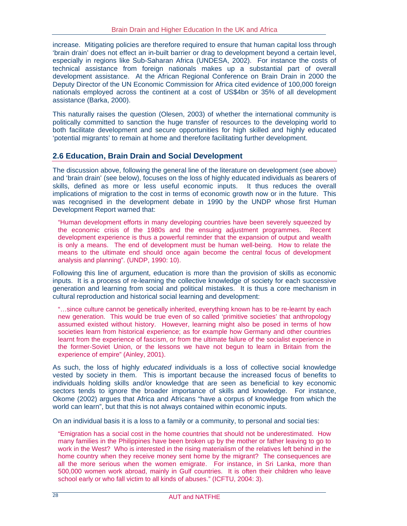increase. Mitigating policies are therefore required to ensure that human capital loss through 'brain drain' does not effect an in-built barrier or drag to development beyond a certain level, especially in regions like Sub-Saharan Africa (UNDESA, 2002). For instance the costs of technical assistance from foreign nationals makes up a substantial part of overall development assistance. At the African Regional Conference on Brain Drain in 2000 the Deputy Director of the UN Economic Commission for Africa cited evidence of 100,000 foreign nationals employed across the continent at a cost of US\$4bn or 35% of all development assistance (Barka, 2000).

This naturally raises the question (Olesen, 2003) of whether the international community is politically committed to sanction the huge transfer of resources to the developing world to both facilitate development and secure opportunities for high skilled and highly educated 'potential migrants' to remain at home and therefore facilitating further development.

## **2.6 Education, Brain Drain and Social Development**

The discussion above, following the general line of the literature on development (see above) and 'brain drain' (see below), focuses on the loss of highly educated individuals as bearers of skills, defined as more or less useful economic inputs. It thus reduces the overall implications of migration to the cost in terms of economic growth now or in the future. This was recognised in the development debate in 1990 by the UNDP whose first Human Development Report warned that:

"Human development efforts in many developing countries have been severely squeezed by the economic crisis of the 1980s and the ensuing adjustment programmes. Recent development experience is thus a powerful reminder that the expansion of output and wealth is only a means. The end of development must be human well-being. How to relate the means to the ultimate end should once again become the central focus of development analysis and planning". (UNDP, 1990: 10).

Following this line of argument, education is more than the provision of skills as economic inputs. It is a process of re-learning the collective knowledge of society for each successive generation and learning from social and political mistakes. It is thus a core mechanism in cultural reproduction and historical social learning and development:

"…since culture cannot be genetically inherited, everything known has to be re-learnt by each new generation. This would be true even of so called 'primitive societies' that anthropology assumed existed without history. However, learning might also be posed in terms of how societies learn from historical experience; as for example how Germany and other countries learnt from the experience of fascism, or from the ultimate failure of the socialist experience in the former-Soviet Union, or the lessons we have not begun to learn in Britain from the experience of empire" (Ainley, 2001).

As such, the loss of highly *educated* individuals is a loss of collective social knowledge vested by society in them. This is important because the increased focus of benefits to individuals holding skills and/or knowledge that are seen as beneficial to key economic sectors tends to ignore the broader importance of skills and knowledge. For instance, Okome (2002) argues that Africa and Africans "have a corpus of knowledge from which the world can learn", but that this is not always contained within economic inputs.

On an individual basis it is a loss to a family or a community, to personal and social ties:

"Emigration has a social cost in the home countries that should not be underestimated. How many families in the Philippines have been broken up by the mother or father leaving to go to work in the West? Who is interested in the rising materialism of the relatives left behind in the home country when they receive money sent home by the migrant? The consequences are all the more serious when the women emigrate. For instance, in Sri Lanka, more than 500,000 women work abroad, mainly in Gulf countries. It is often their children who leave school early or who fall victim to all kinds of abuses." (ICFTU, 2004: 3).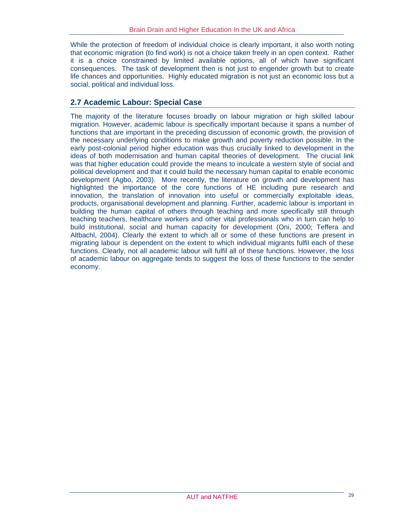While the protection of freedom of individual choice is clearly important, it also worth noting that economic migration (to find work) is not a choice taken freely in an open context. Rather it is a choice constrained by limited available options, all of which have significant consequences. The task of development then is not just to engender growth but to create life chances and opportunities. Highly educated migration is not just an economic loss but a social, political and individual loss.

## **2.7 Academic Labour: Special Case**

The majority of the literature focuses broadly on labour migration or high skilled labour migration. However, academic labour is specifically important because it spans a number of functions that are important in the preceding discussion of economic growth, the provision of the necessary underlying conditions to make growth and poverty reduction possible. In the early post-colonial period higher education was thus crucially linked to development in the ideas of both modernisation and human capital theories of development. The crucial link was that higher education could provide the means to inculcate a western style of social and political development and that it could build the necessary human capital to enable economic development (Agbo, 2003). More recently, the literature on growth and development has highlighted the importance of the core functions of HE including pure research and innovation, the translation of innovation into useful or commercially exploitable ideas, products, organisational development and planning. Further, academic labour is important in building the human capital of others through teaching and more specifically still through teaching teachers, healthcare workers and other vital professionals who in turn can help to build institutional, social and human capacity for development (Oni, 2000; Teffera and Altbachl, 2004). Clearly the extent to which all or some of these functions are present in migrating labour is dependent on the extent to which individual migrants fulfil each of these functions. Clearly, not all academic labour will fulfil all of these functions. However, the loss of academic labour on aggregate tends to suggest the loss of these functions to the sender economy.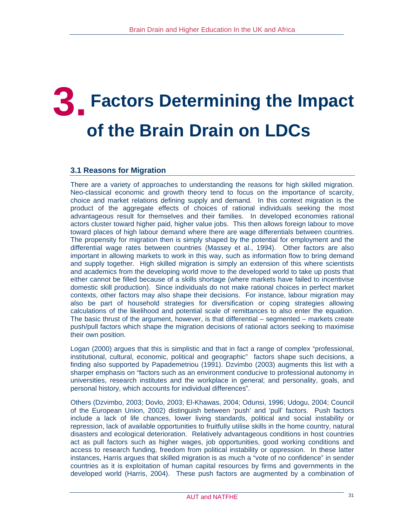# **3. Factors Determining the Impact of the Brain Drain on LDCs**

## **3.1 Reasons for Migration**

There are a variety of approaches to understanding the reasons for high skilled migration. Neo-classical economic and growth theory tend to focus on the importance of scarcity, choice and market relations defining supply and demand. In this context migration is the product of the aggregate effects of choices of rational individuals seeking the most advantageous result for themselves and their families. In developed economies rational actors cluster toward higher paid, higher value jobs. This then allows foreign labour to move toward places of high labour demand where there are wage differentials between countries. The propensity for migration then is simply shaped by the potential for employment and the differential wage rates between countries (Massey et al., 1994). Other factors are also important in allowing markets to work in this way, such as information flow to bring demand and supply together. High skilled migration is simply an extension of this where scientists and academics from the developing world move to the developed world to take up posts that either cannot be filled because of a skills shortage (where markets have failed to incentivise domestic skill production). Since individuals do not make rational choices in perfect market contexts, other factors may also shape their decisions. For instance, labour migration may also be part of household strategies for diversification or coping strategies allowing calculations of the likelihood and potential scale of remittances to also enter the equation. The basic thrust of the argument, however, is that differential – segmented – markets create push/pull factors which shape the migration decisions of rational actors seeking to maximise their own position.

Logan (2000) argues that this is simplistic and that in fact a range of complex "professional, institutional, cultural, economic, political and geographic" factors shape such decisions, a finding also supported by Papademetriou (1991). Dzvimbo (2003) augments this list with a sharper emphasis on "factors such as an environment conducive to professional autonomy in universities, research institutes and the workplace in general; and personality, goals, and personal history, which accounts for individual differences".

Others (Dzvimbo, 2003; Dovlo, 2003; El-Khawas, 2004; Odunsi, 1996; Udogu, 2004; Council of the European Union, 2002) distinguish between 'push' and 'pull' factors. Push factors include a lack of life chances, lower living standards, political and social instability or repression, lack of available opportunities to fruitfully utilise skills in the home country, natural disasters and ecological deterioration. Relatively advantageous conditions in host countries act as pull factors such as higher wages, job opportunities, good working conditions and access to research funding, freedom from political instability or oppression. In these latter instances, Harris argues that skilled migration is as much a "vote of no confidence" in sender countries as it is exploitation of human capital resources by firms and governments in the developed world (Harris, 2004). These push factors are augmented by a combination of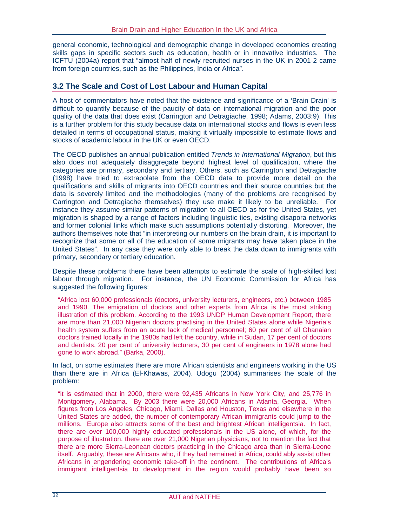general economic, technological and demographic change in developed economies creating skills gaps in specific sectors such as education, health or in innovative industries. The ICFTU (2004a) report that "almost half of newly recruited nurses in the UK in 2001-2 came from foreign countries, such as the Philippines, India or Africa".

#### **3.2 The Scale and Cost of Lost Labour and Human Capital**

A host of commentators have noted that the existence and significance of a 'Brain Drain' is difficult to quantify because of the paucity of data on international migration and the poor quality of the data that does exist (Carrington and Detragiache, 1998; Adams, 2003:9). This is a further problem for this study because data on international stocks and flows is even less detailed in terms of occupational status, making it virtually impossible to estimate flows and stocks of academic labour in the UK or even OECD.

The OECD publishes an annual publication entitled *Trends in International Migration*, but this also does not adequately disaggregate beyond highest level of qualification, where the categories are primary, secondary and tertiary. Others, such as Carrington and Detragiache (1998) have tried to extrapolate from the OECD data to provide more detail on the qualifications and skills of migrants into OECD countries and their source countries but the data is severely limited and the methodologies (many of the problems are recognised by Carrington and Detragiache themselves) they use make it likely to be unreliable. For instance they assume similar patterns of migration to all OECD as for the United States, yet migration is shaped by a range of factors including linguistic ties, existing disapora networks and former colonial links which make such assumptions potentially distorting. Moreover, the authors themselves note that "in interpreting our numbers on the brain drain, it is important to recognize that some or all of the education of some migrants may have taken place in the United States". In any case they were only able to break the data down to immigrants with primary, secondary or tertiary education.

Despite these problems there have been attempts to estimate the scale of high-skilled lost labour through migration. For instance, the UN Economic Commission for Africa has suggested the following figures:

"Africa lost 60,000 professionals (doctors, university lecturers, engineers, etc.) between 1985 and 1990. The emigration of doctors and other experts from Africa is the most striking illustration of this problem. According to the 1993 UNDP Human Development Report, there are more than 21,000 Nigerian doctors practising in the United States alone while Nigeria's health system suffers from an acute lack of medical personnel; 60 per cent of all Ghanaian doctors trained locally in the 1980s had left the country, while in Sudan, 17 per cent of doctors and dentists, 20 per cent of university lecturers, 30 per cent of engineers in 1978 alone had gone to work abroad." (Barka, 2000).

In fact, on some estimates there are more African scientists and engineers working in the US than there are in Africa (El-Khawas, 2004). Udogu (2004) summarises the scale of the problem:

"it is estimated that in 2000, there were 92,435 Africans in New York City, and 25,776 in Montgomery, Alabama. By 2003 there were 20,000 Africans in Atlanta, Georgia. When figures from Los Angeles, Chicago, Miami, Dallas and Houston, Texas and elsewhere in the United States are added, the number of contemporary African immigrants could jump to the millions. Europe also attracts some of the best and brightest African intelligentsia. In fact, there are over 100,000 highly educated professionals in the US alone, of which, for the purpose of illustration, there are over 21,000 Nigerian physicians, not to mention the fact that there are more Sierra-Leonean doctors practicing in the Chicago area than in Sierra-Leone itself. Arguably, these are Africans who, if they had remained in Africa, could ably assist other Africans in engendering economic take-off in the continent. The contributions of Africa's immigrant intelligentsia to development in the region would probably have been so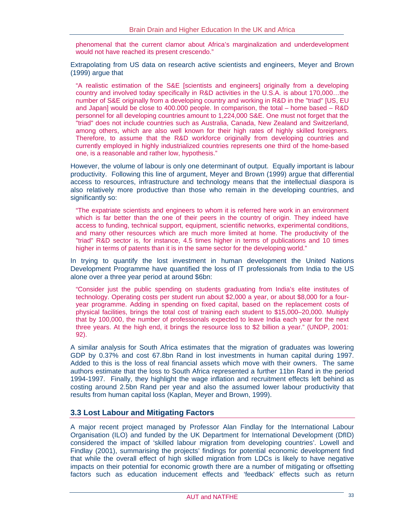phenomenal that the current clamor about Africa's marginalization and underdevelopment would not have reached its present crescendo."

Extrapolating from US data on research active scientists and engineers, Meyer and Brown (1999) argue that

"A realistic estimation of the S&E [scientists and engineers] originally from a developing country and involved today specifically in R&D activities in the U.S.A. is about 170,000…the number of S&E originally from a developing country and working in R&D in the "triad" [US, EU and Japan] would be close to 400.000 people. In comparison, the total – home based – R&D personnel for all developing countries amount to 1,224,000 S&E. One must not forget that the "triad" does not include countries such as Australia, Canada, New Zealand and Switzerland, among others, which are also well known for their high rates of highly skilled foreigners. Therefore, to assume that the R&D workforce originally from developing countries and currently employed in highly industrialized countries represents one third of the home-based one, is a reasonable and rather low, hypothesis."

However, the volume of labour is only one determinant of output. Equally important is labour productivity. Following this line of argument, Meyer and Brown (1999) argue that differential access to resources, infrastructure and technology means that the intellectual diaspora is also relatively more productive than those who remain in the developing countries, and significantly so:

"The expatriate scientists and engineers to whom it is referred here work in an environment which is far better than the one of their peers in the country of origin. They indeed have access to funding, technical support, equipment, scientific networks, experimental conditions, and many other resources which are much more limited at home. The productivity of the "triad" R&D sector is, for instance, 4.5 times higher in terms of publications and 10 times higher in terms of patents than it is in the same sector for the developing world."

In trying to quantify the lost investment in human development the United Nations Development Programme have quantified the loss of IT professionals from India to the US alone over a three year period at around \$6bn:

"Consider just the public spending on students graduating from India's elite institutes of technology. Operating costs per student run about \$2,000 a year, or about \$8,000 for a fouryear programme. Adding in spending on fixed capital, based on the replacement costs of physical facilities, brings the total cost of training each student to \$15,000–20,000. Multiply that by 100,000, the number of professionals expected to leave India each year for the next three years. At the high end, it brings the resource loss to \$2 billion a year." (UNDP, 2001: 92).

A similar analysis for South Africa estimates that the migration of graduates was lowering GDP by 0.37% and cost 67.8bn Rand in lost investments in human capital during 1997. Added to this is the loss of real financial assets which move with their owners. The same authors estimate that the loss to South Africa represented a further 11bn Rand in the period 1994-1997. Finally, they highlight the wage inflation and recruitment effects left behind as costing around 2.5bn Rand per year and also the assumed lower labour productivity that results from human capital loss (Kaplan, Meyer and Brown, 1999).

## **3.3 Lost Labour and Mitigating Factors**

A major recent project managed by Professor Alan Findlay for the International Labour Organisation (ILO) and funded by the UK Department for International Development (DfID) considered the impact of 'skilled labour migration from developing countries'. Lowell and Findlay (2001), summarising the projects' findings for potential economic development find that while the overall effect of high skilled migration from LDCs is likely to have negative impacts on their potential for economic growth there are a number of mitigating or offsetting factors such as education inducement effects and 'feedback' effects such as return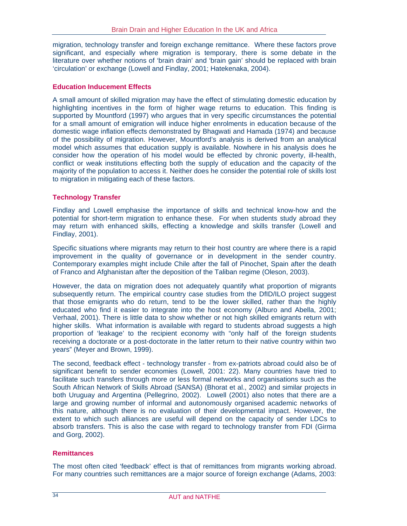migration, technology transfer and foreign exchange remittance. Where these factors prove significant, and especially where migration is temporary, there is some debate in the literature over whether notions of 'brain drain' and 'brain gain' should be replaced with brain 'circulation' or exchange (Lowell and Findlay, 2001; Hatekenaka, 2004).

#### **Education Inducement Effects**

A small amount of skilled migration may have the effect of stimulating domestic education by highlighting incentives in the form of higher wage returns to education. This finding is supported by Mountford (1997) who argues that in very specific circumstances the potential for a small amount of emigration will induce higher enrolments in education because of the domestic wage inflation effects demonstrated by Bhagwati and Hamada (1974) and because of the possibility of migration. However, Mountford's analysis is derived from an analytical model which assumes that education supply is available. Nowhere in his analysis does he consider how the operation of his model would be effected by chronic poverty, ill-health, conflict or weak institutions effecting both the supply of education and the capacity of the majority of the population to access it. Neither does he consider the potential role of skills lost to migration in mitigating each of these factors.

#### **Technology Transfer**

Findlay and Lowell emphasise the importance of skills and technical know-how and the potential for short-term migration to enhance these. For when students study abroad they may return with enhanced skills, effecting a knowledge and skills transfer (Lowell and Findlay, 2001).

Specific situations where migrants may return to their host country are where there is a rapid improvement in the quality of governance or in development in the sender country. Contemporary examples might include Chile after the fall of Pinochet, Spain after the death of Franco and Afghanistan after the deposition of the Taliban regime (Oleson, 2003).

However, the data on migration does not adequately quantify what proportion of migrants subsequently return. The empirical country case studies from the DfID/ILO project suggest that those emigrants who do return, tend to be the lower skilled, rather than the highly educated who find it easier to integrate into the host economy (Alburo and Abella, 2001; Verhaal, 2001). There is little data to show whether or not high skilled emigrants return with higher skills. What information is available with regard to students abroad suggests a high proportion of 'leakage' to the recipient economy with "only half of the foreign students receiving a doctorate or a post-doctorate in the latter return to their native country within two years" (Meyer and Brown, 1999).

The second, feedback effect - technology transfer - from ex-patriots abroad could also be of significant benefit to sender economies (Lowell, 2001: 22). Many countries have tried to facilitate such transfers through more or less formal networks and organisations such as the South African Network of Skills Abroad (SANSA) (Bhorat et al., 2002) and similar projects in both Uruguay and Argentina (Pellegrino, 2002). Lowell (2001) also notes that there are a large and growing number of informal and autonomously organised academic networks of this nature, although there is no evaluation of their developmental impact. However, the extent to which such alliances are useful will depend on the capacity of sender LDCs to absorb transfers. This is also the case with regard to technology transfer from FDI (Girma and Gorg, 2002).

#### **Remittances**

The most often cited 'feedback' effect is that of remittances from migrants working abroad. For many countries such remittances are a major source of foreign exchange (Adams, 2003: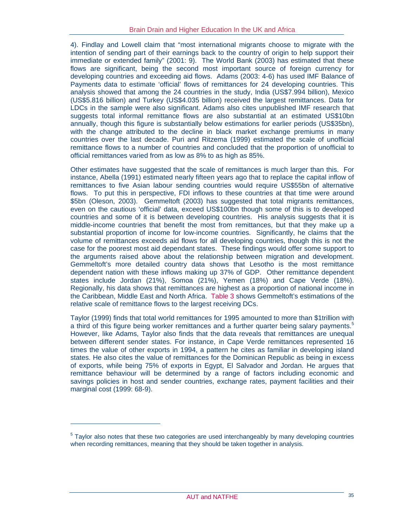4). Findlay and Lowell claim that "most international migrants choose to migrate with the intention of sending part of their earnings back to the country of origin to help support their immediate or extended family" (2001: 9). The World Bank (2003) has estimated that these flows are significant, being the second most important source of foreign currency for developing countries and exceeding aid flows. Adams (2003: 4-6) has used IMF Balance of Payments data to estimate 'official' flows of remittances for 24 developing countries. This analysis showed that among the 24 countries in the study, India (US\$7.994 billion), Mexico (US\$5.816 billion) and Turkey (US\$4.035 billion) received the largest remittances. Data for LDCs in the sample were also significant. Adams also cites unpublished IMF research that suggests total informal remittance flows are also substantial at an estimated US\$10bn annually, though this figure is substantially below estimations for earlier periods (US\$35bn), with the change attributed to the decline in black market exchange premiums in many countries over the last decade. Puri and Ritzema (1999) estimated the scale of unofficial remittance flows to a number of countries and concluded that the proportion of unofficial to official remittances varied from as low as 8% to as high as 85%.

Other estimates have suggested that the scale of remittances is much larger than this. For instance, Abella (1991) estimated nearly fifteen years ago that to replace the capital inflow of remittances to five Asian labour sending countries would require US\$55bn of alternative flows. To put this in perspective, FDI inflows to these countries at that time were around \$5bn (Oleson, 2003). Gemmeltoft (2003) has suggested that total migrants remittances, even on the cautious 'official' data, exceed US\$100bn though some of this is to developed countries and some of it is between developing countries. His analysis suggests that it is middle-income countries that benefit the most from remittances, but that they make up a substantial proportion of income for low-income countries. Significantly, he claims that the volume of remittances exceeds aid flows for all developing countries, though this is not the case for the poorest most aid dependant states. These findings would offer some support to the arguments raised above about the relationship between migration and development. Gemmeltoft's more detailed country data shows that Lesotho is the most remittance dependent nation with these inflows making up 37% of GDP. Other remittance dependent states include Jordan (21%), Somoa (21%), Yemen (18%) and Cape Verde (18%). Regionally, his data shows that remittances are highest as a proportion of national income in the Caribbean, Middle East and North Africa. Table 3 shows Gemmeltoft's estimations of the relative scale of remittance flows to the largest receiving DCs.

Taylor (1999) finds that total world remittances for 1995 amounted to more than \$1trillion with a third of this figure being worker remittances and a further quarter being salary payments.<sup>5</sup> However, like Adams, Taylor also finds that the data reveals that remittances are unequal between different sender states. For instance, in Cape Verde remittances represented 16 times the value of other exports in 1994, a pattern he cites as familiar in developing island states. He also cites the value of remittances for the Dominican Republic as being in excess of exports, while being 75% of exports in Egypt, El Salvador and Jordan. He argues that remittance behaviour will be determined by a range of factors including economic and savings policies in host and sender countries, exchange rates, payment facilities and their marginal cost (1999: 68-9).

 $\overline{a}$ 

<sup>&</sup>lt;sup>5</sup> Taylor also notes that these two categories are used interchangeably by many developing countries when recording remittances, meaning that they should be taken together in analysis.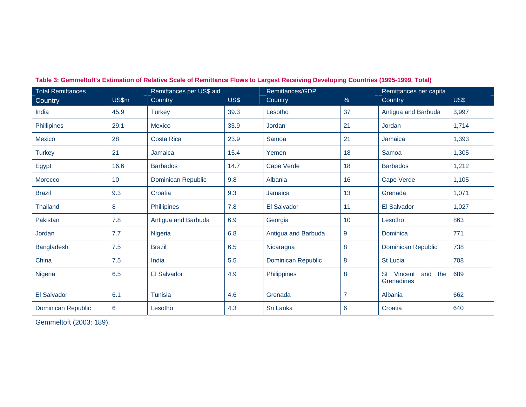| <b>Total Remittances</b>  |       | Remittances per US\$ aid  |      | Remittances/GDP     |                | Remittances per capita              |       |
|---------------------------|-------|---------------------------|------|---------------------|----------------|-------------------------------------|-------|
| Country                   | US\$m | Country                   | US\$ | Country             | $\%$           | Country                             | US\$  |
| India                     | 45.9  | <b>Turkey</b>             | 39.3 | Lesotho             | 37             | Antigua and Barbuda                 | 3,997 |
| Phillipines               | 29.1  | <b>Mexico</b>             | 33.9 | <b>Jordan</b>       | 21             | Jordan                              | 1,714 |
| Mexico                    | 28    | <b>Costa Rica</b>         | 23.9 | Samoa               | 21             | Jamaica                             | 1,393 |
| <b>Turkey</b>             | 21    | Jamaica                   | 15.4 | Yemen               | 18             | Samoa                               | 1,305 |
| Egypt                     | 16.6  | <b>Barbados</b>           | 14.7 | Cape Verde          | 18             | <b>Barbados</b>                     | 1,212 |
| <b>Morocco</b>            | 10    | <b>Dominican Republic</b> | 9.8  | Albania             | 16             | Cape Verde                          | 1,105 |
| <b>Brazil</b>             | 9.3   | Croatia                   | 9.3  | Jamaica             | 13             | Grenada                             | 1,071 |
| <b>Thailand</b>           | 8     | Phillipines               | 7.8  | <b>El Salvador</b>  | 11             | <b>El Salvador</b>                  | 1,027 |
| Pakistan                  | 7.8   | Antigua and Barbuda       | 6.9  | Georgia             | 10             | Lesotho                             | 863   |
| Jordan                    | 7.7   | Nigeria                   | 6.8  | Antigua and Barbuda | 9              | Dominica                            | 771   |
| Bangladesh                | 7.5   | <b>Brazil</b>             | 6.5  | Nicaragua           | 8              | Dominican Republic                  | 738   |
| China                     | 7.5   | India                     | 5.5  | Dominican Republic  | 8              | <b>St Lucia</b>                     | 708   |
| Nigeria                   | 6.5   | <b>El Salvador</b>        | 4.9  | Philippines         | 8              | St Vincent<br>and the<br>Grenadines | 689   |
| <b>El Salvador</b>        | 6.1   | Tunisia                   | 4.6  | Grenada             | $\overline{7}$ | Albania                             | 662   |
| <b>Dominican Republic</b> | 6     | Lesotho                   | 4.3  | Sri Lanka           | 6              | Croatia                             | 640   |

**Table 3: Gemmeltoft's Estimation of Relative Scale of Remittance Flows to Largest Receiving Developing Countries (1995-1999, Total)** 

Gemmeltoft (2003: 189).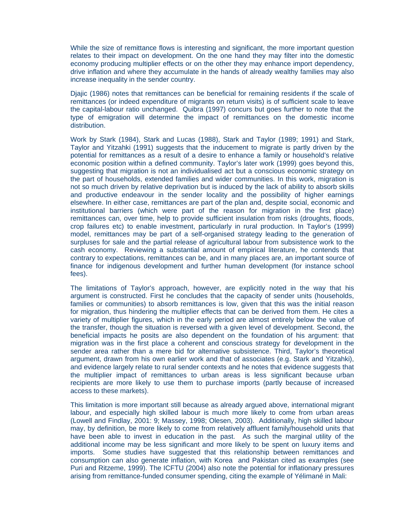While the size of remittance flows is interesting and significant, the more important question relates to their impact on development. On the one hand they may filter into the domestic economy producing multiplier effects or on the other they may enhance import dependency, drive inflation and where they accumulate in the hands of already wealthy families may also increase inequality in the sender country.

Djajic (1986) notes that remittances can be beneficial for remaining residents if the scale of remittances (or indeed expenditure of migrants on return visits) is of sufficient scale to leave the capital-labour ratio unchanged. Quibra (1997) concurs but goes further to note that the type of emigration will determine the impact of remittances on the domestic income distribution.

Work by Stark (1984), Stark and Lucas (1988), Stark and Taylor (1989; 1991) and Stark, Taylor and Yitzahki (1991) suggests that the inducement to migrate is partly driven by the potential for remittances as a result of a desire to enhance a family or household's relative economic position within a defined community. Taylor's later work (1999) goes beyond this, suggesting that migration is not an individualised act but a conscious economic strategy on the part of households, extended families and wider communities. In this work, migration is not so much driven by relative deprivation but is induced by the lack of ability to absorb skills and productive endeavour in the sender locality and the possibility of higher earnings elsewhere. In either case, remittances are part of the plan and, despite social, economic and institutional barriers (which were part of the reason for migration in the first place) remittances can, over time, help to provide sufficient insulation from risks (droughts, floods, crop failures etc) to enable investment, particularly in rural production. In Taylor's (1999) model, remittances may be part of a self-organised strategy leading to the generation of surpluses for sale and the partial release of agricultural labour from subsistence work to the cash economy. Reviewing a substantial amount of empirical literature, he contends that contrary to expectations, remittances can be, and in many places are, an important source of finance for indigenous development and further human development (for instance school fees).

The limitations of Taylor's approach, however, are explicitly noted in the way that his argument is constructed. First he concludes that the capacity of sender units (households, families or communities) to absorb remittances is low, given that this was the initial reason for migration, thus hindering the multiplier effects that can be derived from them. He cites a variety of multiplier figures, which in the early period are almost entirely below the value of the transfer, though the situation is reversed with a given level of development. Second, the beneficial impacts he posits are also dependent on the foundation of his argument: that migration was in the first place a coherent and conscious strategy for development in the sender area rather than a mere bid for alternative subsistence. Third, Taylor's theoretical argument, drawn from his own earlier work and that of associates (e.g. Stark and Yitzahki), and evidence largely relate to rural sender contexts and he notes that evidence suggests that the multiplier impact of remittances to urban areas is less significant because urban recipients are more likely to use them to purchase imports (partly because of increased access to these markets).

This limitation is more important still because as already argued above, international migrant labour, and especially high skilled labour is much more likely to come from urban areas (Lowell and Findlay, 2001: 9; Massey, 1998; Olesen, 2003). Additionally, high skilled labour may, by definition, be more likely to come from relatively affluent family/household units that have been able to invest in education in the past. As such the marginal utility of the additional income may be less significant and more likely to be spent on luxury items and imports. Some studies have suggested that this relationship between remittances and consumption can also generate inflation, with Korea and Pakistan cited as examples (see Puri and Ritzeme, 1999). The ICFTU (2004) also note the potential for inflationary pressures arising from remittance-funded consumer spending, citing the example of Yélimané in Mali: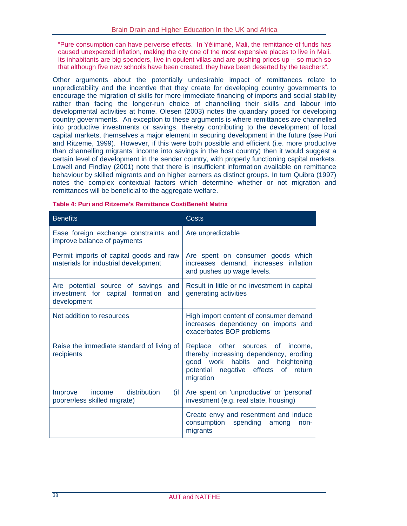"Pure consumption can have perverse effects. In Yélimané, Mali, the remittance of funds has caused unexpected inflation, making the city one of the most expensive places to live in Mali. Its inhabitants are big spenders, live in opulent villas and are pushing prices up – so much so that although five new schools have been created, they have been deserted by the teachers".

Other arguments about the potentially undesirable impact of remittances relate to unpredictability and the incentive that they create for developing country governments to encourage the migration of skills for more immediate financing of imports and social stability rather than facing the longer-run choice of channelling their skills and labour into developmental activities at home. Olesen (2003) notes the quandary posed for developing country governments. An exception to these arguments is where remittances are channelled into productive investments or savings, thereby contributing to the development of local capital markets, themselves a major element in securing development in the future (see Puri and Ritzeme, 1999). However, if this were both possible and efficient (i.e. more productive than channelling migrants' income into savings in the host country) then it would suggest a certain level of development in the sender country, with properly functioning capital markets. Lowell and Findlay (2001) note that there is insufficient information available on remittance behaviour by skilled migrants and on higher earners as distinct groups. In turn Quibra (1997) notes the complex contextual factors which determine whether or not migration and remittances will be beneficial to the aggregate welfare.

| <b>Benefits</b>                                                                                  | Costs                                                                                                                                                                                |
|--------------------------------------------------------------------------------------------------|--------------------------------------------------------------------------------------------------------------------------------------------------------------------------------------|
| Ease foreign exchange constraints and<br>improve balance of payments                             | Are unpredictable                                                                                                                                                                    |
| Permit imports of capital goods and raw<br>materials for industrial development                  | Are spent on consumer goods which<br>increases demand, increases inflation<br>and pushes up wage levels.                                                                             |
| Are potential source of savings<br>and<br>investment for capital formation<br>and<br>development | Result in little or no investment in capital<br>generating activities                                                                                                                |
| Net addition to resources                                                                        | High import content of consumer demand<br>increases dependency on imports and<br>exacerbates BOP problems                                                                            |
| Raise the immediate standard of living of<br>recipients                                          | other sources<br>Replace<br>of l<br>income,<br>thereby increasing dependency, eroding<br>good work habits and heightening<br>potential negative effects<br>of<br>return<br>migration |
| distribution<br>$($ if<br>Improve<br>income<br>poorer/less skilled migrate)                      | Are spent on 'unproductive' or 'personal'<br>investment (e.g. real state, housing)                                                                                                   |
|                                                                                                  | Create envy and resentment and induce<br>consumption spending<br>among<br>non-<br>migrants                                                                                           |

#### **Table 4: Puri and Ritzeme's Remittance Cost/Benefit Matrix**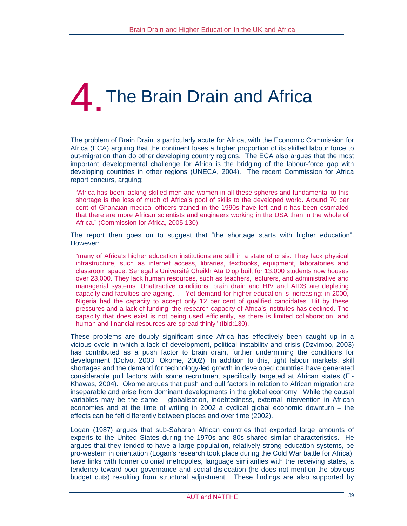# **The Brain Drain and Africa**

The problem of Brain Drain is particularly acute for Africa, with the Economic Commission for Africa (ECA) arguing that the continent loses a higher proportion of its skilled labour force to out-migration than do other developing country regions. The ECA also argues that the most important developmental challenge for Africa is the bridging of the labour-force gap with developing countries in other regions (UNECA, 2004). The recent Commission for Africa report concurs, arguing:

"Africa has been lacking skilled men and women in all these spheres and fundamental to this shortage is the loss of much of Africa's pool of skills to the developed world. Around 70 per cent of Ghanaian medical officers trained in the 1990s have left and it has been estimated that there are more African scientists and engineers working in the USA than in the whole of Africa." (Commission for Africa, 2005:130).

The report then goes on to suggest that "the shortage starts with higher education". However:

"many of Africa's higher education institutions are still in a state of crisis. They lack physical infrastructure, such as internet access, libraries, textbooks, equipment, laboratories and classroom space. Senegal's Université Cheikh Ata Diop built for 13,000 students now houses over 23,000. They lack human resources, such as teachers, lecturers, and administrative and managerial systems. Unattractive conditions, brain drain and HIV and AIDS are depleting capacity and faculties are ageing. … Yet demand for higher education is increasing: in 2000, Nigeria had the capacity to accept only 12 per cent of qualified candidates. Hit by these pressures and a lack of funding, the research capacity of Africa's institutes has declined. The capacity that does exist is not being used efficiently, as there is limited collaboration, and human and financial resources are spread thinly" (Ibid:130).

These problems are doubly significant since Africa has effectively been caught up in a vicious cycle in which a lack of development, political instability and crisis (Dzvimbo, 2003) has contributed as a push factor to brain drain, further undermining the conditions for development (Dolvo, 2003; Okome, 2002). In addition to this, tight labour markets, skill shortages and the demand for technology-led growth in developed countries have generated considerable pull factors with some recruitment specifically targeted at African states (El-Khawas, 2004). Okome argues that push and pull factors in relation to African migration are inseparable and arise from dominant developments in the global economy. While the causal variables may be the same – globalisation, indebtedness, external intervention in African economies and at the time of writing in 2002 a cyclical global economic downturn – the effects can be felt differently between places and over time (2002).

Logan (1987) argues that sub-Saharan African countries that exported large amounts of experts to the United States during the 1970s and 80s shared similar characteristics. He argues that they tended to have a large population, relatively strong education systems, be pro-western in orientation (Logan's research took place during the Cold War battle for Africa), have links with former colonial metropoles, language similarities with the receiving states, a tendency toward poor governance and social dislocation (he does not mention the obvious budget cuts) resulting from structural adjustment. These findings are also supported by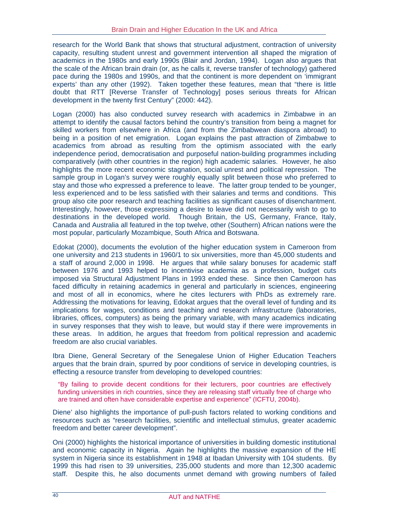research for the World Bank that shows that structural adjustment, contraction of university capacity, resulting student unrest and government intervention all shaped the migration of academics in the 1980s and early 1990s (Blair and Jordan, 1994). Logan also argues that the scale of the African brain drain (or, as he calls it, reverse transfer of technology) gathered pace during the 1980s and 1990s, and that the continent is more dependent on 'immigrant experts' than any other (1992). Taken together these features, mean that "there is little doubt that RTT [Reverse Transfer of Technology] poses serious threats for African development in the twenty first Century" (2000: 442).

Logan (2000) has also conducted survey research with academics in Zimbabwe in an attempt to identify the causal factors behind the country's transition from being a magnet for skilled workers from elsewhere in Africa (and from the Zimbabwean diaspora abroad) to being in a position of net emigration. Logan explains the past attraction of Zimbabwe to academics from abroad as resulting from the optimism associated with the early independence period, democratisation and purposeful nation-building programmes including comparatively (with other countries in the region) high academic salaries. However, he also highlights the more recent economic stagnation, social unrest and political repression. The sample group in Logan's survey were roughly equally split between those who preferred to stay and those who expressed a preference to leave. The latter group tended to be younger, less experienced and to be less satisfied with their salaries and terms and conditions. This group also cite poor research and teaching facilities as significant causes of disenchantment. Interestingly, however, those expressing a desire to leave did not necessarily wish to go to destinations in the developed world. Though Britain, the US, Germany, France, Italy, Canada and Australia all featured in the top twelve, other (Southern) African nations were the most popular, particularly Mozambique, South Africa and Botswana.

Edokat (2000), documents the evolution of the higher education system in Cameroon from one university and 213 students in 1960/1 to six universities, more than 45,000 students and a staff of around 2,000 in 1998. He argues that while salary bonuses for academic staff between 1976 and 1993 helped to incentivise academia as a profession, budget cuts imposed via Structural Adjustment Plans in 1993 ended these. Since then Cameroon has faced difficulty in retaining academics in general and particularly in sciences, engineering and most of all in economics, where he cites lecturers with PhDs as extremely rare. Addressing the motivations for leaving, Edokat argues that the overall level of funding and its implications for wages, conditions and teaching and research infrastructure (laboratories, libraries, offices, computers) as being the primary variable, with many academics indicating in survey responses that they wish to leave, but would stay if there were improvements in these areas. In addition, he argues that freedom from political repression and academic freedom are also crucial variables.

Ibra Diene, General Secretary of the Senegalese Union of Higher Education Teachers argues that the brain drain, spurred by poor conditions of service in developing countries, is effecting a resource transfer from developing to developed countries:

"By failing to provide decent conditions for their lecturers, poor countries are effectively funding universities in rich countries, since they are releasing staff virtually free of charge who are trained and often have considerable expertise and experience" (ICFTU, 2004b).

Diene' also highlights the importance of pull-push factors related to working conditions and resources such as "research facilities, scientific and intellectual stimulus, greater academic freedom and better career development".

Oni (2000) highlights the historical importance of universities in building domestic institutional and economic capacity in Nigeria. Again he highlights the massive expansion of the HE system in Nigeria since its establishment in 1948 at Ibadan University with 104 students. By 1999 this had risen to 39 universities, 235,000 students and more than 12,300 academic staff. Despite this, he also documents unmet demand with growing numbers of failed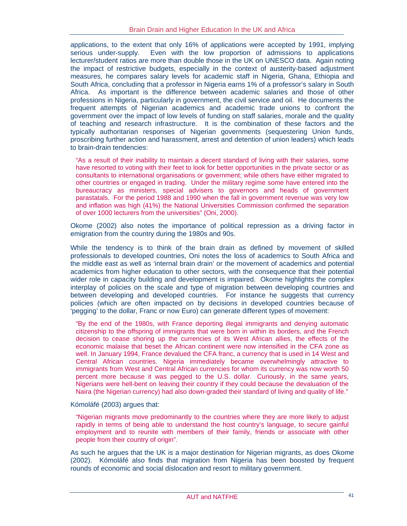applications, to the extent that only 16% of applications were accepted by 1991, implying serious under-supply. Even with the low proportion of admissions to applications lecturer/student ratios are more than double those in the UK on UNESCO data. Again noting the impact of restrictive budgets, especially in the context of austerity-based adjustment measures, he compares salary levels for academic staff in Nigeria, Ghana, Ethiopia and South Africa, concluding that a professor in Nigeria earns 1% of a professor's salary in South Africa. As important is the difference between academic salaries and those of other professions in Nigeria, particularly in government, the civil service and oil. He documents the frequent attempts of Nigerian academics and academic trade unions to confront the government over the impact of low levels of funding on staff salaries, morale and the quality of teaching and research infrastructure. It is the combination of these factors and the typically authoritarian responses of Nigerian governments (sequestering Union funds, proscribing further action and harassment, arrest and detention of union leaders) which leads to brain-drain tendencies:

"As a result of their inability to maintain a decent standard of living with their salaries, some have resorted to voting with their feet to look for better opportunities in the private sector or as consultants to international organisations or government; while others have either migrated to other countries or engaged in trading. Under the military regime some have entered into the bureaucracy as ministers, special advisers to governors and heads of government parastatals. For the period 1988 and 1990 when the fall in government revenue was very low and inflation was high (41%) the National Universities Commission confirmed the separation of over 1000 lecturers from the universities" (Oni, 2000).

Okome (2002) also notes the importance of political repression as a driving factor in emigration from the country during the 1980s and 90s.

While the tendency is to think of the brain drain as defined by movement of skilled professionals to developed countries, Oni notes the loss of academics to South Africa and the middle east as well as 'internal brain drain' or the movement of academics and potential academics from higher education to other sectors, with the consequence that their potential wider role in capacity building and development is impaired. Okome highlights the complex interplay of policies on the scale and type of migration between developing countries and between developing and developed countries. For instance he suggests that currency policies (which are often impacted on by decisions in developed countries because of 'pegging' to the dollar, Franc or now Euro) can generate different types of movement:

"By the end of the 1980s, with France deporting illegal immigrants and denying automatic citizenship to the offspring of immigrants that were born in within its borders, and the French decision to cease shoring up the currencies of its West African allies, the effects of the economic malaise that beset the African continent were now intensified in the CFA zone as well. In January 1994, France devalued the CFA franc, a currency that is used in 14 West and Central African countries. Nigeria immediately became overwhelmingly attractive to immigrants from West and Central African currencies for whom its currency was now worth 50 percent more because it was pegged to the U.S. dollar. Curiously, in the same years, Nigerians were hell-bent on leaving their country if they could because the devaluation of the Naira (the Nigerian currency) had also down-graded their standard of living and quality of life."

Kómoláfé (2003) argues that:

"Nigerian migrants move predominantly to the countries where they are more likely to adjust rapidly in terms of being able to understand the host country's language, to secure gainful employment and to reunite with members of their family, friends or associate with other people from their country of origin".

As such he argues that the UK is a major destination for Nigerian migrants, as does Okome (2002). Kómoláfé also finds that migration from Nigeria has been boosted by frequent rounds of economic and social dislocation and resort to military government.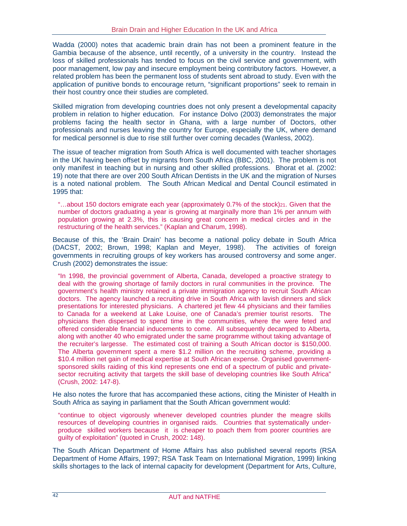Wadda (2000) notes that academic brain drain has not been a prominent feature in the Gambia because of the absence, until recently, of a university in the country. Instead the loss of skilled professionals has tended to focus on the civil service and government, with poor management, low pay and insecure employment being contributory factors. However, a related problem has been the permanent loss of students sent abroad to study. Even with the application of punitive bonds to encourage return, "significant proportions" seek to remain in their host country once their studies are completed.

Skilled migration from developing countries does not only present a developmental capacity problem in relation to higher education. For instance Dolvo (2003) demonstrates the major problems facing the health sector in Ghana, with a large number of Doctors, other professionals and nurses leaving the country for Europe, especially the UK, where demand for medical personnel is due to rise still further over coming decades (Wanless, 2002).

The issue of teacher migration from South Africa is well documented with teacher shortages in the UK having been offset by migrants from South Africa (BBC, 2001). The problem is not only manifest in teaching but in nursing and other skilled professions. Bhorat et al. (2002: 19) note that there are over 200 South African Dentists in the UK and the migration of Nurses is a noted national problem. The South African Medical and Dental Council estimated in 1995 that:

"...about 150 doctors emigrate each year (approximately 0.7% of the stock)<sup>21</sup>. Given that the number of doctors graduating a year is growing at marginally more than 1% per annum with population growing at 2.3%, this is causing great concern in medical circles and in the restructuring of the health services." (Kaplan and Charum, 1998).

Because of this, the 'Brain Drain' has become a national policy debate in South Africa (DACST, 2002; Brown, 1998; Kaplan and Meyer, 1998). The activities of foreign governments in recruiting groups of key workers has aroused controversy and some anger. Crush (2002) demonstrates the issue:

"In 1998, the provincial government of Alberta, Canada, developed a proactive strategy to deal with the growing shortage of family doctors in rural communities in the province. The government's health ministry retained a private immigration agency to recruit South African doctors. The agency launched a recruiting drive in South Africa with lavish dinners and slick presentations for interested physicians. A chartered jet flew 44 physicians and their families to Canada for a weekend at Lake Louise, one of Canada's premier tourist resorts. The physicians then dispersed to spend time in the communities, where the were feted and offered considerable financial inducements to come. All subsequently decamped to Alberta, along with another 40 who emigrated under the same programme without taking advantage of the recruiter's largesse. The estimated cost of training a South African doctor is \$150,000. The Alberta government spent a mere \$1.2 million on the recruiting scheme, providing a \$10.4 million net gain of medical expertise at South African expense. Organised governmentsponsored skills raiding of this kind represents one end of a spectrum of public and privatesector recruiting activity that targets the skill base of developing countries like South Africa" (Crush, 2002: 147-8).

He also notes the furore that has accompanied these actions, citing the Minister of Health in South Africa as saying in parliament that the South African government would:

"continue to object vigorously whenever developed countries plunder the meagre skills resources of developing countries in organised raids. Countries that systematically underproduce skilled workers because it is cheaper to poach them from poorer countries are guilty of exploitation" (quoted in Crush, 2002: 148).

The South African Department of Home Affairs has also published several reports (RSA Department of Home Affairs, 1997; RSA Task Team on International Migration, 1999) linking skills shortages to the lack of internal capacity for development (Department for Arts, Culture,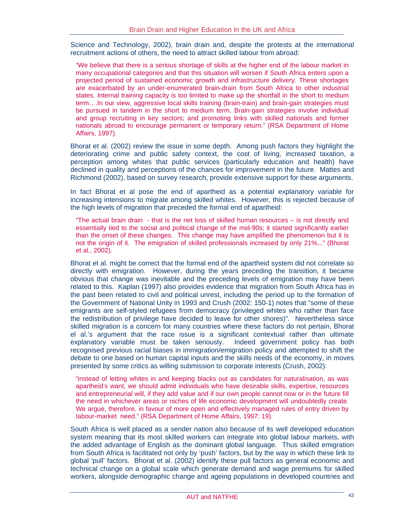Science and Technology, 2002), brain drain and, despite the protests at the international recruitment actions of others, the need to attract skilled labour from abroad:

"We believe that there is a serious shortage of skills at the higher end of the labour market in many occupational categories and that this situation will worsen if South Africa enters upon a projected period of sustained economic growth and infrastructure delivery. These shortages are exacerbated by an under-enumerated brain-drain from South Africa to other industrial states. Internal training capacity is too limited to make up the shortfall in the short to medium term….In our view, aggressive local skills training (brain-train) and brain-gain strategies must be pursued in tandem in the short to medium term. Brain-gain strategies involve individual and group recruiting in key sectors; and promoting links with skilled nationals and former nationals abroad to encourage permanent or temporary return." (RSA Department of Home Affairs, 1997).

Bhorat et al. (2002) review the issue in some depth. Among push factors they highlight the deteriorating crime and public safety context, the cost of living, increased taxation, a perception among whites that public services (particularly education and health) have declined in quality and perceptions of the chances for improvement in the future. Mattes and Richmond (2002), based on survey research, provide extensive support for these arguments.

In fact Bhorat et al pose the end of apartheid as a potential explanatory variable for increasing intensions to migrate among skilled whites. However, this is rejected because of the high levels of migration that preceded the formal end of apartheid:

"The actual brain drain - that is the net loss of skilled human resources – is not directly and essentially tied to the social and political change of the mid-90s; it started significantly earlier than the onset of these changes. This change may have amplified the phenomenon but it is not the origin of it. The emigration of skilled professionals increased by only 21%..." (Bhorat et al., 2002).

Bhorat et al. might be correct that the formal end of the apartheid system did not correlate so directly with emigration. However, during the years preceding the transition, it became obvious that change was inevitable and the preceding levels of emigration may have been related to this. Kaplan (1997) also provides evidence that migration from South Africa has in the past been related to civil and political unrest, including the period up to the formation of the Government of National Unity in 1993 and Crush (2002: 150-1) notes that "some of these emigrants are self-styled refugees from democracy (privileged whites who rather than face the redistribution of privilege have decided to leave for other shores)". Nevertheless since skilled migration is a concern for many countries where these factors do not pertain, Bhorat el al.'s argument that the race issue is a significant contextual rather than ultimate explanatory variable must be taken seriously. Indeed government policy has both recognised previous racial biases in immigration/emigration policy and attempted to shift the debate to one based on human capital inputs and the skills needs of the economy, in moves presented by some critics as willing submission to corporate interests (Crush, 2002):

"instead of letting whites in and keeping blacks out as candidates for naturalisation, as was apartheid's want, we should admit individuals who have desirable skills, expertise, resources and entrepreneurial will, if they add value and if our own people cannot now or in the future fill the need in whichever areas or niches of life economic development will undoubtedly create. We argue, therefore, in favour of more open and effectively managed rules of entry driven by Iabour-market need." (RSA Department of Home Affairs, 1997: 19).

South Africa is well placed as a sender nation also because of its well developed education system meaning that its most skilled workers can integrate into global labour markets, with the added advantage of English as the dominant global language. Thus skilled emigration from South Africa is facilitated not only by 'push' factors, but by the way in which these link to global 'pull' factors. Bhorat et al. (2002) identify these pull factors as general economic and technical change on a global scale which generate demand and wage premiums for skilled workers, alongside demographic change and ageing populations in developed countries and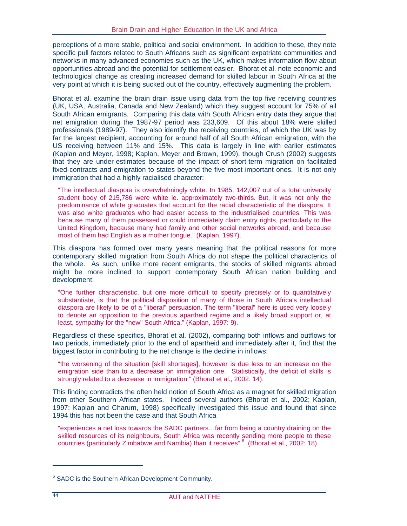perceptions of a more stable, political and social environment. In addition to these, they note specific pull factors related to South Africans such as significant expatriate communities and networks in many advanced economies such as the UK, which makes information flow about opportunities abroad and the potential for settlement easier. Bhorat et al. note economic and technological change as creating increased demand for skilled labour in South Africa at the very point at which it is being sucked out of the country, effectively augmenting the problem.

Bhorat et al. examine the brain drain issue using data from the top five receiving countries (UK, USA, Australia, Canada and New Zealand) which they suggest account for 75% of all South African emigrants. Comparing this data with South African entry data they argue that net emigration during the 1987-97 period was 233,609. Of this about 18% were skilled professionals (1989-97). They also identify the receiving countries, of which the UK was by far the largest recipient, accounting for around half of all South African emigration, with the US receiving between 11% and 15%. This data is largely in line with earlier estimates (Kaplan and Meyer, 1998; Kaplan, Meyer and Brown, 1999), though Crush (2002) suggests that they are under-estimates because of the impact of short-term migration on facilitated fixed-contracts and emigration to states beyond the five most important ones. It is not only immigration that had a highly racialised character:

"The intellectual diaspora is overwhelmingly white. In 1985, 142,007 out of a total university student body of 215,786 were white ie. approximately two-thirds. But, it was not only the predominance of white graduates that account for the racial characteristic of the diaspora. It was also white graduates who had easier access to the industrialised countries. This was because many of them possessed or could immediately claim entry rights, particularly to the United Kingdom, because many had family and other social networks abroad, and because most of them had English as a mother tongue." (Kaplan, 1997).

This diaspora has formed over many years meaning that the political reasons for more contemporary skilled migration from South Africa do not shape the political characterics of the whole. As such, unlike more recent emigrants, the stocks of skilled migrants abroad might be more inclined to support contemporary South African nation building and development:

"One further characteristic, but one more difficult to specify precisely or to quantitatively substantiate, is that the political disposition of many of those in South Africa's intellectual diaspora are likely to be of a "liberal" persuasion. The term "liberal" here is used very loosely to denote an opposition to the previous apartheid regime and a likely broad support or, at least, sympathy for the "new" South Africa." (Kaplan, 1997: 9).

Regardless of these specifics, Bhorat et al. (2002), comparing both inflows and outflows for two periods, immediately prior to the end of apartheid and immediately after it, find that the biggest factor in contributing to the net change is the decline in inflows:

"the worsening of the situation [skill shortages], however is due less to an increase on the emigration side than to a decrease on immigration one. Statistically, the deficit of skills is strongly related to a decrease in immigration." (Bhorat et al., 2002: 14).

This finding contradicts the often held notion of South Africa as a magnet for skilled migration from other Southern African states. Indeed several authors (Bhorat et al., 2002; Kaplan, 1997; Kaplan and Charum, 1998) specifically investigated this issue and found that since 1994 this has not been the case and that South Africa

"experiences a net loss towards the SADC partners…far from being a country draining on the skilled resources of its neighbours, South Africa was recently sending more people to these countries (particularly Zimbabwe and Nambia) than it receives".<sup>6</sup> (Bhorat et al., 2002: 18).

 $\overline{a}$ 

<sup>&</sup>lt;sup>6</sup> SADC is the Southern African Development Community.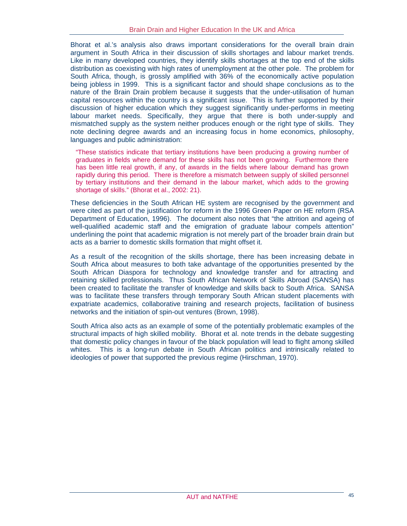Bhorat et al.'s analysis also draws important considerations for the overall brain drain argument in South Africa in their discussion of skills shortages and labour market trends. Like in many developed countries, they identify skills shortages at the top end of the skills distribution as coexisting with high rates of unemployment at the other pole. The problem for South Africa, though, is grossly amplified with 36% of the economically active population being jobless in 1999. This is a significant factor and should shape conclusions as to the nature of the Brain Drain problem because it suggests that the under-utilisation of human capital resources within the country is a significant issue. This is further supported by their discussion of higher education which they suggest significantly under-performs in meeting labour market needs. Specifically, they argue that there is both under-supply and mismatched supply as the system neither produces enough or the right type of skills. They note declining degree awards and an increasing focus in home economics, philosophy, languages and public administration:

"These statistics indicate that tertiary institutions have been producing a growing number of graduates in fields where demand for these skills has not been growing. Furthermore there has been little real growth, if any, of awards in the fields where labour demand has grown rapidly during this period. There is therefore a mismatch between supply of skilled personnel by tertiary institutions and their demand in the labour market, which adds to the growing shortage of skills." (Bhorat et al., 2002: 21).

These deficiencies in the South African HE system are recognised by the government and were cited as part of the justification for reform in the 1996 Green Paper on HE reform (RSA Department of Education, 1996). The document also notes that "the attrition and ageing of well-qualified academic staff and the emigration of graduate labour compels attention" underlining the point that academic migration is not merely part of the broader brain drain but acts as a barrier to domestic skills formation that might offset it.

As a result of the recognition of the skills shortage, there has been increasing debate in South Africa about measures to both take advantage of the opportunities presented by the South African Diaspora for technology and knowledge transfer and for attracting and retaining skilled professionals. Thus South African Network of Skills Abroad (SANSA) has been created to facilitate the transfer of knowledge and skills back to South Africa. SANSA was to facilitate these transfers through temporary South African student placements with expatriate academics, collaborative training and research projects, facilitation of business networks and the initiation of spin-out ventures (Brown, 1998).

South Africa also acts as an example of some of the potentially problematic examples of the structural impacts of high skilled mobility. Bhorat et al. note trends in the debate suggesting that domestic policy changes in favour of the black population will lead to flight among skilled whites. This is a long-run debate in South African politics and intrinsically related to ideologies of power that supported the previous regime (Hirschman, 1970).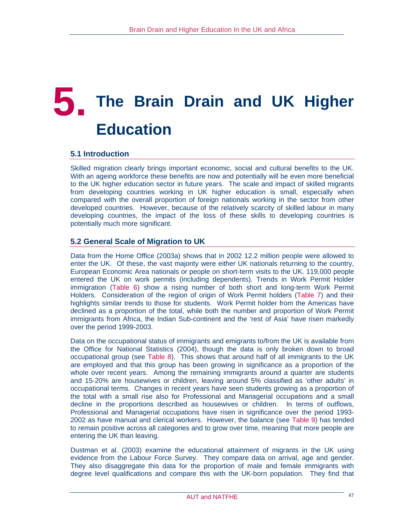## **5. The Brain Drain and UK Higher Education**

## **5.1 Introduction**

Skilled migration clearly brings important economic, social and cultural benefits to the UK. With an ageing workforce these benefits are now and potentially will be even more beneficial to the UK higher education sector in future years. The scale and impact of skilled migrants from developing countries working in UK higher education is small, especially when compared with the overall proportion of foreign nationals working in the sector from other developed countries. However, because of the relatively scarcity of skilled labour in many developing countries, the impact of the loss of these skills to developing countries is potentially much more significant.

## **5.2 General Scale of Migration to UK**

Data from the Home Office (2003a) shows that in 2002 12.2 million people were allowed to enter the UK. Of these, the vast majority were either UK nationals returning to the country, European Economic Area nationals or people on short-term visits to the UK. 119,000 people entered the UK on work permits (including dependents). Trends in Work Permit Holder immigration (Table 6) show a rising number of both short and long-term Work Permit Holders. Consideration of the region of origin of Work Permit holders (Table 7) and their highlights similar trends to those for students. Work Permit holder from the Americas have declined as a proportion of the total, while both the number and proportion of Work Permit immigrants from Africa, the Indian Sub-continent and the 'rest of Asia' have risen markedly over the period 1999-2003.

Data on the occupational status of immigrants and emigrants to/from the UK is available from the Office for National Statistics (2004), though the data is only broken down to broad occupational group (see Table 8). This shows that around half of all immigrants to the UK are employed and that this group has been growing in significance as a proportion of the whole over recent years. Among the remaining immigrants around a quarter are students and 15-20% are housewives or children, leaving around 5% classified as 'other adults' in occupational terms. Changes in recent years have seen students growing as a proportion of the total with a small rise also for Professional and Managerial occupations and a small decline in the proportions described as housewives or children. In terms of outflows, Professional and Managerial occupations have risen in significance over the period 1993- 2002 as have manual and clerical workers. However, the balance (see Table 9) has tended to remain positive across all categories and to grow over time, meaning that more people are entering the UK than leaving.

Dustman et al. (2003) examine the educational attainment of migrants in the UK using evidence from the Labour Force Survey. They compare data on arrival, age and gender. They also disaggregate this data for the proportion of male and female immigrants with degree level qualifications and compare this with the UK-born population. They find that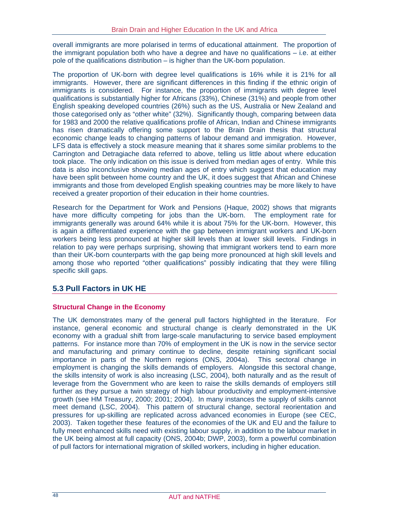overall immigrants are more polarised in terms of educational attainment. The proportion of the immigrant population both who have a degree and have no qualifications – i.e. at either pole of the qualifications distribution – is higher than the UK-born population.

The proportion of UK-born with degree level qualifications is 16% while it is 21% for all immigrants. However, there are significant differences in this finding if the ethnic origin of immigrants is considered. For instance, the proportion of immigrants with degree level qualifications is substantially higher for Africans (33%), Chinese (31%) and people from other English speaking developed countries (26%) such as the US, Australia or New Zealand and those categorised only as "other white" (32%). Significantly though, comparing between data for 1983 and 2000 the relative qualifications profile of African, Indian and Chinese immigrants has risen dramatically offering some support to the Brain Drain thesis that structural economic change leads to changing patterns of labour demand and immigration. However, LFS data is effectively a stock measure meaning that it shares some similar problems to the Carrington and Detragiache data referred to above, telling us little about where education took place. The only indication on this issue is derived from median ages of entry. While this data is also inconclusive showing median ages of entry which suggest that education may have been split between home country and the UK, it does suggest that African and Chinese immigrants and those from developed English speaking countries may be more likely to have received a greater proportion of their education in their home countries.

Research for the Department for Work and Pensions (Haque, 2002) shows that migrants have more difficulty competing for jobs than the UK-born. The employment rate for immigrants generally was around 64% while it is about 75% for the UK-born. However, this is again a differentiated experience with the gap between immigrant workers and UK-born workers being less pronounced at higher skill levels than at lower skill levels. Findings in relation to pay were perhaps surprising, showing that immigrant workers tend to earn more than their UK-born counterparts with the gap being more pronounced at high skill levels and among those who reported "other qualifications" possibly indicating that they were filling specific skill gaps.

## **5.3 Pull Factors in UK HE**

#### **Structural Change in the Economy**

The UK demonstrates many of the general pull factors highlighted in the literature. For instance, general economic and structural change is clearly demonstrated in the UK economy with a gradual shift from large-scale manufacturing to service based employment patterns. For instance more than 70% of employment in the UK is now in the service sector and manufacturing and primary continue to decline, despite retaining significant social importance in parts of the Northern regions (ONS, 2004a). This sectoral change in employment is changing the skills demands of employers. Alongside this sectoral change, the skills intensity of work is also increasing (LSC, 2004), both naturally and as the result of leverage from the Government who are keen to raise the skills demands of employers still further as they pursue a twin strategy of high labour productivity and employment-intensive growth (see HM Treasury, 2000; 2001; 2004). In many instances the supply of skills cannot meet demand (LSC, 2004). This pattern of structural change, sectoral reorientation and pressures for up-skilling are replicated across advanced economies in Europe (see CEC, 2003). Taken together these features of the economies of the UK and EU and the failure to fully meet enhanced skills need with existing labour supply, in addition to the labour market in the UK being almost at full capacity (ONS, 2004b; DWP, 2003), form a powerful combination of pull factors for international migration of skilled workers, including in higher education.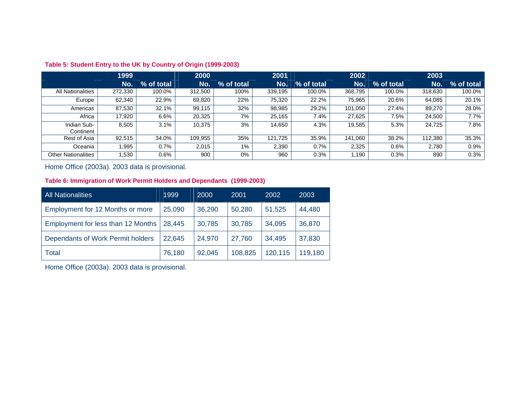|                            | 1999    |            | 2000    |            | 2001    |            | 2002    |            | 2003    |            |
|----------------------------|---------|------------|---------|------------|---------|------------|---------|------------|---------|------------|
|                            | No.     | % of total | No.     | % of total | No.     | % of total | No.     | % of total | No.     | % of total |
| All Nationalities          | 272,330 | 100.0%     | 312,500 | 100%       | 339,195 | 100.0%     | 368,795 | 100.0%     | 318,630 | 100.0%     |
| Europe                     | 62,340  | 22.9%      | 69,820  | 22%        | 75,320  | 22.2%      | 75,965  | 20.6%      | 64,085  | 20.1%      |
| Americas                   | 87,530  | 32.1%      | 99,115  | 32%        | 98,985  | 29.2%      | 101,050 | 27.4%      | 89,270  | 28.0%      |
| Africa                     | 17.920  | 6.6%       | 20,325  | 7%         | 25.165  | 7.4%       | 27.625  | 7.5%       | 24,500  | 7.7%       |
| Indian Sub-<br>Continent   | 8,505   | 3.1%       | 10,375  | 3%         | 14,650  | 4.3%       | 19,585  | 5.3%       | 24,725  | 7.8%       |
| Rest of Asia               | 92,515  | 34.0%      | 109,955 | 35%        | 121.725 | 35.9%      | 141,060 | 38.2%      | 112,380 | 35.3%      |
| Oceania                    | .995    | 0.7%       | 2.015   | 1%         | 2,390   | 0.7%       | 2.325   | 0.6%       | 2.780   | 0.9%       |
| <b>Other Nationalities</b> | .530    | 0.6%       | 900     | 0%         | 960     | 0.3%       | 1.190   | 0.3%       | 890     | 0.3%       |

#### **Table 5: Student Entry to the UK by Country of Origin (1999-2003)**

#### Home Office (2003a). 2003 data is provisional.

#### **Table 6: Immigration of Work Permit Holders and Dependants (1999-2003)**

| All Nationalities                  | 1999   | 2000   | 2001    | 2002    | 2003    |
|------------------------------------|--------|--------|---------|---------|---------|
| Employment for 12 Months or more   | 25,090 | 36,290 | 50,280  | 51,525  | 44,480  |
| Employment for less than 12 Months | 28,445 | 30,785 | 30,785  | 34,095  | 36,870  |
| Dependants of Work Permit holders  | 22,645 | 24,970 | 27,760  | 34,495  | 37,830  |
| <b>Total</b>                       | 76,180 | 92,045 | 108,825 | 120,115 | 119,180 |

Home Office (2003a). 2003 data is provisional.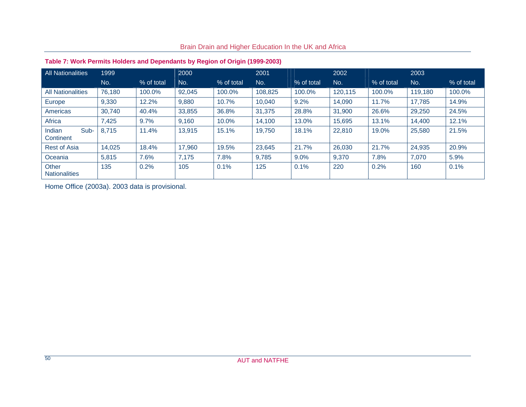#### **Table 7: Work Permits Holders and Dependants by Region of Origin (1999-2003)**  All Nationalities 1999 2000 2001 2001 2002 2002 2002 2003 No. % of total No. % of total No. % of total No. % of total No. % of total % of total All Nationalities 76,180 100.0% 92,045 100.0% 108,825 100.0% 120,115 100.0% 119,180 100.0% Europe 9,330 12.2% 9,880 10.7% 10,040 9.2% 14,090 11.7% 17,785 14.9% Americas 30,740 40.4% 33,855 36.8% 31,375 28.8% 31,900 26.6% 29,250 24.5% Africa 7,425 9.7% 9,160 10.0% 14,100 13.0% 15,695 13.1% 14,400 12.1% Indian Sub-Indian Sub- 8,715 | 11.4% | 13,915 | 15.1% | 19,750 | 18.1% | 22,810 | 19.0% | 25,580 | 21.5%<br>Continent Rest of Asia 14,025 18.4% 17,960 19.5% 23,645 21.7% 26,030 21.7% 24,935 20.9% Oceania 5,815 7.6% 7,175 7.8% 9,785 9.0% 9,370 7.8% 7,070 5.9% **Other** Nationalities 135 0.2% 105 0.1% 125 0.1% 220 0.2% 160 0.1%  $0.1%$

## Brain Drain and Higher Education In the UK and Africa

Home Office (2003a). 2003 data is provisional.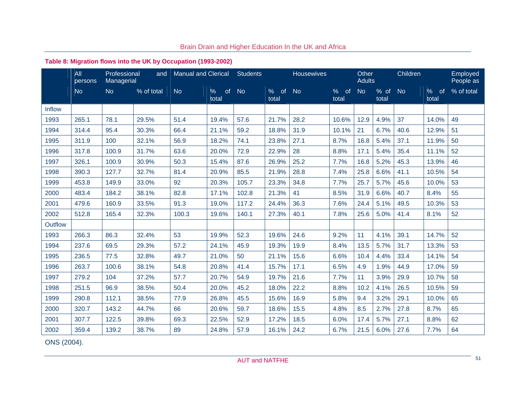## **Table 8: Migration flows into the UK by Occupation (1993-2002)**

|               | All<br>persons | Professional<br>Managerial | and        | <b>Manual and Clerical</b> |                     | <b>Students</b> |                  | <b>Housewives</b> |                     | Other<br><b>Adults</b> |               | Children  |                                | Employed<br>People as |
|---------------|----------------|----------------------------|------------|----------------------------|---------------------|-----------------|------------------|-------------------|---------------------|------------------------|---------------|-----------|--------------------------------|-----------------------|
|               | <b>No</b>      | <b>No</b>                  | % of total | <b>No</b>                  | of<br>$\%$<br>total | <b>No</b>       | of<br>%<br>total | <b>No</b>         | $\%$<br>of<br>total | <b>No</b>              | % of<br>total | <b>No</b> | $\%$<br><sub>of</sub><br>total | % of total            |
| <b>Inflow</b> |                |                            |            |                            |                     |                 |                  |                   |                     |                        |               |           |                                |                       |
| 1993          | 265.1          | 78.1                       | 29.5%      | 51.4                       | 19.4%               | 57.6            | 21.7%            | 28.2              | 10.6%               | 12.9                   | 4.9%          | 37        | 14.0%                          | 49                    |
| 1994          | 314.4          | 95.4                       | 30.3%      | 66.4                       | 21.1%               | 59.2            | 18.8%            | 31.9              | 10.1%               | 21                     | 6.7%          | 40.6      | 12.9%                          | 51                    |
| 1995          | 311.9          | 100                        | 32.1%      | 56.9                       | 18.2%               | 74.1            | 23.8%            | 27.1              | 8.7%                | 16.8                   | 5.4%          | 37.1      | 11.9%                          | 50                    |
| 1996          | 317.8          | 100.9                      | 31.7%      | 63.6                       | 20.0%               | 72.9            | 22.9%            | 28                | 8.8%                | 17.1                   | 5.4%          | 35.4      | 11.1%                          | 52                    |
| 1997          | 326.1          | 100.9                      | 30.9%      | 50.3                       | 15.4%               | 87.6            | 26.9%            | 25.2              | 7.7%                | 16.8                   | 5.2%          | 45.3      | 13.9%                          | 46                    |
| 1998          | 390.3          | 127.7                      | 32.7%      | 81.4                       | 20.9%               | 85.5            | 21.9%            | 28.8              | 7.4%                | 25.8                   | 6.6%          | 41.1      | 10.5%                          | 54                    |
| 1999          | 453.8          | 149.9                      | 33.0%      | 92                         | 20.3%               | 105.7           | 23.3%            | 34.8              | 7.7%                | 25.7                   | 5.7%          | 45.6      | 10.0%                          | 53                    |
| 2000          | 483.4          | 184.2                      | 38.1%      | 82.8                       | 17.1%               | 102.8           | 21.3%            | 41                | 8.5%                | 31.9                   | 6.6%          | 40.7      | 8.4%                           | 55                    |
| 2001          | 479.6          | 160.9                      | 33.5%      | 91.3                       | 19.0%               | 117.2           | 24.4%            | 36.3              | 7.6%                | 24.4                   | 5.1%          | 49.5      | 10.3%                          | 53                    |
| 2002          | 512.8          | 165.4                      | 32.3%      | 100.3                      | 19.6%               | 140.1           | 27.3%            | 40.1              | 7.8%                | 25.6                   | 5.0%          | 41.4      | 8.1%                           | 52                    |
| Outflow       |                |                            |            |                            |                     |                 |                  |                   |                     |                        |               |           |                                |                       |
| 1993          | 266.3          | 86.3                       | 32.4%      | 53                         | 19.9%               | 52.3            | 19.6%            | 24.6              | 9.2%                | 11                     | 4.1%          | 39.1      | 14.7%                          | 52                    |
| 1994          | 237.6          | 69.5                       | 29.3%      | 57.2                       | 24.1%               | 45.9            | 19.3%            | 19.9              | 8.4%                | 13.5                   | 5.7%          | 31.7      | 13.3%                          | 53                    |
| 1995          | 236.5          | 77.5                       | 32.8%      | 49.7                       | 21.0%               | 50              | 21.1%            | 15.6              | 6.6%                | 10.4                   | 4.4%          | 33.4      | 14.1%                          | 54                    |
| 1996          | 263.7          | 100.6                      | 38.1%      | 54.8                       | 20.8%               | 41.4            | 15.7%            | 17.1              | 6.5%                | 4.9                    | 1.9%          | 44.9      | 17.0%                          | 59                    |
| 1997          | 279.2          | 104                        | 37.2%      | 57.7                       | 20.7%               | 54.9            | 19.7%            | 21.6              | 7.7%                | 11                     | 3.9%          | 29.9      | 10.7%                          | 58                    |
| 1998          | 251.5          | 96.9                       | 38.5%      | 50.4                       | 20.0%               | 45.2            | 18.0%            | 22.2              | 8.8%                | 10.2                   | 4.1%          | 26.5      | 10.5%                          | 59                    |
| 1999          | 290.8          | 112.1                      | 38.5%      | 77.9                       | 26.8%               | 45.5            | 15.6%            | 16.9              | 5.8%                | 9.4                    | 3.2%          | 29.1      | 10.0%                          | 65                    |
| 2000          | 320.7          | 143.2                      | 44.7%      | 66                         | 20.6%               | 59.7            | 18.6%            | 15.5              | 4.8%                | 8.5                    | 2.7%          | 27.8      | 8.7%                           | 65                    |
| 2001          | 307.7          | 122.5                      | 39.8%      | 69.3                       | 22.5%               | 52.9            | 17.2%            | 18.5              | 6.0%                | 17.4                   | 5.7%          | 27.1      | 8.8%                           | 62                    |
| 2002          | 359.4          | 139.2                      | 38.7%      | 89                         | 24.8%               | 57.9            | 16.1%            | 24.2              | 6.7%                | 21.5                   | 6.0%          | 27.6      | 7.7%                           | 64                    |

ONS (2004).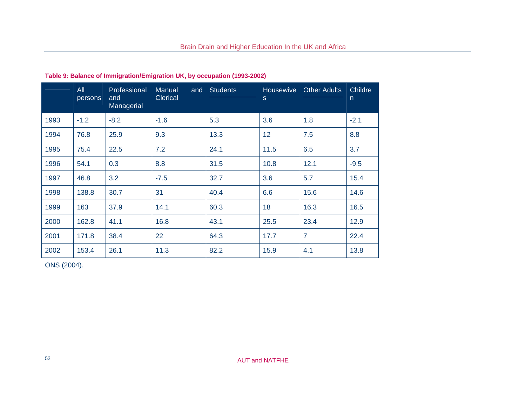|      | All<br>persons | Professional<br>and<br>Managerial | Manual<br>and<br><b>Clerical</b> | <b>Students</b> | Housewive<br>S. | <b>Other Adults</b> | Childre<br>$\overline{n}$ |
|------|----------------|-----------------------------------|----------------------------------|-----------------|-----------------|---------------------|---------------------------|
| 1993 | $-1.2$         | $-8.2$                            | $-1.6$                           | 5.3             | 3.6             | 1.8                 | $-2.1$                    |
| 1994 | 76.8           | 25.9                              | 9.3                              | 13.3            | 12              | 7.5                 | 8.8                       |
| 1995 | 75.4           | 22.5                              | 7.2                              | 24.1            | 11.5            | 6.5                 | 3.7                       |
| 1996 | 54.1           | 0.3                               | 8.8                              | 31.5            | 10.8            | 12.1                | $-9.5$                    |
| 1997 | 46.8           | 3.2                               | $-7.5$                           | 32.7            | 3.6             | 5.7                 | 15.4                      |
| 1998 | 138.8          | 30.7                              | 31                               | 40.4            | 6.6             | 15.6                | 14.6                      |
| 1999 | 163            | 37.9                              | 14.1                             | 60.3            | 18              | 16.3                | 16.5                      |
| 2000 | 162.8          | 41.1                              | 16.8                             | 43.1            | 25.5            | 23.4                | 12.9                      |
| 2001 | 171.8          | 38.4                              | 22                               | 64.3            | 17.7            | $\overline{7}$      | 22.4                      |
| 2002 | 153.4          | 26.1                              | 11.3                             | 82.2            | 15.9            | 4.1                 | 13.8                      |

## **Table 9: Balance of Immigration/Emigration UK, by occupation (1993-2002)**

ONS (2004).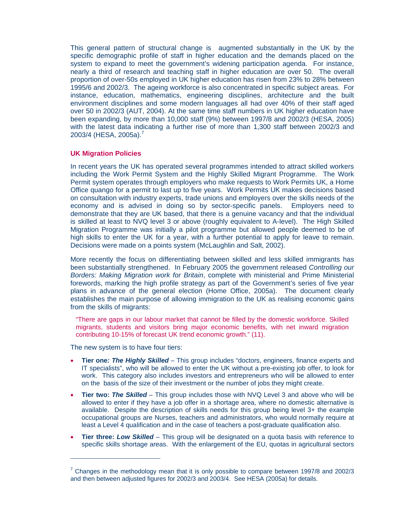This general pattern of structural change is augmented substantially in the UK by the specific demographic profile of staff in higher education and the demands placed on the system to expand to meet the government's widening participation agenda. For instance, nearly a third of research and teaching staff in higher education are over 50. The overall proportion of over-50s employed in UK higher education has risen from 23% to 28% between 1995/6 and 2002/3. The ageing workforce is also concentrated in specific subject areas. For instance, education, mathematics, engineering disciplines, architecture and the built environment disciplines and some modern languages all had over 40% of their staff aged over 50 in 2002/3 (AUT, 2004). At the same time staff numbers in UK higher education have been expanding, by more than 10,000 staff (9%) between 1997/8 and 2002/3 (HESA, 2005) with the latest data indicating a further rise of more than 1,300 staff between 2002/3 and 2003/4 (HESA, 2005a).<sup>7</sup>

#### **UK Migration Policies**

In recent years the UK has operated several programmes intended to attract skilled workers including the Work Permit System and the Highly Skilled Migrant Programme. The Work Permit system operates through employers who make requests to Work Permits UK, a Home Office quango for a permit to last up to five years. Work Permits UK makes decisions based on consultation with industry experts, trade unions and employers over the skills needs of the economy and is advised in doing so by sector-specific panels. Employers need to demonstrate that they are UK based, that there is a genuine vacancy and that the individual is skilled at least to NVQ level 3 or above (roughly equivalent to A-level). The High Skilled Migration Programme was initially a pilot programme but allowed people deemed to be of high skills to enter the UK for a year, with a further potential to apply for leave to remain. Decisions were made on a points system (McLaughlin and Salt, 2002).

More recently the focus on differentiating between skilled and less skilled immigrants has been substantially strengthened. In February 2005 the government released *Controlling our Borders: Making Migration work for Britain*, complete with ministerial and Prime Ministerial forewords, marking the high profile strategy as part of the Government's series of five year plans in advance of the general election (Home Office, 2005a). The document clearly establishes the main purpose of allowing immigration to the UK as realising economic gains from the skills of migrants:

"There are gaps in our labour market that cannot be filled by the domestic workforce. Skilled migrants, students and visitors bring major economic benefits, with net inward migration contributing 10-15% of forecast UK trend economic growth." (11).

The new system is to have four tiers:

 $\overline{a}$ 

- **Tier one***: The Highly Skilled* This group includes "doctors, engineers, finance experts and IT specialists", who will be allowed to enter the UK without a pre-existing job offer, to look for work. This category also includes investors and entrepreneurs who will be allowed to enter on the basis of the size of their investment or the number of jobs they might create.
- **Tier two:** *The Skilled* This group includes those with NVQ Level 3 and above who will be allowed to enter if they have a job offer in a shortage area, where no domestic alternative is available. Despite the description of skills needs for this group being level 3+ the example occupational groups are Nurses, teachers and administrators, who would normally require at least a Level 4 qualification and in the case of teachers a post-graduate qualification also.
- **Tier three:** *Low Skilled* This group will be designated on a quota basis with reference to specific skills shortage areas. With the enlargement of the EU, quotas in agricultural sectors

 $7$  Changes in the methodology mean that it is only possible to compare between 1997/8 and 2002/3 and then between adjusted figures for 2002/3 and 2003/4. See HESA (2005a) for details.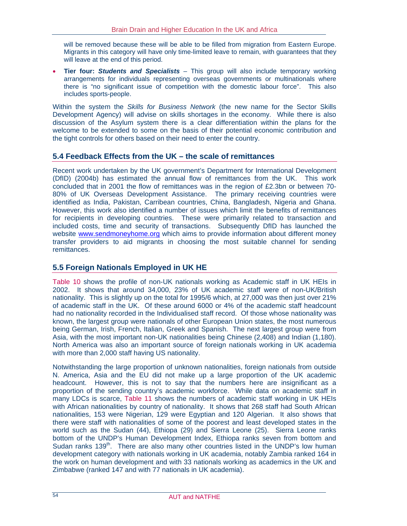will be removed because these will be able to be filled from migration from Eastern Europe. Migrants in this category will have only time-limited leave to remain, with guarantees that they will leave at the end of this period.

• **Tier four:** *Students and Specialists* – This group will also include temporary working arrangements for individuals representing overseas governments or multinationals where there is "no significant issue of competition with the domestic labour force". This also includes sports-people.

Within the system the *Skills for Business Network* (the new name for the Sector Skills Development Agency) will advise on skills shortages in the economy. While there is also discussion of the Asylum system there is a clear differentiation within the plans for the welcome to be extended to some on the basis of their potential economic contribution and the tight controls for others based on their need to enter the country.

#### **5.4 Feedback Effects from the UK – the scale of remittances**

Recent work undertaken by the UK government's Department for International Development (DfID) (2004b) has estimated the annual flow of remittances from the UK. This work concluded that in 2001 the flow of remittances was in the region of £2.3bn or between 70- 80% of UK Overseas Development Assistance. The primary receiving countries were identified as India, Pakistan, Carribean countries, China, Bangladesh, Nigeria and Ghana. However, this work also identified a number of issues which limit the benefits of remittances for recipients in developing countries. These were primarily related to transaction and included costs, time and security of transactions. Subsequently DfID has launched the website www.sendmoneyhome.org which aims to provide information about different money transfer providers to aid migrants in choosing the most suitable channel for sending remittances.

#### **5.5 Foreign Nationals Employed in UK HE**

Table 10 shows the profile of non-UK nationals working as Academic staff in UK HEIs in 2002. It shows that around 34,000, 23% of UK academic staff were of non-UK/British nationality. This is slightly up on the total for 1995/6 which, at 27,000 was then just over 21% of academic staff in the UK. Of these around 6000 or 4% of the academic staff headcount had no nationality recorded in the Individualised staff record. Of those whose nationality was known, the largest group were nationals of other European Union states, the most numerous being German, Irish, French, Italian, Greek and Spanish. The next largest group were from Asia, with the most important non-UK nationalities being Chinese (2,408) and Indian (1,180). North America was also an important source of foreign nationals working in UK academia with more than 2,000 staff having US nationality.

Notwithstanding the large proportion of unknown nationalities, foreign nationals from outside N. America, Asia and the EU did not make up a large proportion of the UK academic headcount. However, this is not to say that the numbers here are insignificant as a proportion of the sending country's academic workforce. While data on academic staff in many LDCs is scarce, Table 11 shows the numbers of academic staff working in UK HEIs with African nationalities by country of nationality. It shows that 268 staff had South African nationalities, 153 were Nigerian, 129 were Egyptian and 120 Algerian. It also shows that there were staff with nationalities of some of the poorest and least developed states in the world such as the Sudan (44), Ethiopa (29) and Sierra Leone (25). Sierra Leone ranks bottom of the UNDP's Human Development Index, Ethiopa ranks seven from bottom and Sudan ranks 139<sup>th</sup>. There are also many other countries listed in the UNDP's low human development category with nationals working in UK academia, notably Zambia ranked 164 in the work on human development and with 33 nationals working as academics in the UK and Zimbabwe (ranked 147 and with 77 nationals in UK academia).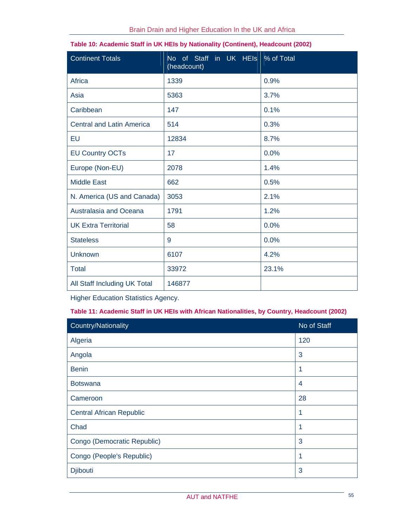| <b>Continent Totals</b>          | No of Staff in UK HEIs % of Total<br>(headcount) |       |
|----------------------------------|--------------------------------------------------|-------|
| Africa                           | 1339                                             | 0.9%  |
| Asia                             | 5363                                             | 3.7%  |
| Caribbean                        | 147                                              | 0.1%  |
| <b>Central and Latin America</b> | 514                                              | 0.3%  |
| EU                               | 12834                                            | 8.7%  |
| <b>EU Country OCTs</b>           | 17                                               | 0.0%  |
| Europe (Non-EU)                  | 2078                                             | 1.4%  |
| <b>Middle East</b>               | 662                                              | 0.5%  |
| N. America (US and Canada)       | 3053                                             | 2.1%  |
| Australasia and Oceana           | 1791                                             | 1.2%  |
| <b>UK Extra Territorial</b>      | 58                                               | 0.0%  |
| <b>Stateless</b>                 | 9                                                | 0.0%  |
| <b>Unknown</b>                   | 6107                                             | 4.2%  |
| <b>Total</b>                     | 33972                                            | 23.1% |
| All Staff Including UK Total     | 146877                                           |       |

| Table 10: Academic Staff in UK HEIs by Nationality (Continent), Headcount (2002) |  |  |
|----------------------------------------------------------------------------------|--|--|
|                                                                                  |  |  |

Higher Education Statistics Agency.

## **Table 11: Academic Staff in UK HEIs with African Nationalities, by Country, Headcount (2002)**

| Country/Nationality             | No of Staff |
|---------------------------------|-------------|
| Algeria                         | 120         |
| Angola                          | 3           |
| <b>Benin</b>                    |             |
| <b>Botswana</b>                 | 4           |
| Cameroon                        | 28          |
| <b>Central African Republic</b> | 1           |
| Chad                            |             |
| Congo (Democratic Republic)     | 3           |
| Congo (People's Republic)       | 1           |
| <b>Djibouti</b>                 | 3           |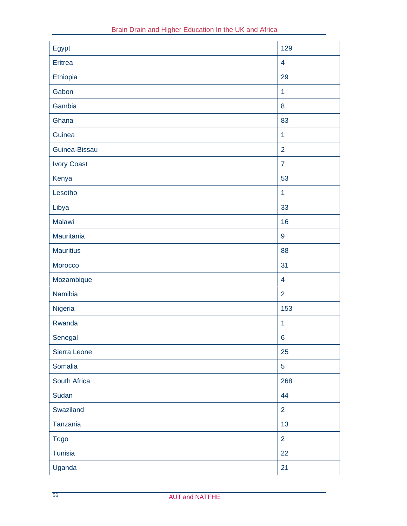| Egypt              | 129                     |
|--------------------|-------------------------|
| Eritrea            | $\overline{4}$          |
| Ethiopia           | 29                      |
| Gabon              | $\mathbf{1}$            |
| Gambia             | 8                       |
| Ghana              | 83                      |
| Guinea             | $\mathbf{1}$            |
| Guinea-Bissau      | $\overline{2}$          |
| <b>Ivory Coast</b> | $\overline{7}$          |
| Kenya              | 53                      |
| Lesotho            | $\mathbf{1}$            |
| Libya              | 33                      |
| Malawi             | 16                      |
| Mauritania         | $9\,$                   |
| <b>Mauritius</b>   | 88                      |
| Morocco            | 31                      |
| Mozambique         | $\overline{\mathbf{4}}$ |
| Namibia            | $\overline{2}$          |
| Nigeria            | 153                     |
| Rwanda             | $\mathbf{1}$            |
| Senegal            | $6\phantom{a}$          |
| Sierra Leone       | 25                      |
| Somalia            | $\overline{5}$          |
| South Africa       | 268                     |
| Sudan              | 44                      |
| Swaziland          | $\overline{2}$          |
| Tanzania           | 13                      |
| <b>Togo</b>        | $\overline{2}$          |
| <b>Tunisia</b>     | 22                      |
| Uganda             | 21                      |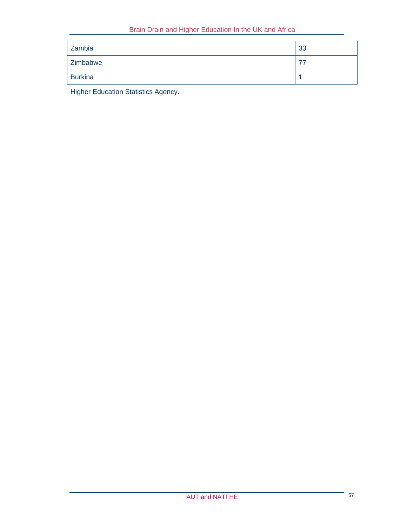| Zambia   | 33 |
|----------|----|
| Zimbabwe | 77 |
| Burkina  |    |

Higher Education Statistics Agency.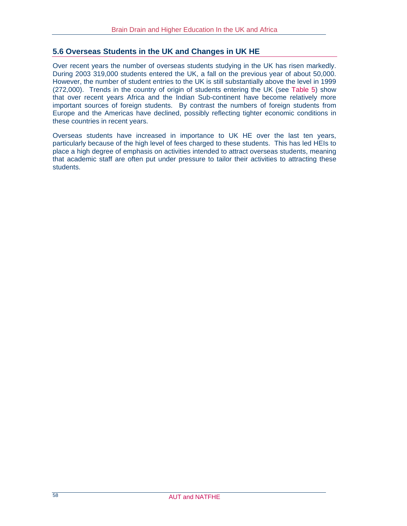#### **5.6 Overseas Students in the UK and Changes in UK HE**

Over recent years the number of overseas students studying in the UK has risen markedly. During 2003 319,000 students entered the UK, a fall on the previous year of about 50,000. However, the number of student entries to the UK is still substantially above the level in 1999 (272,000). Trends in the country of origin of students entering the UK (see Table 5) show that over recent years Africa and the Indian Sub-continent have become relatively more important sources of foreign students. By contrast the numbers of foreign students from Europe and the Americas have declined, possibly reflecting tighter economic conditions in these countries in recent years.

Overseas students have increased in importance to UK HE over the last ten years, particularly because of the high level of fees charged to these students. This has led HEIs to place a high degree of emphasis on activities intended to attract overseas students, meaning that academic staff are often put under pressure to tailor their activities to attracting these students.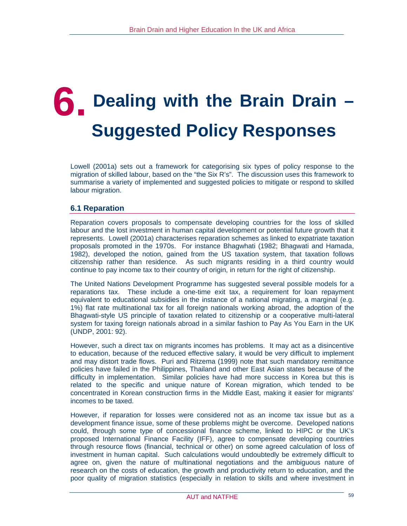## **6. Dealing with the Brain Drain – Suggested Policy Responses**

Lowell (2001a) sets out a framework for categorising six types of policy response to the migration of skilled labour, based on the "the Six R's". The discussion uses this framework to summarise a variety of implemented and suggested policies to mitigate or respond to skilled labour migration.

## **6.1 Reparation**

Reparation covers proposals to compensate developing countries for the loss of skilled labour and the lost investment in human capital development or potential future growth that it represents. Lowell (2001a) characterises reparation schemes as linked to expatriate taxation proposals promoted in the 1970s. For instance Bhagwhati (1982; Bhagwati and Hamada, 1982), developed the notion, gained from the US taxation system, that taxation follows citizenship rather than residence. As such migrants residing in a third country would continue to pay income tax to their country of origin, in return for the right of citizenship.

The United Nations Development Programme has suggested several possible models for a reparations tax. These include a one-time exit tax, a requirement for loan repayment equivalent to educational subsidies in the instance of a national migrating, a marginal (e.g. 1%) flat rate multinational tax for all foreign nationals working abroad, the adoption of the Bhagwati-style US principle of taxation related to citizenship or a cooperative multi-lateral system for taxing foreign nationals abroad in a similar fashion to Pay As You Earn in the UK (UNDP, 2001: 92).

However, such a direct tax on migrants incomes has problems. It may act as a disincentive to education, because of the reduced effective salary, it would be very difficult to implement and may distort trade flows. Puri and Ritzema (1999) note that such mandatory remittance policies have failed in the Philippines, Thailand and other East Asian states because of the difficulty in implementation. Similar policies have had more success in Korea but this is related to the specific and unique nature of Korean migration, which tended to be concentrated in Korean construction firms in the Middle East, making it easier for migrants' incomes to be taxed.

However, if reparation for losses were considered not as an income tax issue but as a development finance issue, some of these problems might be overcome. Developed nations could, through some type of concessional finance scheme, linked to HIPC or the UK's proposed International Finance Facility (IFF), agree to compensate developing countries through resource flows (financial, technical or other) on some agreed calculation of loss of investment in human capital. Such calculations would undoubtedly be extremely difficult to agree on, given the nature of multinational negotiations and the ambiguous nature of research on the costs of education, the growth and productivity return to education, and the poor quality of migration statistics (especially in relation to skills and where investment in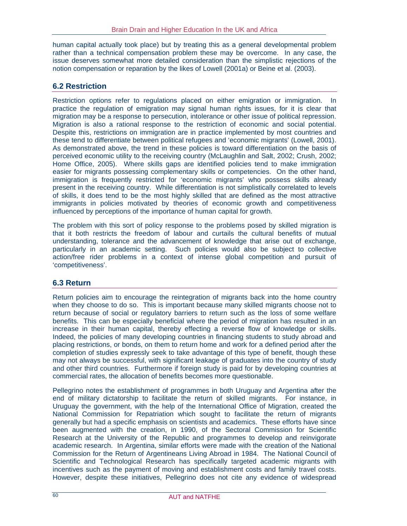human capital actually took place) but by treating this as a general developmental problem rather than a technical compensation problem these may be overcome. In any case, the issue deserves somewhat more detailed consideration than the simplistic rejections of the notion compensation or reparation by the likes of Lowell (2001a) or Beine et al. (2003).

## **6.2 Restriction**

Restriction options refer to regulations placed on either emigration or immigration. In practice the regulation of emigration may signal human rights issues, for it is clear that migration may be a response to persecution, intolerance or other issue of political repression. Migration is also a rational response to the restriction of economic and social potential. Despite this, restrictions on immigration are in practice implemented by most countries and these tend to differentiate between political refugees and 'economic migrants' (Lowell, 2001). As demonstrated above, the trend in these policies is toward differentiation on the basis of perceived economic utility to the receiving country (McLaughlin and Salt, 2002; Crush, 2002; Home Office, 2005). Where skills gaps are identified policies tend to make immigration easier for migrants possessing complementary skills or competencies. On the other hand, immigration is frequently restricted for 'economic migrants' who possess skills already present in the receiving country. While differentiation is not simplistically correlated to levels of skills, it does tend to be the most highly skilled that are defined as the most attractive immigrants in policies motivated by theories of economic growth and competitiveness influenced by perceptions of the importance of human capital for growth.

The problem with this sort of policy response to the problems posed by skilled migration is that it both restricts the freedom of labour and curtails the cultural benefits of mutual understanding, tolerance and the advancement of knowledge that arise out of exchange, particularly in an academic setting. Such policies would also be subject to collective action/free rider problems in a context of intense global competition and pursuit of 'competitiveness'.

## **6.3 Return**

Return policies aim to encourage the reintegration of migrants back into the home country when they choose to do so. This is important because many skilled migrants choose not to return because of social or regulatory barriers to return such as the loss of some welfare benefits. This can be especially beneficial where the period of migration has resulted in an increase in their human capital, thereby effecting a reverse flow of knowledge or skills. Indeed, the policies of many developing countries in financing students to study abroad and placing restrictions, or bonds, on them to return home and work for a defined period after the completion of studies expressly seek to take advantage of this type of benefit, though these may not always be successful, with significant leakage of graduates into the country of study and other third countries. Furthermore if foreign study is paid for by developing countries at commercial rates, the allocation of benefits becomes more questionable.

Pellegrino notes the establishment of programmes in both Uruguay and Argentina after the end of military dictatorship to facilitate the return of skilled migrants. For instance, in Uruguay the government, with the help of the International Office of Migration, created the National Commission for Repatriation which sought to facilitate the return of migrants generally but had a specific emphasis on scientists and academics. These efforts have since been augmented with the creation, in 1990, of the Sectoral Commission for Scientific Research at the University of the Republic and programmes to develop and reinvigorate academic research. In Argentina, similar efforts were made with the creation of the National Commission for the Return of Argentineans Living Abroad in 1984. The National Council of Scientific and Technological Research has specifically targeted academic migrants with incentives such as the payment of moving and establishment costs and family travel costs. However, despite these initiatives, Pellegrino does not cite any evidence of widespread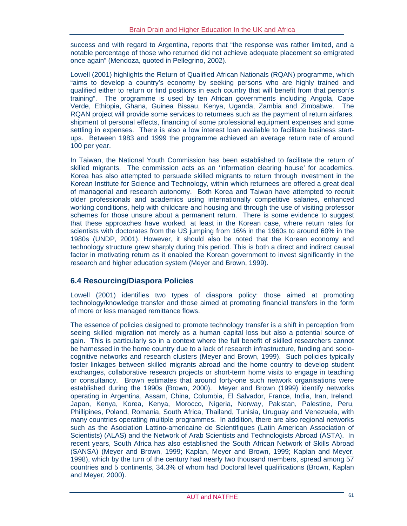success and with regard to Argentina, reports that "the response was rather limited, and a notable percentage of those who returned did not achieve adequate placement so emigrated once again" (Mendoza, quoted in Pellegrino, 2002).

Lowell (2001) highlights the Return of Qualified African Nationals (RQAN) programme, which "aims to develop a country's economy by seeking persons who are highly trained and qualified either to return or find positions in each country that will benefit from that person's training". The programme is used by ten African governments including Angola, Cape Verde, Ethiopia, Ghana, Guinea Bissau, Kenya, Uganda, Zambia and Zimbabwe. The RQAN project will provide some services to returnees such as the payment of return airfares, shipment of personal effects, financing of some professional equipment expenses and some settling in expenses. There is also a low interest loan available to facilitate business startups. Between 1983 and 1999 the programme achieved an average return rate of around 100 per year.

In Taiwan, the National Youth Commission has been established to facilitate the return of skilled migrants. The commission acts as an 'information clearing house' for academics. Korea has also attempted to persuade skilled migrants to return through investment in the Korean Institute for Science and Technology, within which returnees are offered a great deal of managerial and research autonomy. Both Korea and Taiwan have attempted to recruit older professionals and academics using internationally competitive salaries, enhanced working conditions, help with childcare and housing and through the use of visiting professor schemes for those unsure about a permanent return. There is some evidence to suggest that these approaches have worked, at least in the Korean case, where return rates for scientists with doctorates from the US jumping from 16% in the 1960s to around 60% in the 1980s (UNDP, 2001). However, it should also be noted that the Korean economy and technology structure grew sharply during this period. This is both a direct and indirect causal factor in motivating return as it enabled the Korean government to invest significantly in the research and higher education system (Meyer and Brown, 1999).

## **6.4 Resourcing/Diaspora Policies**

Lowell (2001) identifies two types of diaspora policy: those aimed at promoting technology/knowledge transfer and those aimed at promoting financial transfers in the form of more or less managed remittance flows.

The essence of policies designed to promote technology transfer is a shift in perception from seeing skilled migration not merely as a human capital loss but also a potential source of gain. This is particularly so in a context where the full benefit of skilled researchers cannot be harnessed in the home country due to a lack of research infrastructure, funding and sociocognitive networks and research clusters (Meyer and Brown, 1999). Such policies typically foster linkages between skilled migrants abroad and the home country to develop student exchanges, collaborative research projects or short-term home visits to engage in teaching or consultancy. Brown estimates that around forty-one such network organisations were established during the 1990s (Brown, 2000). Meyer and Brown (1999) identify networks operating in Argentina, Assam, China, Columbia, El Salvador, France, India, Iran, Ireland, Japan, Kenya, Korea, Kenya, Morocco, Nigeria, Norway, Pakistan, Palestine, Peru, Phillipines, Poland, Romania, South Africa, Thailand, Tunisia, Uruguay and Venezuela, with many countries operating multiple programmes. In addition, there are also regional networks such as the Asociation Lattino-americaine de Scientifiques (Latin American Association of Scientists) (ALAS) and the Network of Arab Scientists and Technologists Abroad (ASTA). In recent years, South Africa has also established the South African Network of Skills Abroad (SANSA) (Meyer and Brown, 1999; Kaplan, Meyer and Brown, 1999; Kaplan and Meyer, 1998), which by the turn of the century had nearly two thousand members, spread among 57 countries and 5 continents, 34.3% of whom had Doctoral level qualifications (Brown, Kaplan and Meyer, 2000).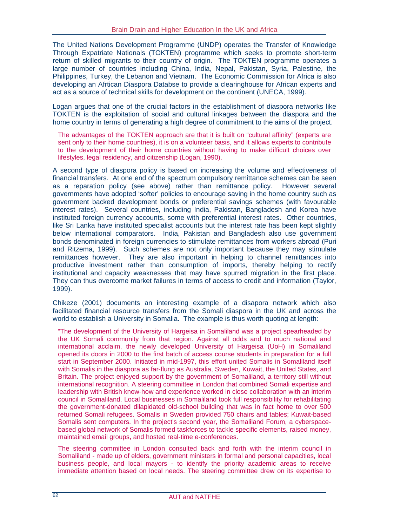The United Nations Development Programme (UNDP) operates the Transfer of Knowledge Through Expatriate Nationals (TOKTEN) programme which seeks to promote short-term return of skilled migrants to their country of origin. The TOKTEN programme operates a large number of countries including China, India, Nepal, Pakistan, Syria, Palestine, the Philippines, Turkey, the Lebanon and Vietnam. The Economic Commission for Africa is also developing an Afrtican Diaspora Databse to provide a clearinghouse for African experts and act as a source of technical skills for development on the continent (UNECA, 1999).

Logan argues that one of the crucial factors in the establishment of diaspora networks like TOKTEN is the exploitation of social and cultural linkages between the diaspora and the home country in terms of generating a high degree of commitment to the aims of the project.

The advantages of the TOKTEN approach are that it is built on "cultural affinity" (experts are sent only to their home countries), it is on a volunteer basis, and it allows experts to contribute to the development of their home countries without having to make difficult choices over lifestyles, legal residency, and citizenship (Logan, 1990).

A second type of diaspora policy is based on increasing the volume and effectiveness of financial transfers. At one end of the spectrum compulsory remittance schemes can be seen as a reparation policy (see above) rather than remittance policy. However several governments have adopted 'softer' policies to encourage saving in the home country such as government backed development bonds or preferential savings schemes (with favourable interest rates). Several countries, including India, Pakistan, Bangladesh and Korea have instituted foreign currency accounts, some with preferential interest rates. Other countries, like Sri Lanka have instituted specialist accounts but the interest rate has been kept slightly below international comparators. India, Pakistan and Bangladesh also use government bonds denominated in foreign currencies to stimulate remittances from workers abroad (Puri and Ritzema, 1999). Such schemes are not only important because they may stimulate remittances however. They are also important in helping to channel remittances into productive investment rather than consumption of imports, thereby helping to rectify institutional and capacity weaknesses that may have spurred migration in the first place. They can thus overcome market failures in terms of access to credit and information (Taylor, 1999).

Chikeze (2001) documents an interesting example of a disapora network which also facilitated financial resource transfers from the Somali diaspora in the UK and across the world to establish a University in Somalia. The example is thus worth quoting at length:

"The development of the University of Hargeisa in Somaliland was a project spearheaded by the UK Somali community from that region. Against all odds and to much national and international acclaim, the newly developed University of Hargeisa (UoH) in Somaliland opened its doors in 2000 to the first batch of access course students in preparation for a full start in September 2000. Initiated in mid-1997, this effort united Somalis in Somaliland itself with Somalis in the diaspora as far-flung as Australia, Sweden, Kuwait, the United States, and Britain. The project enjoyed support by the government of Somaliland, a territory still without international recognition. A steering committee in London that combined Somali expertise and leadership with British know-how and experience worked in close collaboration with an interim council in Somaliland. Local businesses in Somaliland took full responsibility for rehabilitating the government-donated dilapidated old-school building that was in fact home to over 500 returned Somali refugees. Somalis in Sweden provided 750 chairs and tables; Kuwait-based Somalis sent computers. In the project's second year, the Somaliland Forum, a cyberspacebased global network of Somalis formed taskforces to tackle specific elements, raised money, maintained email groups, and hosted real-time e-conferences.

The steering committee in London consulted back and forth with the interim council in Somaliland - made up of elders, government ministers in formal and personal capacities, local business people, and local mayors - to identify the priority academic areas to receive immediate attention based on local needs. The steering committee drew on its expertise to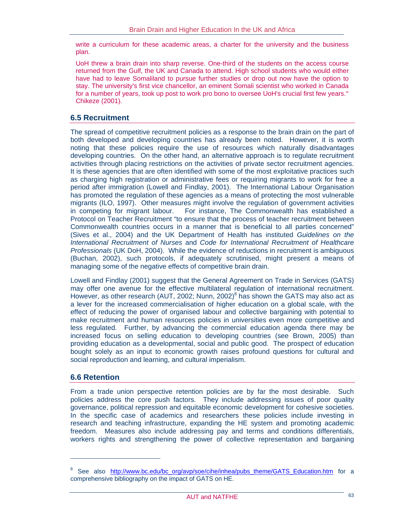write a curriculum for these academic areas, a charter for the university and the business plan.

UoH threw a brain drain into sharp reverse. One-third of the students on the access course returned from the Gulf, the UK and Canada to attend. High school students who would either have had to leave Somaliland to pursue further studies or drop out now have the option to stay. The university's first vice chancellor, an eminent Somali scientist who worked in Canada for a number of years, took up post to work pro bono to oversee UoH's crucial first few years." Chikeze (2001).

#### **6.5 Recruitment**

The spread of competitive recruitment policies as a response to the brain drain on the part of both developed and developing countries has already been noted. However, it is worth noting that these policies require the use of resources which naturally disadvantages developing countries. On the other hand, an alternative approach is to regulate recruitment activities through placing restrictions on the activities of private sector recruitment agencies. It is these agencies that are often identified with some of the most exploitative practices such as charging high registration or administrative fees or requiring migrants to work for free a period after immigration (Lowell and Findlay, 2001). The International Labour Organisation has promoted the regulation of these agencies as a means of protecting the most vulnerable migrants (ILO, 1997). Other measures might involve the regulation of government activities in competing for migrant labour. For instance, The Commonwealth has established a Protocol on Teacher Recruitment "to ensure that the process of teacher recruitment between Commonwealth countries occurs in a manner that is beneficial to all parties concerned" (Sives et al., 2004) and the UK Department of Health has instituted *Guidelines on the International Recruitment of Nurses* and *Code for International Recruitment of Healthcare Professionals* (UK DoH, 2004). While the evidence of reductions in recruitment is ambiguous (Buchan, 2002), such protocols, if adequately scrutinised, might present a means of managing some of the negative effects of competitive brain drain.

Lowell and Findlay (2001) suggest that the General Agreement on Trade in Services (GATS) may offer one avenue for the effective multilateral regulation of international recruitment. However, as other research (AUT, 2002; Nunn, 2002) $^8$  has shown the GATS may also act as a lever for the increased commercialisation of higher education on a global scale, with the effect of reducing the power of organised labour and collective bargaining with potential to make recruitment and human resources policies in universities even more competitive and less regulated. Further, by advancing the commercial education agenda there may be increased focus on selling education to developing countries (see Brown, 2005) than providing education as a developmental, social and public good. The prospect of education bought solely as an input to economic growth raises profound questions for cultural and social reproduction and learning, and cultural imperialism.

#### **6.6 Retention**

 $\overline{a}$ 

From a trade union perspective retention policies are by far the most desirable. Such policies address the core push factors. They include addressing issues of poor quality governance, political repression and equitable economic development for cohesive societies. In the specific case of academics and researchers these policies include investing in research and teaching infrastructure, expanding the HE system and promoting academic freedom. Measures also include addressing pay and terms and conditions differentials, workers rights and strengthening the power of collective representation and bargaining

<sup>&</sup>lt;sup>8</sup> See also http://www.bc.edu/bc\_org/avp/soe/cihe/inhea/pubs\_theme/GATS\_Education.htm for a comprehensive bibliography on the impact of GATS on HE.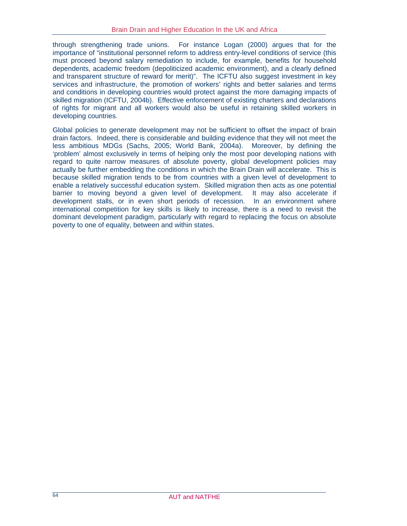through strengthening trade unions. For instance Logan (2000) argues that for the importance of "institutional personnel reform to address entry-level conditions of service (this must proceed beyond salary remediation to include, for example, benefits for household dependents, academic freedom (depoliticized academic environment), and a clearly defined and transparent structure of reward for merit)". The ICFTU also suggest investment in key services and infrastructure, the promotion of workers' rights and better salaries and terms and conditions in developing countries would protect against the more damaging impacts of skilled migration (ICFTU, 2004b). Effective enforcement of existing charters and declarations of rights for migrant and all workers would also be useful in retaining skilled workers in developing countries.

Global policies to generate development may not be sufficient to offset the impact of brain drain factors. Indeed, there is considerable and building evidence that they will not meet the less ambitious MDGs (Sachs, 2005; World Bank, 2004a). Moreover, by defining the 'problem' almost exclusively in terms of helping only the most poor developing nations with regard to quite narrow measures of absolute poverty, global development policies may actually be further embedding the conditions in which the Brain Drain will accelerate. This is because skilled migration tends to be from countries with a given level of development to enable a relatively successful education system. Skilled migration then acts as one potential barrier to moving beyond a given level of development. It may also accelerate if development stalls, or in even short periods of recession. In an environment where international competition for key skills is likely to increase, there is a need to revisit the dominant development paradigm, particularly with regard to replacing the focus on absolute poverty to one of equality, between and within states.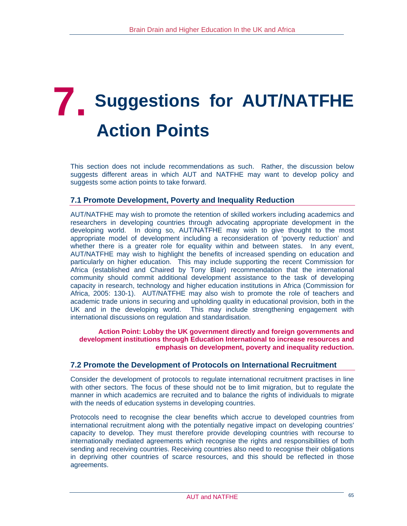## **7. Suggestions for AUT/NATFHE Action Points**

This section does not include recommendations as such. Rather, the discussion below suggests different areas in which AUT and NATFHE may want to develop policy and suggests some action points to take forward.

#### **7.1 Promote Development, Poverty and Inequality Reduction**

AUT/NATFHE may wish to promote the retention of skilled workers including academics and researchers in developing countries through advocating appropriate development in the developing world. In doing so, AUT/NATFHE may wish to give thought to the most appropriate model of development including a reconsideration of 'poverty reduction' and whether there is a greater role for equality within and between states. In any event, AUT/NATFHE may wish to highlight the benefits of increased spending on education and particularly on higher education. This may include supporting the recent Commission for Africa (established and Chaired by Tony Blair) recommendation that the international community should commit additional development assistance to the task of developing capacity in research, technology and higher education institutions in Africa (Commission for Africa, 2005: 130-1). AUT/NATFHE may also wish to promote the role of teachers and academic trade unions in securing and upholding quality in educational provision, both in the UK and in the developing world. This may include strengthening engagement with international discussions on regulation and standardisation.

**Action Point: Lobby the UK government directly and foreign governments and development institutions through Education International to increase resources and emphasis on development, poverty and inequality reduction.** 

#### **7.2 Promote the Development of Protocols on International Recruitment**

Consider the development of protocols to regulate international recruitment practises in line with other sectors. The focus of these should not be to limit migration, but to regulate the manner in which academics are recruited and to balance the rights of individuals to migrate with the needs of education systems in developing countries.

Protocols need to recognise the clear benefits which accrue to developed countries from international recruitment along with the potentially negative impact on developing countries' capacity to develop. They must therefore provide developing countries with recourse to internationally mediated agreements which recognise the rights and responsibilities of both sending and receiving countries. Receiving countries also need to recognise their obligations in depriving other countries of scarce resources, and this should be reflected in those agreements.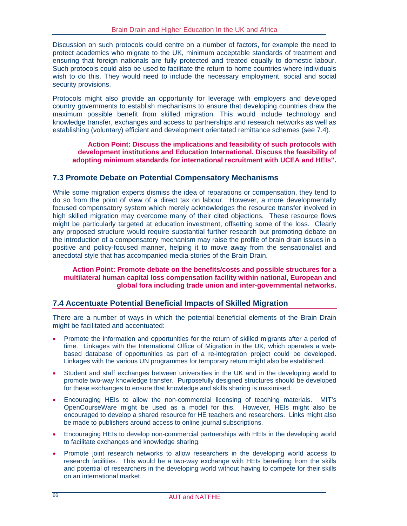Discussion on such protocols could centre on a number of factors, for example the need to protect academics who migrate to the UK, minimum acceptable standards of treatment and ensuring that foreign nationals are fully protected and treated equally to domestic labour. Such protocols could also be used to facilitate the return to home countries where individuals wish to do this. They would need to include the necessary employment, social and social security provisions.

Protocols might also provide an opportunity for leverage with employers and developed country governments to establish mechanisms to ensure that developing countries draw the maximum possible benefit from skilled migration. This would include technology and knowledge transfer, exchanges and access to partnerships and research networks as well as establishing (voluntary) efficient and development orientated remittance schemes (see 7.4).

**Action Point: Discuss the implications and feasibility of such protocols with development institutions and Education International. Discuss the feasibility of adopting minimum standards for international recruitment with UCEA and HEIs".**

#### **7.3 Promote Debate on Potential Compensatory Mechanisms**

While some migration experts dismiss the idea of reparations or compensation, they tend to do so from the point of view of a direct tax on labour. However, a more developmentally focused compensatory system which merely acknowledges the resource transfer involved in high skilled migration may overcome many of their cited objections. These resource flows might be particularly targeted at education investment, offsetting some of the loss. Clearly any proposed structure would require substantial further research but promoting debate on the introduction of a compensatory mechanism may raise the profile of brain drain issues in a positive and policy-focused manner, helping it to move away from the sensationalist and anecdotal style that has accompanied media stories of the Brain Drain.

**Action Point: Promote debate on the benefits/costs and possible structures for a multilateral human capital loss compensation facility within national, European and global fora including trade union and inter-governmental networks.** 

#### **7.4 Accentuate Potential Beneficial Impacts of Skilled Migration**

There are a number of ways in which the potential beneficial elements of the Brain Drain might be facilitated and accentuated:

- Promote the information and opportunities for the return of skilled migrants after a period of time. Linkages with the International Office of Migration in the UK, which operates a webbased database of opportunities as part of a re-integration project could be developed. Linkages with the various UN programmes for temporary return might also be established.
- Student and staff exchanges between universities in the UK and in the developing world to promote two-way knowledge transfer. Purposefully designed structures should be developed for these exchanges to ensure that knowledge and skills sharing is maximised.
- Encouraging HEIs to allow the non-commercial licensing of teaching materials. MIT's OpenCourseWare might be used as a model for this. However, HEIs might also be encouraged to develop a shared resource for HE teachers and researchers. Links might also be made to publishers around access to online journal subscriptions.
- Encouraging HEIs to develop non-commercial partnerships with HEIs in the developing world to facilitate exchanges and knowledge sharing.
- Promote joint research networks to allow researchers in the developing world access to research facilities. This would be a two-way exchange with HEIs benefiting from the skills and potential of researchers in the developing world without having to compete for their skills on an international market.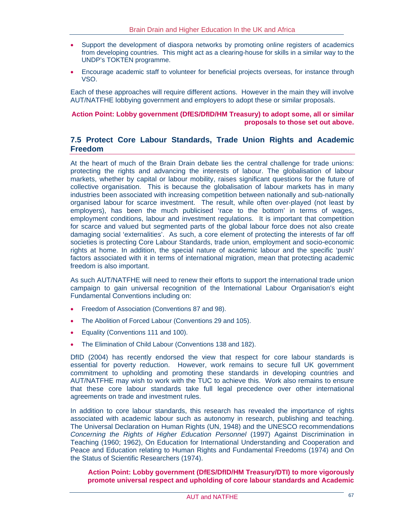- Support the development of diaspora networks by promoting online registers of academics from developing countries. This might act as a clearing-house for skills in a similar way to the UNDP's TOKTEN programme.
- Encourage academic staff to volunteer for beneficial projects overseas, for instance through VSO.

Each of these approaches will require different actions. However in the main they will involve AUT/NATFHE lobbying government and employers to adopt these or similar proposals.

#### **Action Point: Lobby government (DfES/DfID/HM Treasury) to adopt some, all or similar proposals to those set out above.**

#### **7.5 Protect Core Labour Standards, Trade Union Rights and Academic Freedom**

At the heart of much of the Brain Drain debate lies the central challenge for trade unions: protecting the rights and advancing the interests of labour. The globalisation of labour markets, whether by capital or labour mobility, raises significant questions for the future of collective organisation. This is because the globalisation of labour markets has in many industries been associated with increasing competition between nationally and sub-nationally organised labour for scarce investment. The result, while often over-played (not least by employers), has been the much publicised 'race to the bottom' in terms of wages, employment conditions, labour and investment regulations. It is important that competition for scarce and valued but segmented parts of the global labour force does not also create damaging social 'externalities'. As such, a core element of protecting the interests of far off societies is protecting Core Labour Standards, trade union, employment and socio-economic rights at home. In addition, the special nature of academic labour and the specific 'push' factors associated with it in terms of international migration, mean that protecting academic freedom is also important.

As such AUT/NATFHE will need to renew their efforts to support the international trade union campaign to gain universal recognition of the International Labour Organisation's eight Fundamental Conventions including on:

- Freedom of Association (Conventions 87 and 98).
- The Abolition of Forced Labour (Conventions 29 and 105).
- Equality (Conventions 111 and 100).
- The Elimination of Child Labour (Conventions 138 and 182).

DfID (2004) has recently endorsed the view that respect for core labour standards is essential for poverty reduction. However, work remains to secure full UK government commitment to upholding and promoting these standards in developing countries and AUT/NATFHE may wish to work with the TUC to achieve this. Work also remains to ensure that these core labour standards take full legal precedence over other international agreements on trade and investment rules.

In addition to core labour standards, this research has revealed the importance of rights associated with academic labour such as autonomy in research, publishing and teaching. The Universal Declaration on Human Rights (UN, 1948) and the UNESCO recommendations *Concerning the Rights of Higher Education Personnel* (1997) Against Discrimination in Teaching (1960; 1962), On Education for International Understanding and Cooperation and Peace and Education relating to Human Rights and Fundamental Freedoms (1974) and On the Status of Scientific Researchers (1974).

**Action Point: Lobby government (DfES/DfID/HM Treasury/DTI) to more vigorously promote universal respect and upholding of core labour standards and Academic**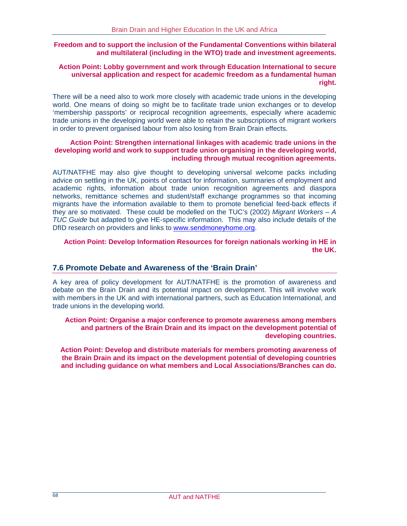#### **Freedom and to support the inclusion of the Fundamental Conventions within bilateral and multilateral (including in the WTO) trade and investment agreements.**

#### **Action Point: Lobby government and work through Education International to secure universal application and respect for academic freedom as a fundamental human right.**

There will be a need also to work more closely with academic trade unions in the developing world. One means of doing so might be to facilitate trade union exchanges or to develop 'membership passports' or reciprocal recognition agreements, especially where academic trade unions in the developing world were able to retain the subscriptions of migrant workers in order to prevent organised labour from also losing from Brain Drain effects.

#### **Action Point: Strengthen international linkages with academic trade unions in the developing world and work to support trade union organising in the developing world, including through mutual recognition agreements.**

AUT/NATFHE may also give thought to developing universal welcome packs including advice on settling in the UK, points of contact for information, summaries of employment and academic rights, information about trade union recognition agreements and diaspora networks, remittance schemes and student/staff exchange programmes so that incoming migrants have the information available to them to promote beneficial feed-back effects if they are so motivated. These could be modelled on the TUC's (2002) *Migrant Workers – A TUC Guide* but adapted to give HE-specific information. This may also include details of the DfID research on providers and links to www.sendmoneyhome.org.

#### **Action Point: Develop Information Resources for foreign nationals working in HE in the UK.**

#### **7.6 Promote Debate and Awareness of the 'Brain Drain'**

A key area of policy development for AUT/NATFHE is the promotion of awareness and debate on the Brain Drain and its potential impact on development. This will involve work with members in the UK and with international partners, such as Education International, and trade unions in the developing world.

#### **Action Point: Organise a major conference to promote awareness among members and partners of the Brain Drain and its impact on the development potential of developing countries.**

**Action Point: Develop and distribute materials for members promoting awareness of the Brain Drain and its impact on the development potential of developing countries and including guidance on what members and Local Associations/Branches can do.**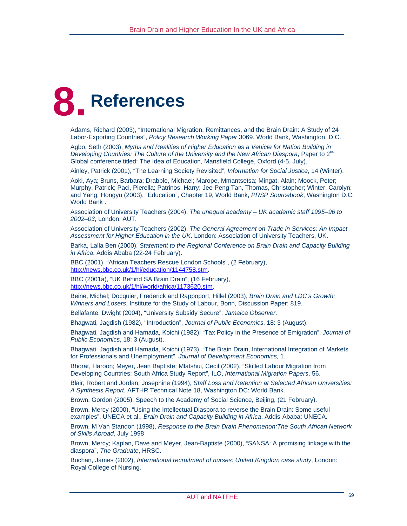# **8. References**

Adams, Richard (2003), "International Migration, Remittances, and the Brain Drain: A Study of 24 Labor-Exporting Countries", *Policy Research Working Paper* 3069. World Bank, Washington, D.C.

Agbo, Seth (2003), *Myths and Realities of Higher Education as a Vehicle for Nation Building in Developing Countries: The Culture of the University and the New African Diaspora*, Paper to 2nd Global conference titled: The Idea of Education, Mansfield College, Oxford (4-5, July).

Ainley, Patrick (2001), "The Learning Society Revisited", *Information for Social Justice*, 14 (Winter).

Aoki, Aya; Bruns, Barbara; Drabble, Michael; Marope, Mmantsetsa; Mingat, Alain; Moock, Peter; Murphy, Patrick; Paci, Pierella; Patrinos, Harry; Jee-Peng Tan, Thomas, Christopher; Winter, Carolyn; and Yang; Hongyu (2003), "Education", Chapter 19, World Bank, *PRSP Sourcebook*, Washington D.C: World Bank .

Association of University Teachers (2004), *The unequal academy – UK academic staff 1995–96 to 2002–03*, London: AUT.

Association of University Teachers (2002), *The General Agreement on Trade in Services: An Impact Assessment for Higher Education in the UK*. London: Association of University Teachers, UK.

Barka, Lalla Ben (2000), *Statement to the Regional Conference on Brain Drain and Capacity Building in Africa*, Addis Ababa (22-24 February).

BBC (2001), "African Teachers Rescue London Schools", (2 February), http://news.bbc.co.uk/1/hi/education/1144758.stm.

BBC (2001a), "UK Behind SA Brain Drain", (16 February), http://news.bbc.co.uk/1/hi/world/africa/1173620.stm.

Beine, Michel; Docquier, Frederick and Rappoport, Hillel (2003), *Brain Drain and LDC's Growth: Winners and Losers*, Institute for the Study of Labour, Bonn, Discussion Paper: 819.

Bellafante, Dwight (2004), "University Subsidy Secure", *Jamaica Observer*.

Bhagwati, Jagdish (1982), "Introduction", *Journal of Public Economics*, 18: 3 (August).

Bhagwati, Jagdish and Hamada, Koichi (1982), "Tax Policy in the Presence of Emigration", *Journal of Public Economics*, 18: 3 (August).

Bhagwati, Jagdish and Hamada, Koichi (1973), "The Brain Drain, International Integration of Markets for Professionals and Unemployment", *Journal of Development Economics,* 1.

Bhorat, Haroon; Meyer, Jean Baptiste; Mlatshui, Cecil (2002), "Skilled Labour Migration from Developing Countries: South Africa Study Report", ILO, *International Migration Papers*, 56.

Blair, Robert and Jordan, Josephine (1994), *Staff Loss and Retention at Selected African Universities: A Synthesis Report*, AFTHR Technical Note 18, Washington DC: World Bank.

Brown, Gordon (2005), Speech to the Academy of Social Science, Beijing, (21 February).

Brown, Mercy (2000), "Using the Intellectual Diaspora to reverse the Brain Drain: Some useful examples", UNECA et al., *Brain Drain and Capacity Building in Africa*, Addis-Ababa: UNECA.

Brown, M Van Standon (1998), *Response to the Brain Drain Phenomenon:The South African Network of Skills Abroad*, July 1998

Brown, Mercy; Kaplan, Dave and Meyer, Jean-Baptiste (2000), "SANSA: A promising linkage with the diaspora", *The Graduate*, HRSC.

Buchan, James (2002), *International recruitment of nurses: United Kingdom case study*, London: Royal College of Nursing.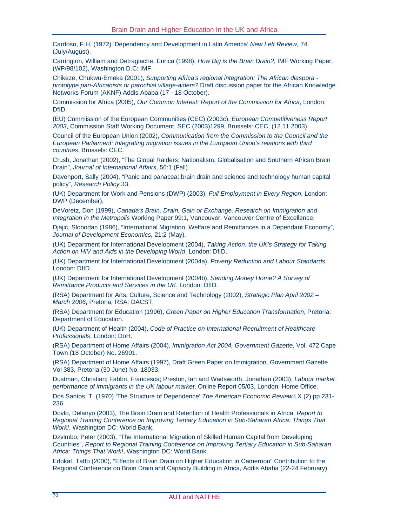Cardoso, F.H. (1972) 'Dependency and Development in Latin America' *New Left Review,* 74 (July/August).

Carrington, William and Detragiache, Enrica (1998), *How Big is the Brain Drain?*, IMF Working Paper, (WP/98/102), Washington D.C: IMF.

Chikeze, Chukwu-Emeka (2001), *Supporting Africa's regional integration: The African diaspora prototype pan-Africanists or parochial village-aiders?* Draft discussion paper for the African Knowledge Networks Forum (AKNF) Addis Ababa (17 - 18 October).

Commission for Africa (2005), *Our Common Interest: Report of the Commission for Africa*, London: DfID.

(EU) Commission of the European Communities (CEC) (2003c), *European Competitiveness Report 2003*, Commission Staff Working Document, SEC (2003)1299, Brussels: CEC, (12.11.2003).

Council of the European Union (2002), *Communication from the Commission to the Council and the European Parliament: Integrating migration issues in the European Union's relations with third countries*, Brussels: CEC.

Crush, Jonathan (2002), "The Global Raiders: Nationalism, Globalisation and Southern African Brain Drain", *Journal of International Affairs*, 56:1 (Fall).

Davenport, Sally (2004), "Panic and panacea: brain drain and science and technology human capital policy", *Research Policy* 33.

(UK) Department for Work and Pensions (DWP) (2003), *Full Employment in Every Region*, London: DWP (December).

DeVoretz, Don (1999), *Canada's Brain, Drain, Gain or Exchange, Research on Immigration and Integration in the Metropolis* Working Paper 99:1, Vancouver: Vancouver Centre of Excellence.

Djajic, Slobodan (1986), "International Migration, Welfare and Remittances in a Dependant Economy", *Journal of Development Economics,* 21:2 (May).

(UK) Department for International Development (2004), *Taking Action: the UK's Strategy for Taking Action on HIV and Aids in the Developing World*, London: DfID.

(UK) Department for International Development (2004a), *Poverty Reduction and Labour Standards*, London: DfID.

(UK) Department for International Development (2004b), *Sending Money Home? A Survey of Remittance Products and Services in the UK*, London: DfID.

(RSA) Department for Arts, Culture, Science and Technology (2002), *Strategic Plan April 2002 – March 2006*, Pretoria, RSA: DACST.

(RSA) Department for Education (1996), *Green Paper on Higher Education Transformation*, Pretoria: Department of Education.

(UK) Department of Health (2004), *Code of Practice on International Recruitment of Healthcare Professionals*, London: DoH.

(RSA) Department of Home Affairs (2004), *Immigration Act 2004, Government Gazette*, Vol. 472 Cape Town (18 October) No. 26901.

(RSA) Department of Home Affairs (1997), Draft Green Paper on Immigration, Government Gazette Vol 383, Pretoria (30 June) No. 18033.

Dustman, Christian; Fabbri, Francesca; Preston, Ian and Wadsworth, Jonathan (2003), *Labour market performance of immigrants in the UK labour market*, Online Report 05/03, London: Home Office.

Dos Santos, T. (1970) 'The Structure of Dependence' *The American Economic Review* LX (2) pp.231- 236.

Dovlo, Delanyo (2003), The Brain Drain and Retention of Health Professionals in Africa, *Report to Regional Training Conference on Improving Tertiary Education in Sub-Saharan Africa: Things That Work!*, Washington DC: World Bank.

Dzvimbo, Peter (2003), "The International Migration of Skilled Human Capital from Developing Countries", *Report to Regional Training Conference on Improving Tertiary Education in Sub-Saharan Africa: Things That Work!*, Washington DC: World Bank.

Edokat, Taffo (2000), "Effects of Brain Drain on Higher Education in Cameroon" Contribution to the Regional Conference on Brain Drain and Capacity Building in Africa, Addis Ababa (22-24 February).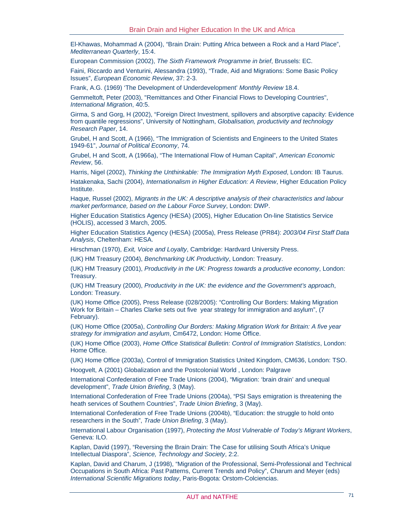El-Khawas, Mohammad A (2004), "Brain Drain: Putting Africa between a Rock and a Hard Place", *Mediterranean Quarterly*, 15:4.

European Commission (2002), *The Sixth Framework Programme in brief*, Brussels: EC.

Faini, Riccardo and Venturini, Alessandra (1993), "Trade, Aid and Migrations: Some Basic Policy Issues", *European Economic Review*, 37: 2-3.

Frank, A.G. (1969) 'The Development of Underdevelopment' *Monthly Review* 18.4.

Gemmeltoft, Peter (2003), "Remittances and Other Financial Flows to Developing Countries", *International Migration*, 40:5.

Girma, S and Gorg, H (2002), "Foreign Direct Investment, spillovers and absorptive capacity: Evidence from quantile regressions", University of Nottingham, *Globalisation, productivity and technology Research Paper*, 14.

Grubel, H and Scott, A (1966), "The Immigration of Scientists and Engineers to the United States 1949-61", *Journal of Political Economy*, 74.

Grubel, H and Scott, A (1966a), "The International Flow of Human Capital", *American Economic Review*, 56.

Harris, Nigel (2002), *Thinking the Unthinkable: The Immigration Myth Exposed*, London: IB Taurus.

Hatakenaka, Sachi (2004), *Internationalism in Higher Education: A Review*, Higher Education Policy Institute.

Haque, Russel (2002), *Migrants in the UK: A descriptive analysis of their characteristics and labour market performance, based on the Labour Force Survey*, London: DWP.

Higher Education Statistics Agency (HESA) (2005), Higher Education On-line Statistics Service (HOLIS), accessed 3 March, 2005.

Higher Education Statistics Agency (HESA) (2005a), Press Release (PR84): *2003/04 First Staff Data Analysis*, Cheltenham: HESA.

Hirschman (1970), *Exit, Voice and Loyalty*, Cambridge: Hardvard University Press.

(UK) HM Treasury (2004), *Benchmarking UK Productivity*, London: Treasury.

(UK) HM Treasury (2001), *Productivity in the UK: Progress towards a productive economy*, London: Treasury.

(UK) HM Treasury (2000), *Productivity in the UK: the evidence and the Government's approach*, London: Treasury.

(UK) Home Office (2005), Press Release (028/2005): "Controlling Our Borders: Making Migration Work for Britain – Charles Clarke sets out five year strategy for immigration and asylum", (7 February).

(UK) Home Office (2005a), *Controlling Our Borders: Making Migration Work for Britain: A five year strategy for immigration and asylum*, Cm6472, London: Home Office.

(UK) Home Office (2003), *Home Office Statistical Bulletin: Control of Immigration Statistics*, London: Home Office.

(UK) Home Office (2003a), Control of Immigration Statistics United Kingdom, CM636, London: TSO. Hoogvelt, A (2001) Globalization and the Postcolonial World , London: Palgrave

International Confederation of Free Trade Unions (2004), "Migration: 'brain drain' and unequal development", *Trade Union Briefing*, 3 (May).

International Confederation of Free Trade Unions (2004a), "PSI Says emigration is threatening the heath services of Southern Countries", *Trade Union Briefing*, 3 (May).

International Confederation of Free Trade Unions (2004b), "Education: the struggle to hold onto researchers in the South", *Trade Union Briefing*, 3 (May).

International Labour Organisation (1997), *Protecting the Most Vulnerable of Today's Migrant Workers*, Geneva: ILO.

Kaplan, David (1997), "Reversing the Brain Drain: The Case for utilising South Africa's Unique Intellectual Diaspora", *Science, Technology and Society*, 2:2.

Kaplan, David and Charum, J (1998), "Migration of the Professional, Semi-Professional and Technical Occupations in South Africa: Past Patterns, Current Trends and Policy", Charum and Meyer (eds) *International Scientific Migrations today*, Paris-Bogota: Orstom-Colciencias.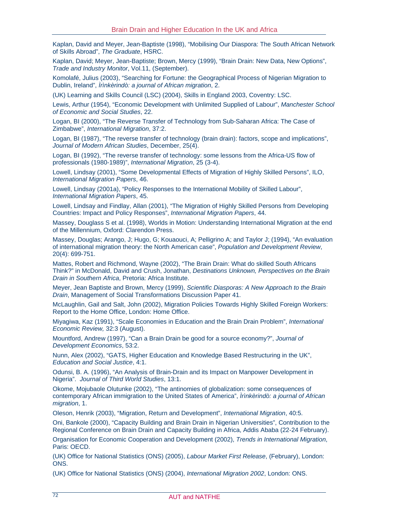Kaplan, David and Meyer, Jean-Baptiste (1998), "Mobilising Our Diaspora: The South African Network of Skills Abroad", *The Graduate*, HSRC.

Kaplan, David; Meyer, Jean-Baptiste; Brown, Mercy (1999), "Brain Drain: New Data, New Options", *Trade and Industry Monitor*, Vol.11, (September).

Komolafé, Julius (2003), "Searching for Fortune: the Geographical Process of Nigerian Migration to Dublin, Ireland", *Ìrìnkèrindò: a journal of African migration*, 2.

(UK) Learning and Skills Council (LSC) (2004), Skills in England 2003, Coventry: LSC.

Lewis, Arthur (1954), "Economic Development with Unlimited Supplied of Labour", *Manchester School of Economic and Social Studies*, 22.

Logan, BI (2000), "The Reverse Transfer of Technology from Sub-Saharan Africa: The Case of Zimbabwe", *International Migration*, 37:2.

Logan, BI (1987), "The reverse transfer of technology (brain drain): factors, scope and implications", *Journal of Modern African Studies*, December, 25(4).

Logan, BI (1992), "The reverse transfer of technology: some lessons from the Africa-US flow of professionals (1980-1989)", *International Migration*, 25 (3-4).

Lowell, Lindsay (2001), "Some Developmental Effects of Migration of Highly Skilled Persons", ILO, *International Migration Papers*, 46.

Lowell, Lindsay (2001a), "Policy Responses to the International Mobility of Skilled Labour", *International Migration Papers*, 45.

Lowell, Lindsay and Findlay, Allan (2001), "The Migration of Highly Skilled Persons from Developing Countries: Impact and Policy Responses", *International Migration Papers*, 44.

Massey, Douglass S et al. (1998), Worlds in Motion: Understanding International Migration at the end of the Millennium, Oxford: Clarendon Press.

Massey, Douglas; Arango, J; Hugo, G; Kouaouci, A; Pelligrino A; and Taylor J; (1994), "An evaluation of international migration theory: the North American case", *Population and Development Review*, 20(4): 699-751.

Mattes, Robert and Richmond, Wayne (2002), "The Brain Drain: What do skilled South Africans Think?" in McDonald, David and Crush, Jonathan, *Destinations Unknown, Perspectives on the Brain Drain in Southern Africa*, Pretoria: Africa Institute.

Meyer, Jean Baptiste and Brown, Mercy (1999), *Scientific Diasporas: A New Approach to the Brain Drain*, Management of Social Transformations Discussion Paper 41.

McLaughlin, Gail and Salt, John (2002), Migration Policies Towards Highly Skilled Foreign Workers: Report to the Home Office, London: Home Office.

Miyagiwa, Kaz (1991), "Scale Economies in Education and the Brain Drain Problem", *International Economic Review,* 32:3 (August).

Mountford, Andrew (1997), "Can a Brain Drain be good for a source economy?", *Journal of Development Economics*, 53:2.

Nunn, Alex (2002), "GATS, Higher Education and Knowledge Based Restructuring in the UK", *Education and Social Justice*, 4:1.

Odunsi, B. A. (1996), "An Analysis of Brain-Drain and its Impact on Manpower Development in Nigeria". *Journal of Third World Studies*, 13:1.

Okome, Mojubaole Olutunke (2002), "The antinomies of globalization: some consequences of contemporary African immigration to the United States of America", *Ìrìnkèrindò: a journal of African migration*, 1.

Oleson, Henrik (2003), "Migration, Return and Development", *International Migration*, 40:5.

Oni, Bankole (2000), "Capacity Building and Brain Drain in Nigerian Universities", Contribution to the Regional Conference on Brain Drain and Capacity Building in Africa, Addis Ababa (22-24 February).

Organisation for Economic Cooperation and Development (2002), *Trends in International Migration*, Paris: OECD.

(UK) Office for National Statistics (ONS) (2005), *Labour Market First Release*, (February), London: ONS.

(UK) Office for National Statistics (ONS) (2004), *International Migration 2002*, London: ONS.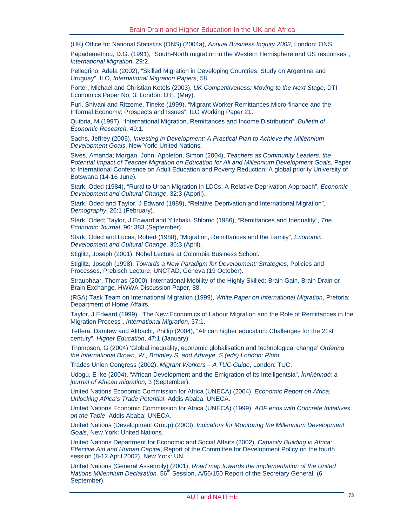(UK) Office for National Statistics (ONS) (2004a), *Annual Business Inquiry 2003*, London: ONS.

Papademetriou, D.G. (1991), "South-North migration in the Western Hemisphere and US responses", *International Migration*, 29:2.

Pellegrino, Adela (2002), "Skilled Migration in Developing Countries: Study on Argentina and Uruguay", ILO, *International Migration Papers*, 58.

Porter, Michael and Christian Ketels (2003), *UK Competitiveness: Moving to the Next Stage*, DTI Economics Paper No. 3, London: DTI, (May).

Puri, Shivani and Ritzeme, Tineke (1999), "Migrant Worker Remittances,Micro-finance and the Informal Economy: Prospects and Issues", ILO Working Paper 21.

Quibria, M (1997), "International Migration, Remittances and Income Distribution", *Bulletin of Economic Research*, 49:1.

Sachs, Jeffrey (2005), *Investing in Development: A Practical Plan to Achieve the Millennium Development Goals*, New York: United Nations.

Sives, Amanda; Morgan, John; Appleton, Simon (2004), *Teachers as Community Leaders: the Potential Impact of Teacher Migration on Education for All and Millennium Development Goals*, Paper to International Conference on Adult Education and Poverty Reduction: A global priority University of Botswana (14-16 June).

Stark, Oded (1984), "Rural to Urban Migration in LDCs: A Relative Deprivation Approach", *Economic Development and Cultural Change*, 32:3 (Appril).

Stark, Oded and Taylor, J Edward (1989), "Relative Deprivation and International Migration", *Demography*, 26:1 (February).

Stark, Oded; Taylor, J Edward and Yitzhaki, Shlomo (1986), "Remittances and Inequality", *The Economic Journal*, 96: 383 (September).

Stark, Oded and Lucas, Robert (1988), "Migration, Remittances and the Family", *Economic Development and Cultural Change*, 36:3 (April).

Stiglitz, Joseph (2001), Nobel Lecture at Colombia Business School.

Stiglitz, Joseph (1998), *Towards a New Paradigm for Development: Strategies*, Policies and Processes, Prebisch Lecture, UNCTAD, Geneva (19 October).

Straubhaar, Thomas (2000), International Mobility of the Highly Skilled: Brain Gain, Brain Drain or Brain Exchange, HWWA Discussion Paper, 88.

(RSA) Task Team on International Migration (1999), *White Paper on International Migration*, Pretoria: Department of Home Affairs.

Taylor, J Edward (1999), "The New Economics of Labour Migration and the Role of Remittances in the Migration Process", *International Migration*, 37:1.

Teffera, Damtew and Altbachl, Phillip (2004), "African higher education: Challenges for the 21st century", *Higher Education*, 47:1 (January).

Thompson, G (2004) 'Global inequality, economic globalisation and technological change' *Ordering the International Brown, W., Bromley S, and Athreye, S (eds) London: Pluto.* 

Trades Union Congress (2002), *Migrant Workers – A TUC Guide*, London: TUC.

Udogu, E Ike (2004), "African Development and the Emigration of its Intelligentsia", *Ìrìnkèrindò: a journal of African migration*, 3 (September).

United Nations Economic Commission for Africa (UNECA) (2004), *Economic Report on Africa: Unlocking Africa's Trade Potential*, Addis Ababa: UNECA.

United Nations Economic Commission for Africa (UNECA) (1999), *ADF ends with Concrete Initiatives on the Table*, Addis Ababa: UNECA.

United Nations (Development Group) (2003), *Indicators for Monitoring the Millennium Development Goals*, New York: United Nations.

United Nations Department for Economic and Social Affairs (2002), *Capacity Building in Africa: Effective Aid and Human Capital*, Report of the Committee for Development Policy on the fourth session (8-12 April 2002), New York: UN.

United Nations (General Assembly) (2001), *Road map towards the implementation of the United Nations Millennium Declaration,* 56<sup>th</sup> Session, A/56/150 Report of the Secretary General, (6 September).